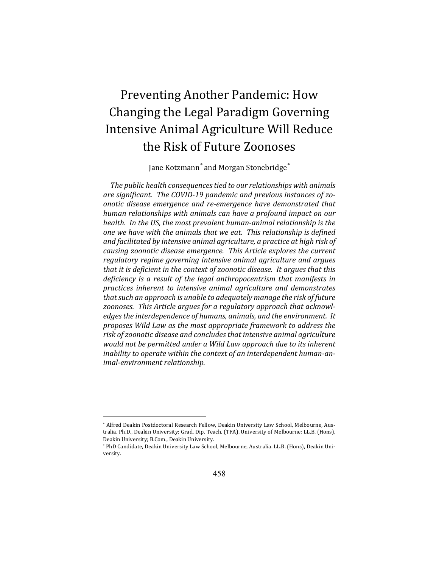# Preventing Another Pandemic: How Changing the Legal Paradigm Governing Intensive Animal Agriculture Will Reduce the Risk of Future Zoonoses

Jane Kotzmann*\** and Morgan Stonebridge*\**

The public health consequences tied to our relationships with animals are significant. The COVID-19 pandemic and previous instances of zo*onotic disease emergence and re-emergence have demonstrated that human relationships with animals can have a profound impact on our health.* In the US, the most prevalent human-animal relationship is the *one* we have with the animals that we eat. This relationship is defined and facilitated by intensive animal agriculture, a practice at high risk of causing zoonotic disease emergence. This Article explores the current regulatory regime governing intensive animal agriculture and argues *that it is deficient in the context of zoonotic disease. It argues that this deficiency* is a result of the legal anthropocentrism that manifests in *practices inherent to intensive animal agriculture and demonstrates that such an approach is unable to adequately manage the risk of future* zoonoses. This Article argues for a regulatory approach that acknowledges the interdependence of humans, animals, and the environment. It *proposes Wild Law as the most appropriate framework to address the* risk of zoonotic disease and concludes that intensive animal agriculture would not be permitted under a Wild Law approach due to its inherent inability to operate within the context of an interdependent human-an*imal-environment relationship.*

<sup>\*</sup> Alfred Deakin Postdoctoral Research Fellow, Deakin University Law School, Melbourne, Australia. Ph.D., Deakin University; Grad. Dip. Teach. (TFA), University of Melbourne; LL.B. (Hons), Deakin University; B.Com., Deakin University.

<sup>\*</sup> PhD Candidate, Deakin University Law School, Melbourne, Australia. LL.B. (Hons), Deakin University.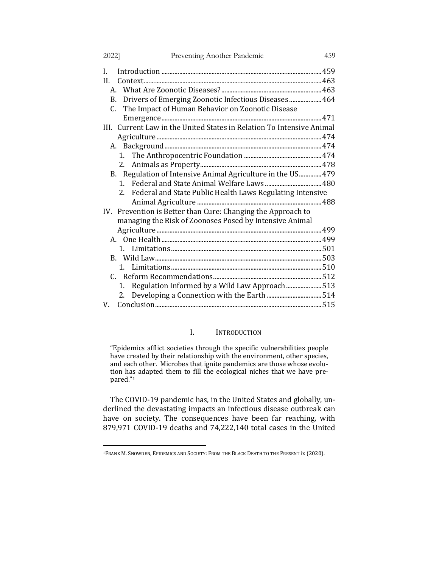| Preventing Another Pandemic<br>2022]                                        | 459 |
|-----------------------------------------------------------------------------|-----|
| L                                                                           |     |
| H.                                                                          |     |
|                                                                             |     |
| B. Drivers of Emerging Zoonotic Infectious Diseases  464                    |     |
| C. The Impact of Human Behavior on Zoonotic Disease                         |     |
|                                                                             |     |
| III. Current Law in the United States in Relation To Intensive Animal       |     |
|                                                                             |     |
|                                                                             |     |
|                                                                             |     |
| 2.                                                                          |     |
| B. Regulation of Intensive Animal Agriculture in the US 479                 |     |
| $1_{-}$                                                                     |     |
| Federal and State Public Health Laws Regulating Intensive<br>2 <sup>1</sup> |     |
|                                                                             |     |
| IV. Prevention is Better than Cure: Changing the Approach to                |     |
| managing the Risk of Zoonoses Posed by Intensive Animal                     |     |
|                                                                             |     |
|                                                                             |     |
| $\mathbf{1}$                                                                |     |
|                                                                             |     |
|                                                                             |     |
|                                                                             |     |
| Regulation Informed by a Wild Law Approach513<br>1.                         |     |
| Developing a Connection with the Earth 514<br>2.                            |     |
| V.                                                                          |     |

# I. INTRODUCTION

"Epidemics afflict societies through the specific vulnerabilities people Ephermes annet societies an onger the specific vanishment properties. and each other. Microbes that ignite pandemics are those whose evolution has adapted them to fill the ecological niches that we have prepared."1

The COVID-19 pandemic has, in the United States and globally, underlined the devastating impacts an infectious disease outbreak can have on society. The consequences have been far reaching, with 879,971 COVID-19 deaths and 74,222,140 total cases in the United

<sup>&</sup>lt;sup>1</sup>FRANK M. SNOWDEN, EPIDEMICS AND SOCIETY: FROM THE BLACK DEATH TO THE PRESENT ix (2020).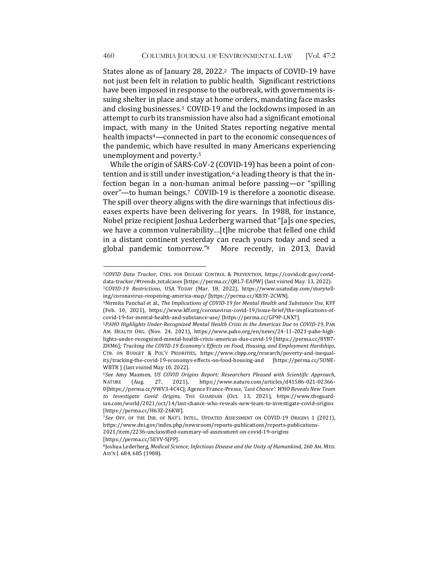States alone as of January 28, 2022.<sup>2</sup> The impacts of COVID-19 have not just been felt in relation to public health. Significant restrictions have been imposed in response to the outbreak, with governments issuing shelter in place and stay at home orders, mandating face masks and closing businesses.<sup>3</sup> COVID-19 and the lockdowns imposed in an attempt to curb its transmission have also had a significant emotional impact, with many in the United States reporting negative mental health impacts<sup>4</sup>—connected in part to the economic consequences of the pandemic, which have resulted in many Americans experiencing unemployment and poverty.<sup>5</sup>

While the origin of SARS-CoV-2 (COVID-19) has been a point of contention and is still under investigation,<sup>6</sup> a leading theory is that the infection began in a non-human animal before passing—or "spilling over"—to human beings.<sup>7</sup> COVID-19 is therefore a zoonotic disease. The spill over theory aligns with the dire warnings that infectious diseases experts have been delivering for years. In 1988, for instance, Nobel prize recipient Joshua Lederberg warned that "[a]s one species, we have a common vulnerability...[t]he microbe that felled one child in a distant continent yesterday can reach yours today and seed a global pandemic tomorrow."<sup>8</sup> More recently, in 2013, David

<sup>&</sup>lt;sup>2</sup>COVID Data Tracker, CTRS. FOR DISEASE CONTROL & PREVENTION, https://covid.cdc.gov/coviddata-tracker/#trends\_totalcases [https://perma.cc/QRL7-EAPW] (last visited May. 13, 2022). <sup>3</sup>*COVID-19 Restrictions*, USA TODAY (Mar. 18, 2022), https://www.usatoday.com/storytelling/coronavirus-reopening-america-map/ [https://perma.cc/K83Y-2CWN].

<sup>&</sup>lt;sup>4</sup>Nirmita Panchal et al., *The Implications of COVID-19 for Mental Health and Substance Use*, KFF (Feb. 10, 2021), https://www.kff.org/coronavirus-covid-19/issue-brief/the-implications-ofcovid-19-for-mental-health-and-substance-use/ [https://perma.cc/GF9P-LNX7].

<sup>5</sup>PAHO Highlights Under-Recognized Mental Health Crisis in the Americas Due to COVID-19, PAN AM. HEALTH ORG. (Nov. 24, 2021), https://www.paho.org/en/news/24-11-2021-paho-highlights-under-recognized-mental-health-crisis-americas-due-covid-19 [https://perma.cc/8YB7- ZHM6]; Tracking the COVID-19 Economy's Effects on Food, Housing, and Employment Hardships, CTR. ON BUDGET & POL'Y PRIORITIES, https://www.cbpp.org/research/poverty-and-inequality/tracking-the-covid-19-economys-effects-on-food-housing-and [https://perma.cc/5UNE-WBTR ] (last visited May 10, 2022).

<sup>6</sup>*See*  Amy Maxmen, *US COVID Origins Report: Researchers Pleased with Scientific Approach*, NATURE (Aug. 27, 2021), https://www.nature.com/articles/d41586-021-02366- 0[https://perma.cc/9WV3-4C4C]; Agence France-Presse, 'Last Chance': WHO Reveals New Team to *Investigate Covid Origins*, THE GUARDIAN (Oct. 13, 2021), https://www.theguardian.com/world/2021/oct/14/last-chance-who-reveals-new-team-to-investigate-covid-origins [https://perma.cc/H63Z-26KW].

<sup>&</sup>lt;sup>7</sup>See OFF. OF THE DIR. OF NAT'L INTEL., UPDATED ASSESSMENT ON COVID-19 ORIGINS 1 (2021), https://www.dni.gov/index.php/newsroom/reports-publications/reports-publications-

<sup>2021/</sup>item/2236-unclassified-summary-of-assessment-on-covid-19-origins [https://perma.cc/5EYV-SJPP].

<sup>8</sup>Joshua Lederberg, *Medical Science, Infectious Disease and the Unity of Humankind*, 260 AM. MED. Ass'n J. 684, 685 (1988).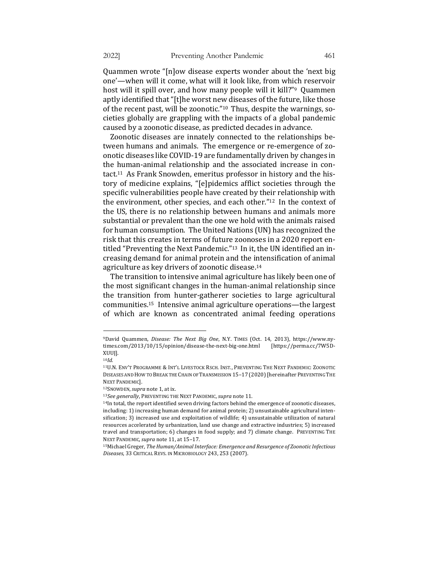Quammen wrote "[n]ow disease experts wonder about the 'next big one'—when will it come, what will it look like, from which reservoir host will it spill over, and how many people will it kill?"<sup>9</sup> Quammen aptly identified that "[t]he worst new diseases of the future, like those of the recent past, will be zoonotic."<sup>10</sup> Thus, despite the warnings, societies globally are grappling with the impacts of a global pandemic caused by a zoonotic disease, as predicted decades in advance.

Zoonotic diseases are innately connected to the relationships between humans and animals. The emergence or re-emergence of zoonotic diseases like COVID-19 are fundamentally driven by changes in the human-animal relationship and the associated increase in contact.<sup>11</sup> As Frank Snowden, emeritus professor in history and the history of medicine explains, "[e]pidemics afflict societies through the specific vulnerabilities people have created by their relationship with the environment, other species, and each other." $12$  In the context of the US, there is no relationship between humans and animals more substantial or prevalent than the one we hold with the animals raised for human consumption. The United Nations (UN) has recognized the risk that this creates in terms of future zoonoses in a 2020 report entitled "Preventing the Next Pandemic."<sup>13</sup> In it, the UN identified an increasing demand for animal protein and the intensification of animal agriculture as key drivers of zoonotic disease.<sup>14</sup>

The transition to intensive animal agriculture has likely been one of the most significant changes in the human-animal relationship since the transition from hunter-gatherer societies to large agricultural communities.<sup>15</sup> Intensive animal agriculture operations—the largest of which are known as concentrated animal feeding operations

<sup>&</sup>lt;sup>9</sup>David Quammen, *Disease: The Next Big One*, N.Y. TIMES (Oct. 14, 2013), https://www.nytimes.com/2013/10/15/opinion/disease-the-next-big-one.html [https://perma.cc/7W5D-XUUJ].

<sup>10</sup>*Id.*

<sup>&</sup>lt;sup>11</sup>U.N. ENV'T PROGRAMME & INT'L LIVESTOCK RSCH. INST., PREVENTING THE NEXT PANDEMIC: ZOONOTIC DISEASES AND HOW TO BREAK THE CHAIN OF TRANSMISSION 15-17 (2020) [hereinafter PREVENTING THE NEXT PANDEMIC].

<sup>12</sup>SNOWDEN, supra note 1, at ix.

<sup>13</sup>*See generally*, PREVENTING THE NEXT PANDEMIC, supra note 11.

<sup>&</sup>lt;sup>14</sup>In total, the report identified seven driving factors behind the emergence of zoonotic diseases, including: 1) increasing human demand for animal protein; 2) unsustainable agricultural intensification; 3) increased use and exploitation of wildlife; 4) unsustainable utilization of natural resources accelerated by urbanization, land use change and extractive industries; 5) increased travel and transportation; 6) changes in food supply; and 7) climate change. PREVENTING THE NEXT PANDEMIC, *supra* note 11, at 15-17.

<sup>&</sup>lt;sup>15</sup>Michael Greger, *The Human/Animal Interface: Emergence and Resurgence of Zoonotic Infectious Diseases*, 33 CRITICAL REVS. IN MICROBIOLOGY 243, 253 (2007).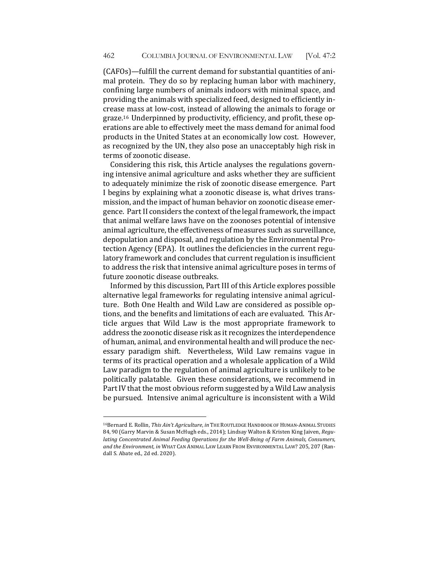(CAFOs)—fulfill the current demand for substantial quantities of animal protein. They do so by replacing human labor with machinery, confining large numbers of animals indoors with minimal space, and providing the animals with specialized feed, designed to efficiently increase mass at low-cost, instead of allowing the animals to forage or graze.<sup>16</sup> Underpinned by productivity, efficiency, and profit, these operations are able to effectively meet the mass demand for animal food products in the United States at an economically low cost. However, as recognized by the UN, they also pose an unacceptably high risk in terms of zoonotic disease.

Considering this risk, this Article analyses the regulations governing intensive animal agriculture and asks whether they are sufficient to adequately minimize the risk of zoonotic disease emergence. Part I begins by explaining what a zoonotic disease is, what drives transmission, and the impact of human behavior on zoonotic disease emergence. Part II considers the context of the legal framework, the impact that animal welfare laws have on the zoonoses potential of intensive animal agriculture, the effectiveness of measures such as surveillance, depopulation and disposal, and regulation by the Environmental Protection Agency (EPA). It outlines the deficiencies in the current regulatory framework and concludes that current regulation is insufficient to address the risk that intensive animal agriculture poses in terms of future zoonotic disease outbreaks.

Informed by this discussion, Part III of this Article explores possible alternative legal frameworks for regulating intensive animal agriculture. Both One Health and Wild Law are considered as possible options, and the benefits and limitations of each are evaluated. This Article argues that Wild Law is the most appropriate framework to address the zoonotic disease risk as it recognizes the interdependence of human, animal, and environmental health and will produce the necessary paradigm shift. Nevertheless, Wild Law remains vague in terms of its practical operation and a wholesale application of a Wild Law paradigm to the regulation of animal agriculture is unlikely to be politically palatable. Given these considerations, we recommend in Part IV that the most obvious reform suggested by a Wild Law analysis be pursued. Intensive animal agriculture is inconsistent with a Wild

<sup>16</sup>Bernard E. Rollin, This Ain't Agriculture, in THE ROUTLEDGE HANDBOOK OF HUMAN-ANIMAL STUDIES 84, 90 (Garry Marvin & Susan McHugh eds., 2014); Lindsay Walton & Kristen King Jaiven, Regu*lating Concentrated Animal Feeding Operations for the Well-Being of Farm Animals, Consumers,* and the Environment, in WHAT CAN ANIMAL LAW LEARN FROM ENVIRONMENTAL LAW? 205, 207 (Randall S. Abate ed., 2d ed. 2020).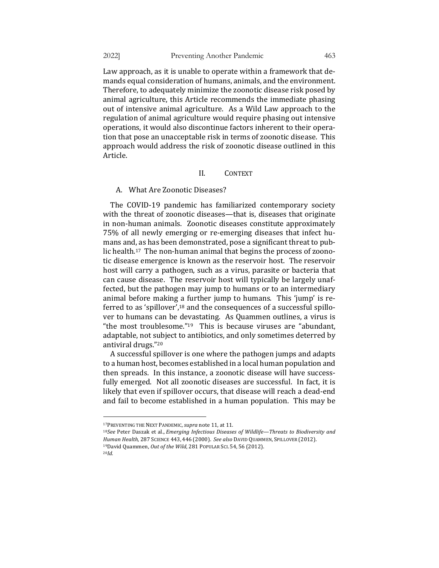Law approach, as it is unable to operate within a framework that demands equal consideration of humans, animals, and the environment. Therefore, to adequately minimize the zoonotic disease risk posed by animal agriculture, this Article recommends the immediate phasing out of intensive animal agriculture. As a Wild Law approach to the regulation of animal agriculture would require phasing out intensive operations, it would also discontinue factors inherent to their operation that pose an unacceptable risk in terms of zoonotic disease. This approach would address the risk of zoonotic disease outlined in this Article.

## II. CONTEXT

A. What Are Zoonotic Diseases?

The COVID-19 pandemic has familiarized contemporary society with the threat of zoonotic diseases—that is, diseases that originate in non-human animals. Zoonotic diseases constitute approximately 75% of all newly emerging or re-emerging diseases that infect humans and, as has been demonstrated, pose a significant threat to public health.<sup>17</sup> The non-human animal that begins the process of zoonotic disease emergence is known as the reservoir host. The reservoir host will carry a pathogen, such as a virus, parasite or bacteria that can cause disease. The reservoir host will typically be largely unaffected, but the pathogen may jump to humans or to an intermediary animal before making a further jump to humans. This 'jump' is referred to as 'spillover', $18$  and the consequences of a successful spillover to humans can be devastating. As Quammen outlines, a virus is "the most troublesome." $19$  This is because viruses are "abundant, adaptable, not subject to antibiotics, and only sometimes deterred by antiviral drugs."<sup>20</sup>

A successful spillover is one where the pathogen jumps and adapts to a human host, becomes established in a local human population and then spreads. In this instance, a zoonotic disease will have successfully emerged. Not all zoonotic diseases are successful. In fact, it is likely that even if spillover occurs, that disease will reach a dead-end and fail to become established in a human population. This may be

<sup>&</sup>lt;sup>17</sup>PREVENTING THE NEXT PANDEMIC, supra note 11, at 11.

<sup>&</sup>lt;sup>18</sup>See Peter Daszak et al., *Emerging Infectious Diseases of Wildlife—Threats to Biodiversity and Human Health*, 287 SCIENCE 443, 446 (2000). *See also* DAVID QUAMMEN, SPILLOVER (2012). <sup>19</sup>David Quammen, Out of the Wild, 281 POPULAR SCI. 54, 56 (2012).

<sup>20</sup>*Id.*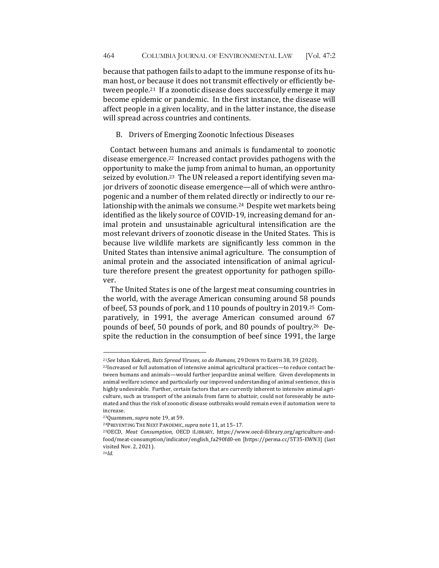because that pathogen fails to adapt to the immune response of its human host, or because it does not transmit effectively or efficiently between people.<sup>21</sup> If a zoonotic disease does successfully emerge it may become epidemic or pandemic. In the first instance, the disease will affect people in a given locality, and in the latter instance, the disease will spread across countries and continents.

## B. Drivers of Emerging Zoonotic Infectious Diseases

Contact between humans and animals is fundamental to zoonotic disease emergence.<sup>22</sup> Increased contact provides pathogens with the opportunity to make the jump from animal to human, an opportunity seized by evolution.<sup>23</sup> The UN released a report identifying seven major drivers of zoonotic disease emergence—all of which were anthropogenic and a number of them related directly or indirectly to our relationship with the animals we consume.<sup>24</sup> Despite wet markets being identified as the likely source of COVID-19, increasing demand for animal protein and unsustainable agricultural intensification are the most relevant drivers of zoonotic disease in the United States. This is because live wildlife markets are significantly less common in the United States than intensive animal agriculture. The consumption of animal protein and the associated intensification of animal agriculture therefore present the greatest opportunity for pathogen spillover. 

The United States is one of the largest meat consuming countries in the world, with the average American consuming around 58 pounds of beef, 53 pounds of pork, and 110 pounds of poultry in 2019.<sup>25</sup> Comparatively, in 1991, the average American consumed around 67 pounds of beef, 50 pounds of pork, and 80 pounds of poultry.<sup>26</sup> Despite the reduction in the consumption of beef since 1991, the large

<sup>&</sup>lt;sup>21</sup>See Ishan Kukreti, *Bats Spread Viruses, so do Humans*, 29 DOWN TO EARTH 38, 39 (2020).

<sup>&</sup>lt;sup>22</sup>Increased or full automation of intensive animal agricultural practices—to reduce contact between humans and animals—would further jeopardize animal welfare. Given developments in animal welfare science and particularly our improved understanding of animal sentience, this is highly undesirable. Further, certain factors that are currently inherent to intensive animal agriculture, such as transport of the animals from farm to abattoir, could not foreseeably be automated and thus the risk of zoonotic disease outbreaks would remain even if automation were to increase. 

<sup>&</sup>lt;sup>23</sup>Quammen, *supra* note 19, at 59.

<sup>&</sup>lt;sup>24</sup>PREVENTING THE NEXT PANDEMIC, supra note 11, at 15-17.

<sup>&</sup>lt;sup>25</sup>OECD, Meat Consumption, OECD ILIBRARY, https://www.oecd-ilibrary.org/agriculture-andfood/meat-consumption/indicator/english\_fa290fd0-en [https://perma.cc/5T35-EWN3] (last visited Nov. 2, 2021). 26*Id.*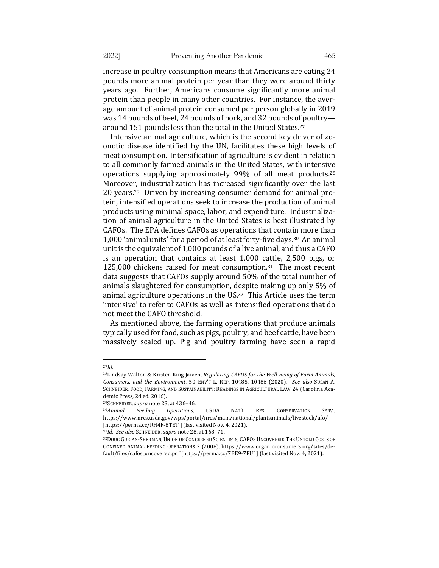increase in poultry consumption means that Americans are eating 24 pounds more animal protein per year than they were around thirty years ago. Further, Americans consume significantly more animal protein than people in many other countries. For instance, the average amount of animal protein consumed per person globally in 2019 was 14 pounds of beef, 24 pounds of pork, and 32 pounds of poultryaround 151 pounds less than the total in the United States.<sup>27</sup>

Intensive animal agriculture, which is the second key driver of zoonotic disease identified by the UN, facilitates these high levels of meat consumption. Intensification of agriculture is evident in relation to all commonly farmed animals in the United States, with intensive operations supplying approximately  $99\%$  of all meat products.<sup>28</sup> Moreover, industrialization has increased significantly over the last 20 years.<sup>29</sup> Driven by increasing consumer demand for animal protein, intensified operations seek to increase the production of animal products using minimal space, labor, and expenditure. Industrialization of animal agriculture in the United States is best illustrated by CAFOs. The EPA defines CAFOs as operations that contain more than 1,000 'animal units' for a period of at least forty-five days.<sup>30</sup> An animal unit is the equivalent of 1,000 pounds of a live animal, and thus a CAFO is an operation that contains at least  $1,000$  cattle,  $2,500$  pigs, or  $125,000$  chickens raised for meat consumption.<sup>31</sup> The most recent data suggests that CAFOs supply around 50% of the total number of animals slaughtered for consumption, despite making up only 5% of animal agriculture operations in the  $US^{32}$  This Article uses the term 'intensive' to refer to CAFOs as well as intensified operations that do not meet the CAFO threshold.

As mentioned above, the farming operations that produce animals typically used for food, such as pigs, poultry, and beef cattle, have been massively scaled up. Pig and poultry farming have seen a rapid

<sup>27</sup>*Id.*

<sup>&</sup>lt;sup>28</sup>Lindsay Walton & Kristen King Jaiven, *Regulating CAFOS for the Well-Being of Farm Animals, Consumers, and the Environment*, 50 ENV'T L. REP. 10485, 10486 (2020). *See also* SUSAN A. SCHNEIDER, FOOD, FARMING, AND SUSTAINABILITY: READINGS IN AGRICULTURAL LAW 24 (Carolina Academic Press, 2d ed. 2016).

<sup>29</sup>SCHNEIDER,*supra* note 28, at 436–46.

<sup>&</sup>lt;sup>30</sup>Animal Feeding Operations, USDA NAT'L RES. CONSERVATION SERV., https://www.nrcs.usda.gov/wps/portal/nrcs/main/national/plantsanimals/livestock/afo/ [https://perma.cc/RH4F-8TET] (last visited Nov. 4, 2021).

<sup>31</sup>*Id. See also* SCHNEIDER, *supra* note 28, at 168–71.

<sup>32</sup>DOUG GURIAN-SHERMAN, UNION OF CONCERNED SCIENTISTS, CAFOS UNCOVERED: THE UNTOLD COSTS OF CONFINED ANIMAL FEEDING OPERATIONS 2 (2008), https://www.organicconsumers.org/sites/default/files/cafos\_uncovered.pdf [https://perma.cc/7BE9-7EUJ] [last visited Nov. 4, 2021].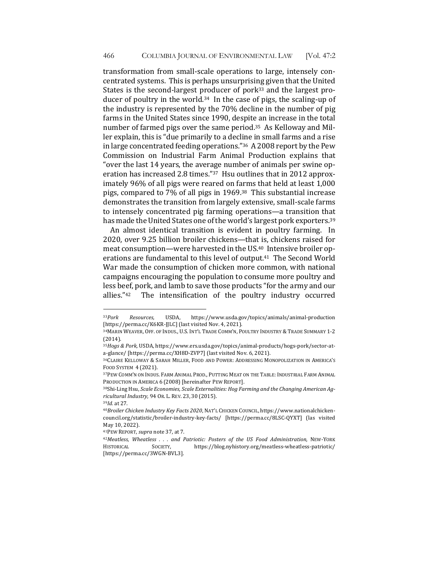transformation from small-scale operations to large, intensely concentrated systems. This is perhaps unsurprising given that the United States is the second-largest producer of pork<sup>33</sup> and the largest producer of poultry in the world.<sup>34</sup> In the case of pigs, the scaling-up of the industry is represented by the  $70\%$  decline in the number of pig farms in the United States since 1990, despite an increase in the total number of farmed pigs over the same period.<sup>35</sup> As Kelloway and Miller explain, this is "due primarily to a decline in small farms and a rise in large concentrated feeding operations." $36$  A 2008 report by the Pew Commission on Industrial Farm Animal Production explains that "over the last 14 years, the average number of animals per swine operation has increased 2.8 times." $37$  Hsu outlines that in 2012 approximately 96% of all pigs were reared on farms that held at least 1,000 pigs, compared to  $7\%$  of all pigs in 1969.<sup>38</sup> This substantial increase demonstrates the transition from largely extensive, small-scale farms to intensely concentrated pig farming operations—a transition that has made the United States one of the world's largest pork exporters.<sup>39</sup>

An almost identical transition is evident in poultry farming. In 2020, over 9.25 billion broiler chickens—that is, chickens raised for meat consumption—were harvested in the US.<sup>40</sup> Intensive broiler operations are fundamental to this level of output.<sup>41</sup> The Second World War made the consumption of chicken more common, with national campaigns encouraging the population to consume more poultry and less beef, pork, and lamb to save those products "for the army and our allies."<sup>42</sup> The intensification of the poultry industry occurred

<sup>33</sup>*Pork Resources,*  USDA, https://www.usda.gov/topics/animals/animal-production [https://perma.cc/K6KR-JJLC] (last visited Nov. 4, 2021).

<sup>&</sup>lt;sup>34</sup>MARIN WEAVER, OFF. OF INDUS., U.S. INT'L TRADE COMM'N, POULTRY INDUSTRY & TRADE SUMMARY 1-2 (2014).

<sup>&</sup>lt;sup>35</sup> Hogs & Pork, USDA, https://www.ers.usda.gov/topics/animal-products/hogs-pork/sector-ata-glance/ [https://perma.cc/XH8D-ZVP7] (last visited Nov. 6, 2021).

<sup>&</sup>lt;sup>36</sup>CLAIRE KELLOWAY & SARAH MILLER, FOOD AND POWER: ADDRESSING MONOPOLIZATION IN AMERICA'S FOOD SYSTEM 4 (2021).

<sup>&</sup>lt;sup>37</sup>PEW COMM'N ON INDUS. FARM ANIMAL PROD., PUTTING MEAT ON THE TABLE: INDUSTRIAL FARM ANIMAL PRODUCTION IN AMERICA 6 (2008) [hereinafter PEW REPORT].

<sup>&</sup>lt;sup>38</sup>Shi-Ling Hsu, Scale Economies, Scale Externalities: Hog Farming and the Changing American Ag*ricultural Industry,* 94 OR. L. REV. 23, 30 (2015).

<sup>39</sup>*Id.* at 27.

<sup>&</sup>lt;sup>40</sup>Broiler Chicken Industry Key Facts 2020, NAT'L CHICKEN COUNCIL, https://www.nationalchickencouncil.org/statistic/broiler-industry-key-facts/ [https://perma.cc/8LSC-QYXT] (las visited May 10, 2022).

<sup>41</sup>PEW REPORT, *supra* note 37, at 7.

<sup>42</sup>*Meatless, Wheatless . . . and Patriotic: Posters of the US Food Administration*, NEW-YORK HISTORICAL SOCIETY, https://blog.nyhistory.org/meatless-wheatless-patriotic/ [https://perma.cc/3WGN-BVL3].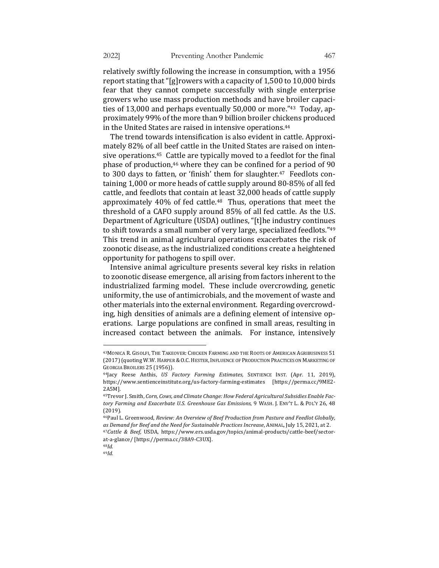relatively swiftly following the increase in consumption, with a 1956 report stating that "[g]rowers with a capacity of  $1,500$  to  $10,000$  birds fear that they cannot compete successfully with single enterprise growers who use mass production methods and have broiler capacities of 13,000 and perhaps eventually  $50,000$  or more."<sup>43</sup> Today, approximately 99% of the more than 9 billion broiler chickens produced

in the United States are raised in intensive operations.<sup>44</sup>

The trend towards intensification is also evident in cattle. Approximately 82% of all beef cattle in the United States are raised on intensive operations.<sup>45</sup> Cattle are typically moved to a feedlot for the final phase of production,<sup>46</sup> where they can be confined for a period of 90 to 300 days to fatten, or 'finish' them for slaughter.<sup>47</sup> Feedlots containing 1,000 or more heads of cattle supply around 80-85% of all fed cattle, and feedlots that contain at least 32,000 heads of cattle supply approximately  $40\%$  of fed cattle.<sup>48</sup> Thus, operations that meet the threshold of a CAFO supply around 85% of all fed cattle. As the U.S. Department of Agriculture (USDA) outlines, "[t]he industry continues to shift towards a small number of very large, specialized feedlots."<sup>49</sup> This trend in animal agricultural operations exacerbates the risk of zoonotic disease, as the industrialized conditions create a heightened opportunity for pathogens to spill over.

Intensive animal agriculture presents several key risks in relation to zoonotic disease emergence, all arising from factors inherent to the industrialized farming model. These include overcrowding, genetic uniformity, the use of antimicrobials, and the movement of waste and other materials into the external environment. Regarding overcrowding, high densities of animals are a defining element of intensive operations. Large populations are confined in small areas, resulting in increased contact between the animals. For instance, intensively

<sup>&</sup>lt;sup>43</sup>MONICA R. GISOLFI, THE TAKEOVER: CHICKEN FARMING AND THE ROOTS OF AMERICAN AGRIBUSINESS 51 (2017) (quoting W.W. HARPER & O.C. HESTER, INFLUENCE OF PRODUCTION PRACTICES ON MARKETING OF GEORGIA BROILERS 25 (1956)).

<sup>44</sup>Jacy Reese Anthis, *US Factory Farming Estimates,*  SENTIENCE INST. (Apr. 11, 2019), https://www.sentienceinstitute.org/us-factory-farming-estimates [https://perma.cc/9ME2- 2A5M].

<sup>&</sup>lt;sup>45</sup>Trevor J. Smith, *Corn, Cows, and Climate Change: How Federal Agricultural Subsidies Enable Fac*tory Farming and Exacerbate U.S. Greenhouse Gas Emissions, 9 WASH. J. ENV'T L. & POL'Y 26, 48 (2019).

<sup>&</sup>lt;sup>46</sup>Paul L. Greenwood, Review: An Overview of Beef Production from Pasture and Feedlot Globally, as Demand for Beef and the Need for Sustainable Practices Increase, ANIMAL, July 15, 2021, at 2. <sup>47</sup>*Cattle & Beef,* USDA, https://www.ers.usda.gov/topics/animal-products/cattle-beef/sectorat-a-glance/ [https://perma.cc/38A9-C3UX].

<sup>48</sup>*Id.*

<sup>49</sup>*Id.*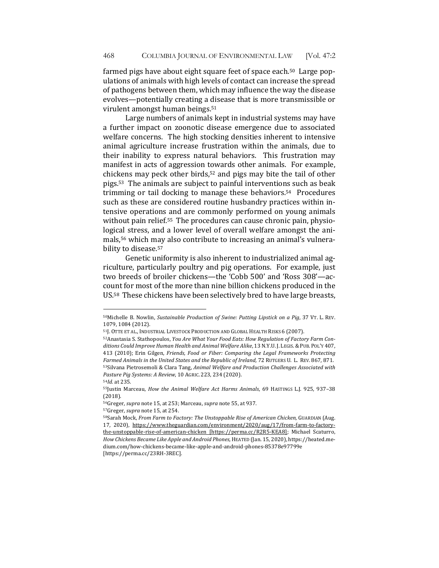farmed pigs have about eight square feet of space each.<sup>50</sup> Large populations of animals with high levels of contact can increase the spread of pathogens between them, which may influence the way the disease evolves—potentially creating a disease that is more transmissible or virulent amongst human beings.<sup>51</sup>

Large numbers of animals kept in industrial systems may have a further impact on zoonotic disease emergence due to associated welfare concerns. The high stocking densities inherent to intensive animal agriculture increase frustration within the animals, due to their inability to express natural behaviors. This frustration may manifest in acts of aggression towards other animals. For example, chickens may peck other birds,<sup>52</sup> and pigs may bite the tail of other pigs.<sup>53</sup> The animals are subiect to painful interventions such as beak trimming or tail docking to manage these behaviors.<sup>54</sup> Procedures such as these are considered routine husbandry practices within intensive operations and are commonly performed on young animals without pain relief.<sup>55</sup> The procedures can cause chronic pain, physiological stress, and a lower level of overall welfare amongst the animals,<sup>56</sup> which may also contribute to increasing an animal's vulnerability to disease.<sup>57</sup>

Genetic uniformity is also inherent to industrialized animal agriculture, particularly poultry and pig operations. For example, just two breeds of broiler chickens—the 'Cobb 500' and 'Ross 308'—account for most of the more than nine billion chickens produced in the US.<sup>58</sup> These chickens have been selectively bred to have large breasts,

<sup>50</sup>Michelle B. Nowlin, *Sustainable Production of Swine: Putting Lipstick on a Pig*, 37 VT. L. REV. 1079, 1084 (2012). 

<sup>&</sup>lt;sup>51</sup>J. OTTE ET AL., INDUSTRIAL LIVESTOCK PRODUCTION AND GLOBAL HEALTH RISKS 6 (2007).

<sup>52</sup> Anastasia S. Stathopoulos, *You Are What Your Food Eats: How Regulation of Factory Farm Con*ditions Could Improve Human Health and Animal Welfare Alike, 13 N.Y.U.J. LEGIS. & PUB. POL'Y 407, 413 (2010); Erin Gilgen, Friends, Food or Fiber: Comparing the Legal Frameworks Protecting Farmed Animals in the United States and the Republic of Ireland, 72 RUTGERS U. L. REV. 867, 871. 53Silvana Pietrosemoli & Clara Tang, *Animal Welfare and Production Challenges Associated with* Pasture Pig Systems: A Review, 10 AGRIC. 223, 234 (2020).

<sup>54</sup>*Id.* at 235.

<sup>&</sup>lt;sup>55</sup>Justin Marceau, *How the Animal Welfare Act Harms Animals*, 69 HASTINGS L.J. 925, 937-38 (2018).

<sup>56</sup>Greger, *supra* note 15, at 253; Marceau, *supra* note 55, at 937.

<sup>57</sup>Greger, *supra* note 15, at 254.

<sup>58</sup>Sarah Mock, *From Farm to Factory: The Unstoppable Rise of American Chicken, GUARDIAN (Aug.* 17, 2020), https://www.theguardian.com/environment/2020/aug/17/from-farm-to-factorythe-unstoppable-rise-of-american-chicken [https://perma.cc/R2R5-KEA8]; Michael Scaturro, *How Chickens Became Like Apple and Android Phones, HEATED* (Jan. 15, 2020), https://heated.medium.com/how-chickens-became-like-apple-and-android-phones-85378e97799e [https://perma.cc/23RH-3REC].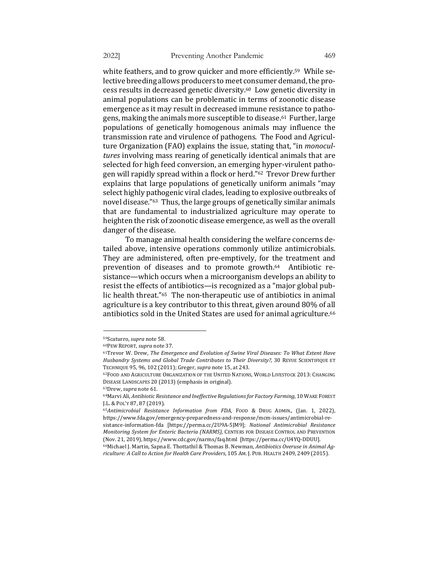white feathers, and to grow quicker and more efficiently.<sup>59</sup> While selective breeding allows producers to meet consumer demand, the process results in decreased genetic diversity.<sup>60</sup> Low genetic diversity in animal populations can be problematic in terms of zoonotic disease emergence as it may result in decreased immune resistance to pathogens, making the animals more susceptible to disease.<sup>61</sup> Further, large populations of genetically homogenous animals may influence the transmission rate and virulence of pathogens. The Food and Agriculture Organization (FAO) explains the issue, stating that, "in *monocul*tures involving mass rearing of genetically identical animals that are selected for high feed conversion, an emerging hyper-virulent pathogen will rapidly spread within a flock or herd."<sup>62</sup> Trevor Drew further explains that large populations of genetically uniform animals "may select highly pathogenic viral clades, leading to explosive outbreaks of novel disease."<sup>63</sup> Thus, the large groups of genetically similar animals that are fundamental to industrialized agriculture may operate to heighten the risk of zoonotic disease emergence, as well as the overall danger of the disease.

To manage animal health considering the welfare concerns detailed above, intensive operations commonly utilize antimicrobials. They are administered, often pre-emptively, for the treatment and prevention of diseases and to promote growth.<sup>64</sup> Antibiotic resistance—which occurs when a microorganism develops an ability to resist the effects of antibiotics—is recognized as a "major global public health threat."<sup>65</sup> The non-therapeutic use of antibiotics in animal agriculture is a key contributor to this threat, given around 80% of all antibiotics sold in the United States are used for animal agriculture.<sup>66</sup>

<sup>59</sup>Scaturro, *supra* note 58.

<sup>60</sup>PEW REPORT, *supra* note 37. 

<sup>&</sup>lt;sup>61</sup>Trevor W. Drew, The Emergence and Evolution of Swine Viral Diseases: To What Extent Have *Husbandry Systems and Global Trade Contributes to Their Diversity?, 30 REVUE SCIENTIFIQUE ET* TECHNIQUE 95, 96, 102 (2011); Greger, *supra* note 15, at 243.

<sup>62</sup>FOOD AND AGRICULTURE ORGANIZATION OF THE UNITED NATIONS, WORLD LIVESTOCK 2013: CHANGING DISEASE LANDSCAPES 20 (2013) (emphasis in original).

<sup>&</sup>lt;sup>63</sup>Drew, *supra* note 61.

<sup>64</sup>Marvi Ali, Antibiotic Resistance and Ineffective Regulations for Factory Farming, 10 WAKE FOREST J.L. & POL'Y 87, 87 (2019).

<sup>&</sup>lt;sup>65</sup>Antimicrobial Resistance Information from FDA, FOOD & DRUG ADMIN., (Jan. 1, 2022), https://www.fda.gov/emergency-preparedness-and-response/mcm-issues/antimicrobial-resistance-information-fda [https://perma.cc/2U9A-5JM9]; *National Antimicrobial Resistance Monitoring System for Enteric Bacteria (NARMS), CENTERS FOR DISEASE CONTROL AND PREVENTION* (Nov. 21, 2019), https://www.cdc.gov/narms/faq.html [https://perma.cc/U4YQ-DDUU].

<sup>&</sup>lt;sup>66</sup>Michael J. Martin, Sapna E. Thottathil & Thomas B. Newman, Antibiotics Overuse in Animal Ag*riculture: A Call to Action for Health Care Providers*, 105 AM. J. PUB. HEALTH 2409, 2409 (2015).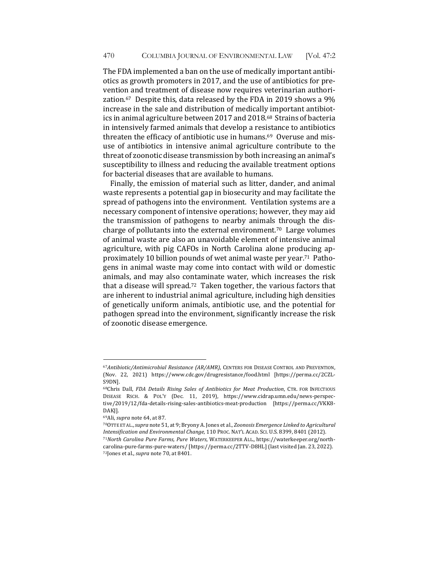The FDA implemented a ban on the use of medically important antibiotics as growth promoters in 2017, and the use of antibiotics for prevention and treatment of disease now requires veterinarian authorization. $67$  Despite this, data released by the FDA in 2019 shows a 9% increase in the sale and distribution of medically important antibiotics in animal agriculture between 2017 and 2018.<sup>68</sup> Strains of bacteria in intensively farmed animals that develop a resistance to antibiotics threaten the efficacy of antibiotic use in humans.<sup>69</sup> Overuse and misuse of antibiotics in intensive animal agriculture contribute to the threat of zoonotic disease transmission by both increasing an animal's susceptibility to illness and reducing the available treatment options for bacterial diseases that are available to humans.

Finally, the emission of material such as litter, dander, and animal waste represents a potential gap in biosecurity and may facilitate the spread of pathogens into the environment. Ventilation systems are a necessary component of intensive operations; however, they may aid the transmission of pathogens to nearby animals through the discharge of pollutants into the external environment.<sup>70</sup> Large volumes of animal waste are also an unavoidable element of intensive animal agriculture, with pig CAFOs in North Carolina alone producing approximately 10 billion pounds of wet animal waste per year.<sup>71</sup> Pathogens in animal waste may come into contact with wild or domestic animals, and may also contaminate water, which increases the risk that a disease will spread.<sup>72</sup> Taken together, the various factors that are inherent to industrial animal agriculture, including high densities of genetically uniform animals, antibiotic use, and the potential for pathogen spread into the environment, significantly increase the risk of zoonotic disease emergence.

<sup>67</sup>Antibiotic/Antimicrobial Resistance (AR/AMR), CENTERS FOR DISEASE CONTROL AND PREVENTION, (Nov. 22, 2021) https://www.cdc.gov/drugresistance/food.html [https://perma.cc/2CZL-S9DN].

<sup>68</sup>Chris Dall, *FDA Details Rising Sales of Antibiotics for Meat Production*, CTR. FOR INFECTIOUS DISEASE RSCH. & POL'Y (Dec. 11, 2019), https://www.cidrap.umn.edu/news-perspective/2019/12/fda-details-rising-sales-antibiotics-meat-production [https://perma.cc/VKK8- DAKJ].

<sup>69</sup>Ali, *supra* note 64, at 87.

<sup>&</sup>lt;sup>70</sup>OTTE ET AL., *supra* note 51, at 9; Bryony A. Jones et al., *Zoonosis Emergence Linked to Agricultural Intensification and Environmental Change,* 110 PROC. NAT'L ACAD. SCI. U.S. 8399, 8401 (2012). <sup>71</sup>North Carolina Pure Farms, Pure Waters, WATERKEEPER ALL., https://waterkeeper.org/northcarolina-pure-farms-pure-waters/ [https://perma.cc/2TTV-D8HL] (last visited Jan. 23, 2022). 72Jones et al., *supra* note 70, at 8401.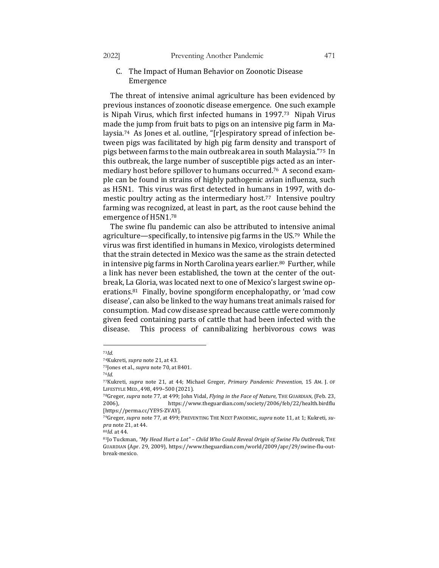- - C. The Impact of Human Behavior on Zoonotic Disease Emergence

The threat of intensive animal agriculture has been evidenced by previous instances of zoonotic disease emergence. One such example is Nipah Virus, which first infected humans in  $1997<sup>73</sup>$  Nipah Virus made the jump from fruit bats to pigs on an intensive pig farm in Malaysia.<sup>74</sup> As Jones et al. outline, "[r]espiratory spread of infection between pigs was facilitated by high pig farm density and transport of pigs between farms to the main outbreak area in south Malaysia."<sup>75</sup> In this outbreak, the large number of susceptible pigs acted as an intermediary host before spillover to humans occurred.<sup>76</sup> A second example can be found in strains of highly pathogenic avian influenza, such as H5N1. This virus was first detected in humans in 1997, with domestic poultry acting as the intermediary host.<sup>77</sup> Intensive poultry farming was recognized, at least in part, as the root cause behind the emergence of H5N1.78

The swine flu pandemic can also be attributed to intensive animal agriculture—specifically, to intensive pig farms in the US.<sup>79</sup> While the virus was first identified in humans in Mexico, virologists determined that the strain detected in Mexico was the same as the strain detected in intensive pig farms in North Carolina years earlier.<sup>80</sup> Further, while a link has never been established, the town at the center of the outbreak, La Gloria, was located next to one of Mexico's largest swine operations.<sup>81</sup> Finally, bovine spongiform encephalopathy, or 'mad cow disease', can also be linked to the way humans treat animals raised for consumption. Mad cow disease spread because cattle were commonly given feed containing parts of cattle that had been infected with the disease. This process of cannibalizing herbivorous cows was

<sup>73</sup>*Id.*

<sup>&</sup>lt;sup>74</sup>Kukreti, *supra* note 21, at 43.

<sup>&</sup>lt;sup>75</sup>Jones et al., *supra* note 70, at 8401.

<sup>76</sup>*Id.*

<sup>77</sup>Kukreti, *supra* note 21, at 44; Michael Greger, *Primary Pandemic Prevention*, 15 AM. J. OF LIFESTYLE MED., 498, 499-500 (2021).

<sup>&</sup>lt;sup>78</sup>Greger, *supra* note 77, at 499; John Vidal, *Flying in the Face of Nature*, THE GUARDIAN, (Feb. 23, 2006), https://www.theguardian.com/society/2006/feb/22/health.birdflu [https://perma.cc/YE9S-ZVAY].

<sup>79</sup>Greger, supra note 77, at 499; PREVENTING THE NEXT PANDEMIC, supra note 11, at 1; Kukreti, su*pra* note 21, at 44.

<sup>&</sup>lt;sup>80</sup>*Id.* at 44.

<sup>81]</sup> o Tuckman, "My Head Hurt a Lot" - Child Who Could Reveal Origin of Swine Flu Outbreak, THE GUARDIAN (Apr. 29, 2009), https://www.theguardian.com/world/2009/apr/29/swine-flu-outbreak-mexico.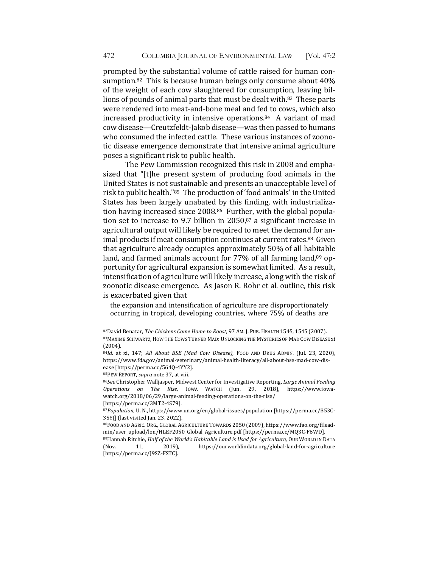prompted by the substantial volume of cattle raised for human consumption.<sup>82</sup> This is because human beings only consume about  $40\%$ of the weight of each cow slaughtered for consumption, leaving billions of pounds of animal parts that must be dealt with. $83$  These parts were rendered into meat-and-bone meal and fed to cows, which also increased productivity in intensive operations. $84$  A variant of mad cow disease—Creutzfeldt-Jakob disease—was then passed to humans who consumed the infected cattle. These various instances of zoonotic disease emergence demonstrate that intensive animal agriculture poses a significant risk to public health.

The Pew Commission recognized this risk in 2008 and emphasized that "[t]he present system of producing food animals in the United States is not sustainable and presents an unacceptable level of risk to public health."<sup>85</sup> The production of 'food animals' in the United States has been largely unabated by this finding, with industrialization having increased since  $2008<sup>86</sup>$  Further, with the global population set to increase to 9.7 billion in 2050, $87$  a significant increase in agricultural output will likely be required to meet the demand for animal products if meat consumption continues at current rates.<sup>88</sup> Given that agriculture already occupies approximately 50% of all habitable land, and farmed animals account for  $77%$  of all farming land, $89$  opportunity for agricultural expansion is somewhat limited. As a result, intensification of agriculture will likely increase, along with the risk of zoonotic disease emergence. As Jason R. Rohr et al. outline, this risk is exacerbated given that

the expansion and intensification of agriculture are disproportionately occurring in tropical, developing countries, where 75% of deaths are

<sup>82</sup>David Benatar, *The Chickens Come Home to Roost*, 97 AM. J. PUB. HEALTH 1545, 1545 (2007). 83 MAXIME SCHWARTZ, HOW THE COWS TURNED MAD: UNLOCKING THE MYSTERIES OF MAD COW DISEASE xi (2004). 

<sup>&</sup>lt;sup>84</sup>Id. at xi, 147; All About BSE (Mad Cow Disease), FOOD AND DRUG ADMIN. (Jul. 23, 2020), https://www.fda.gov/animal-veterinary/animal-health-literacy/all-about-bse-mad-cow-disease [https://perma.cc/564Q-4YY2].

<sup>85</sup>PEW REPORT, *supra* note 37, at viii.

<sup>86</sup>*See* Christopher Walljasper, Midwest Center for Investigative Reporting, Large Animal Feeding *Operations on The Rise*, IOWA WATCH (Jun. 29, 2018), https://www.iowawatch.org/2018/06/29/large-animal-feeding-operations-on-the-rise/ 

<sup>[</sup>https://perma.cc/3MT2-4S79].

<sup>87</sup>*Population*, U. N., https://www.un.org/en/global-issues/population [https://perma.cc/B53C-35YJ] (last visited Jan. 23, 2022).

<sup>88</sup>FOOD AND AGRIC. ORG., GLOBAL AGRICULTURE TOWARDS 2050 (2009), https://www.fao.org/fileadmin/user\_upload/lon/HLEF2050\_Global\_Agriculture.pdf [https://perma.cc/MQ3C-F6WD].

<sup>89</sup>Hannah Ritchie, *Half of the World's Habitable Land is Used for Agriculture*, OUR WORLD IN DATA (Nov. 11, 2019), https://ourworldindata.org/global-land-for-agriculture [https://perma.cc/J9SZ-FSTC].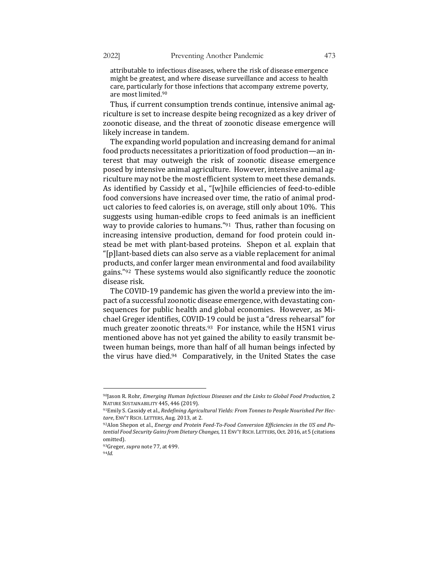attributable to infectious diseases, where the risk of disease emergence might be greatest, and where disease surveillance and access to health care, particularly for those infections that accompany extreme poverty, are most limited.<sup>90</sup>

Thus, if current consumption trends continue, intensive animal agriculture is set to increase despite being recognized as a key driver of zoonotic disease, and the threat of zoonotic disease emergence will likely increase in tandem.

The expanding world population and increasing demand for animal food products necessitates a prioritization of food production—an interest that may outweigh the risk of zoonotic disease emergence posed by intensive animal agriculture. However, intensive animal agriculture may not be the most efficient system to meet these demands. As identified by Cassidy et al., "[w]hile efficiencies of feed-to-edible food conversions have increased over time, the ratio of animal product calories to feed calories is, on average, still only about 10%. This suggests using human-edible crops to feed animals is an inefficient way to provide calories to humans." $91$  Thus, rather than focusing on increasing intensive production, demand for food protein could instead be met with plant-based proteins. Shepon et al. explain that "[p]lant-based diets can also serve as a viable replacement for animal products, and confer larger mean environmental and food availability gains."92 These systems would also significantly reduce the zoonotic disease risk.

The COVID-19 pandemic has given the world a preview into the impact of a successful zoonotic disease emergence, with devastating consequences for public health and global economies. However, as Michael Greger identifies, COVID-19 could be just a "dress rehearsal" for much greater zoonotic threats.<sup>93</sup> For instance, while the H5N1 virus mentioned above has not yet gained the ability to easily transmit between human beings, more than half of all human beings infected by the virus have died. $94$  Comparatively, in the United States the case

<sup>90</sup>Jason R. Rohr, *Emerging Human Infectious Diseases and the Links to Global Food Production*, 2 NATURE SUSTAINABILITY 445, 446 (2019).

<sup>91</sup> Emily S. Cassidy et al., *Redefining Agricultural Yields: From Tonnes to People Nourished Per Hec*tare, ENV'T RSCH. LETTERS, Aug. 2013, at 2.

<sup>92</sup> Alon Shepon et al., *Energy and Protein Feed-To-Food Conversion Efficiencies in the US and Po*tential Food Security Gains from Dietary Changes, 11 ENV'T RSCH. LETTERS, Oct. 2016, at 5 (citations omitted). 

<sup>&</sup>lt;sup>93</sup>Greger, *supra* note 77, at 499.

<sup>94</sup>*Id.*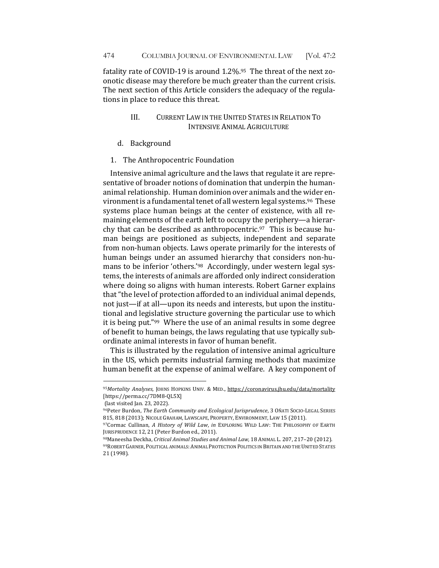fatality rate of COVID-19 is around  $1.2\%$ .<sup>95</sup> The threat of the next zoonotic disease may therefore be much greater than the current crisis. The next section of this Article considers the adequacy of the regulations in place to reduce this threat.

## III. CURRENT LAW IN THE UNITED STATES IN RELATION TO **INTENSIVE ANIMAL AGRICULTURE**

- d. Background
- 1. The Anthropocentric Foundation

Intensive animal agriculture and the laws that regulate it are representative of broader notions of domination that underpin the humananimal relationship. Human dominion over animals and the wider environment is a fundamental tenet of all western legal systems.<sup>96</sup> These systems place human beings at the center of existence, with all remaining elements of the earth left to occupy the periphery—a hierarchy that can be described as anthropocentric.<sup>97</sup> This is because human beings are positioned as subjects, independent and separate from non-human objects. Laws operate primarily for the interests of human beings under an assumed hierarchy that considers non-humans to be inferior 'others.'<sup>98</sup> Accordingly, under western legal systems, the interests of animals are afforded only indirect consideration where doing so aligns with human interests. Robert Garner explains that "the level of protection afforded to an individual animal depends, not just—if at all—upon its needs and interests, but upon the institutional and legislative structure governing the particular use to which it is being put." $99$  Where the use of an animal results in some degree of benefit to human beings, the laws regulating that use typically subordinate animal interests in favor of human benefit.

This is illustrated by the regulation of intensive animal agriculture in the US, which permits industrial farming methods that maximize human benefit at the expense of animal welfare. A key component of

<sup>95</sup>*Mortality Analyses, JOHNS HOPKINS UNIV. & MED., https://coronavirus.jhu.edu/data/mortality* [https://perma.cc/7DM8-QL5X]

<sup>(</sup>last visited Jan. 23, 2022).

<sup>96</sup>Peter Burdon, *The Earth Community and Ecological Jurisprudence*, 3 OÑATI SOCIO-LEGAL SERIES 815, 818 (2013); NICOLE GRAHAM, LAWSCAPE, PROPERTY, ENVIRONMENT, LAW 15 (2011).

<sup>97</sup> Cormac Cullinan, A History of Wild Law, in EXPLORING WILD LAW: THE PHILOSOPHY OF EARTH JURISPRUDENCE 12, 21 (Peter Burdon ed., 2011).

<sup>98</sup>Maneesha Deckha, Critical Animal Studies and Animal Law, 18 ANIMAL L. 207, 217-20 (2012). 99 ROBERT GARNER, POLITICAL ANIMALS: ANIMAL PROTECTION POLITICS IN BRITAIN AND THE UNITED STATES 21 (1998).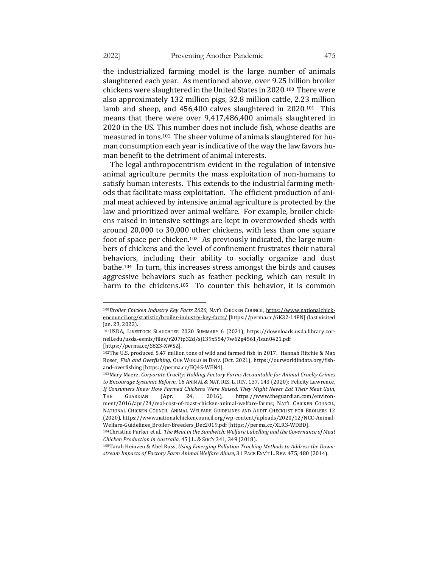the industrialized farming model is the large number of animals slaughtered each year. As mentioned above, over 9.25 billion broiler chickens were slaughtered in the United States in 2020.<sup>100</sup> There were also approximately 132 million pigs, 32.8 million cattle, 2.23 million lamb and sheep, and  $456,400$  calves slaughtered in  $2020.101$  This means that there were over 9,417,486,400 animals slaughtered in 2020 in the US. This number does not include fish, whose deaths are measured in tons.<sup>102</sup> The sheer volume of animals slaughtered for human consumption each year is indicative of the way the law favors human benefit to the detriment of animal interests.

The legal anthropocentrism evident in the regulation of intensive animal agriculture permits the mass exploitation of non-humans to satisfy human interests. This extends to the industrial farming methods that facilitate mass exploitation. The efficient production of animal meat achieved by intensive animal agriculture is protected by the law and prioritized over animal welfare. For example, broiler chickens raised in intensive settings are kept in overcrowded sheds with around 20,000 to 30,000 other chickens, with less than one square foot of space per chicken.<sup>103</sup> As previously indicated, the large numbers of chickens and the level of confinement frustrates their natural behaviors, including their ability to socially organize and dust bathe.<sup>104</sup> In turn, this increases stress amongst the birds and causes aggressive behaviors such as feather pecking, which can result in harm to the chickens.<sup>105</sup> To counter this behavior, it is common

<sup>100</sup>*Broiler Chicken Industry Key Facts 2020*, NAT'L CHICKEN COUNCIL, https://www.nationalchickencouncil.org/statistic/broiler-industry-key-facts/ [https://perma.cc/6K32-L4PN] (last visited Jan. 23, 2022).

<sup>&</sup>lt;sup>101</sup>USDA, LIVESTOCK SLAUGHTER 2020 SUMMARY 6 (2021), https://downloads.usda.library.cornell.edu/usda-esmis/files/r207tp32d/sj139x554/7w62g4561/lsan0421.pdf [https://perma.cc/S8Z3-XWSZ].

<sup>&</sup>lt;sup>102</sup>The U.S. produced 5.47 million tons of wild and farmed fish in 2017. Hannah Ritchie & Max Roser, *Fish and Overfishing*, OUR WORLD IN DATA (Oct. 2021), https://ourworldindata.org/fishand-overfishing [https://perma.cc/EQ4S-WEN4].

<sup>&</sup>lt;sup>103</sup>Mary Maerz, *Corporate Cruelty: Holding Factory Farms Accountable for Animal Cruelty Crimes* to Encourage Systemic Reform, 16 ANIMAL & NAT. RES. L. REV. 137, 143 (2020); Felicity Lawrence, If Consumers Knew How Farmed Chickens Were Raised, They Might Never Eat Their Meat Gain, THE GUARDIAN (Apr. 24, 2016), https://www.theguardian.com/environment/2016/apr/24/real-cost-of-roast-chicken-animal-welfare-farms; NAT'L CHICKEN COUNCIL, NATIONAL CHICKEN COUNCIL ANIMAL WELFARE GUIDELINES AND AUDIT CHECKLIST FOR BROILERS 12 (2020), https://www.nationalchickencouncil.org/wp-content/uploads/2020/12/NCC-Animal-Welfare-Guidelines\_Broiler-Breeders\_Dec2019.pdf [https://perma.cc/XLR3-WDBD].

<sup>104</sup> Christine Parker et al., *The Meat in the Sandwich: Welfare Labelling and the Governance of Meat Chicken Production in Australia,* 45 J.L. & SOC'Y 341, 349 (2018). 

<sup>&</sup>lt;sup>105</sup> Tarah Heinzen & Abel Russ, Using Emerging Pollution Tracking Methods to Address the Downstream Impacts of Factory Farm Animal Welfare Abuse, 31 PACE ENV'T L. REV. 475, 480 (2014).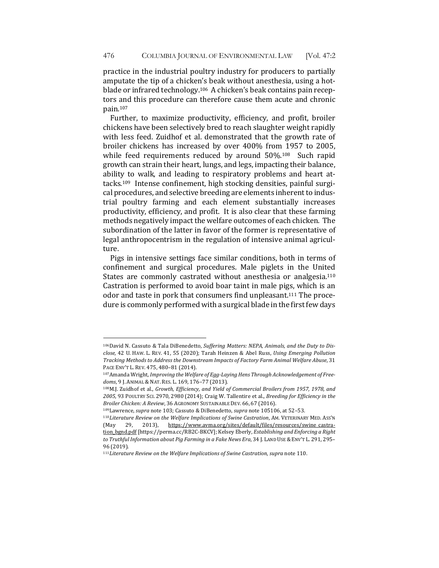practice in the industrial poultry industry for producers to partially amputate the tip of a chicken's beak without anesthesia, using a hotblade or infrared technology.<sup>106</sup> A chicken's beak contains pain receptors and this procedure can therefore cause them acute and chronic pain.107

Further, to maximize productivity, efficiency, and profit, broiler chickens have been selectively bred to reach slaughter weight rapidly with less feed. Zuidhof et al. demonstrated that the growth rate of broiler chickens has increased by over 400% from 1957 to 2005, while feed requirements reduced by around  $50\%$ .<sup>108</sup> Such rapid growth can strain their heart, lungs, and legs, impacting their balance, ability to walk, and leading to respiratory problems and heart attacks.<sup>109</sup> Intense confinement, high stocking densities, painful surgical procedures, and selective breeding are elements inherent to industrial poultry farming and each element substantially increases productivity, efficiency, and profit. It is also clear that these farming methods negatively impact the welfare outcomes of each chicken. The subordination of the latter in favor of the former is representative of legal anthropocentrism in the regulation of intensive animal agriculture. 

Pigs in intensive settings face similar conditions, both in terms of confinement and surgical procedures. Male piglets in the United States are commonly castrated without anesthesia or analgesia.<sup>110</sup> Castration is performed to avoid boar taint in male pigs, which is an odor and taste in pork that consumers find unpleasant.<sup>111</sup> The procedure is commonly performed with a surgical blade in the first few days

<sup>&</sup>lt;sup>106</sup>David N. Cassuto & Tala DiBenedetto, Suffering Matters: NEPA, Animals, and the Duty to Dis*close,* 42 U. HAW. L. REV. 41, 55 (2020); Tarah Heinzen & Abel Russ, *Using Emerging Pollution Tracking Methods to Address the Downstream Impacts of Factory Farm Animal Welfare Abuse*, 31 PACE ENV'T L. REV. 475, 480-81 (2014).

<sup>107</sup> Amanda Wright, *Improving the Welfare of Egg-Laying Hens Through Acknowledgement of Freedoms*, 9 J. ANIMAL & NAT. RES. L. 169, 176–77 (2013). 

<sup>108</sup>M.J. Zuidhof et al., Growth, Efficiency, and Yield of Commercial Broilers from 1957, 1978, and 2005, 93 POULTRY SCI. 2970, 2980 (2014); Craig W. Tallentire et al., *Breeding for Efficiency in the* Broiler Chicken: A Review, 36 AGRONOMY SUSTAINABLE DEV. 66, 67 (2016).

<sup>109</sup>Lawrence, *supra* note 103; Cassuto & DiBenedetto, *supra* note 105106, at 52-53.

<sup>110</sup>Literature Review on the Welfare Implications of Swine Castration, AM. VETERINARY MED. ASS'N (May 29, 2013), https://www.avma.org/sites/default/files/resources/swine\_castration\_bgnd.pdf [https://perma.cc/RB2C-BKCV]; Kelsey Eberly, *Establishing and Enforcing a Right* to Truthful Information about Pig Farming in a Fake News Era, 34 J. LAND USE & ENV'T L. 291, 295– 96 (2019).

<sup>111</sup>Literature Review on the Welfare Implications of Swine Castration, supra note 110.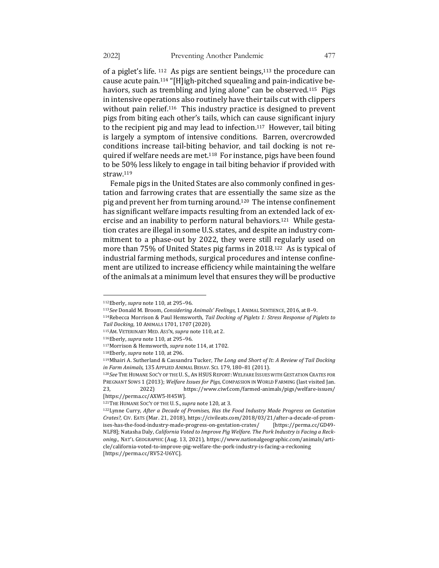of a piglet's life.  $112$  As pigs are sentient beings,  $113$  the procedure can cause acute pain.<sup>114</sup> "[H]igh-pitched squealing and pain-indicative behaviors, such as trembling and lying alone" can be observed.<sup>115</sup> Pigs in intensive operations also routinely have their tails cut with clippers without pain relief.<sup>116</sup> This industry practice is designed to prevent pigs from biting each other's tails, which can cause significant injury to the recipient pig and may lead to infection.<sup>117</sup> However, tail biting is largely a symptom of intensive conditions. Barren, overcrowded conditions increase tail-biting behavior, and tail docking is not required if welfare needs are met.<sup>118</sup> For instance, pigs have been found to be 50% less likely to engage in tail biting behavior if provided with straw.119

Female pigs in the United States are also commonly confined in gestation and farrowing crates that are essentially the same size as the pig and prevent her from turning around.<sup>120</sup> The intense confinement has significant welfare impacts resulting from an extended lack of exercise and an inability to perform natural behaviors.<sup>121</sup> While gestation crates are illegal in some U.S. states, and despite an industry commitment to a phase-out by 2022, they were still regularly used on more than 75% of United States pig farms in 2018.<sup>122</sup> As is typical of industrial farming methods, surgical procedures and intense confinement are utilized to increase efficiency while maintaining the welfare of the animals at a minimum level that ensures they will be productive

<sup>112</sup>Eberly, *supra* note 110, at 295-96.

<sup>113</sup>*See* Donald M. Broom, *Considering Animals' Feelings*, 1 ANIMAL SENTIENCE, 2016, at 8-9.

<sup>&</sup>lt;sup>114</sup>Rebecca Morrison & Paul Hemsworth, *Tail Docking of Piglets 1: Stress Response of Piglets to Tail Docking*, 10 ANIMALS 1701, 1707 (2020).

<sup>115</sup>AM. VETERINARY MED. ASS'N, *supra* note 110, at 2.

<sup>116</sup>Eberly, *supra* note 110, at 295-96.

<sup>117</sup> Morrison & Hemsworth, *supra* note 114, at 1702.

<sup>118</sup>Eberly, *supra* note 110, at 296.

<sup>119</sup>Mhairi A. Sutherland & Cassandra Tucker, *The Long and Short of It: A Review of Tail Docking in Farm Animals*, 135 APPLIED ANIMAL BEHAV. SCI. 179, 180-81 (2011).

<sup>120</sup>See THE HUMANE SOC'Y OF THE U. S., AN HSUS REPORT: WELFARE ISSUES WITH GESTATION CRATES FOR PREGNANT SOWS 1 (2013); Welfare Issues for Pigs, COMPASSION IN WORLD FARMING (last visited Jan. 23, 2022) https://www.ciwf.com/farmed-animals/pigs/welfare-issues/ [https://perma.cc/AXW5-H45W].

<sup>121</sup>THE HUMANE SOC'Y OF THE U. S., *supra* note 120, at 3.

<sup>122</sup>Lynne Curry, After a Decade of Promises, Has the Food Industry Made Progress on Gestation *Crates?,* CIV. EATS (Mar. 21, 2018), https://civileats.com/2018/03/21/after-a-decade-of-promises-has-the-food-industry-made-progress-on-gestation-crates/ [https://perma.cc/GD49- NLF8]; Natasha Daly, California Voted to Improve Pig Welfare. The Pork Industry is Facing a Reck*oning.,* NAT'L GEOGRAPHIC (Aug. 13, 2021), https://www.nationalgeographic.com/animals/article/california-voted-to-improve-pig-welfare-the-pork-industry-is-facing-a-reckoning [https://perma.cc/RV52-U6YC].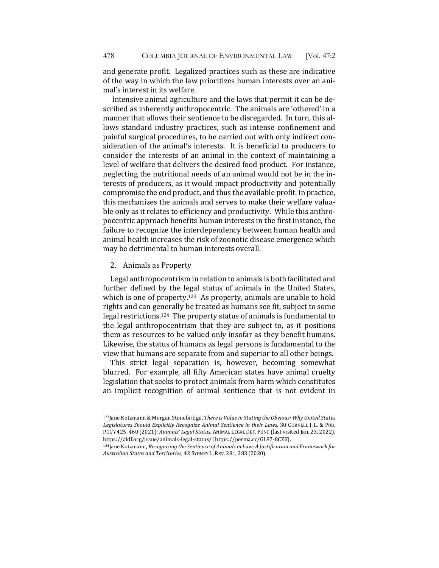and generate profit. Legalized practices such as these are indicative of the way in which the law prioritizes human interests over an animal's interest in its welfare.

Intensive animal agriculture and the laws that permit it can be described as inherently anthropocentric. The animals are 'othered' in a manner that allows their sentience to be disregarded. In turn, this allows standard industry practices, such as intense confinement and painful surgical procedures, to be carried out with only indirect consideration of the animal's interests. It is beneficial to producers to consider the interests of an animal in the context of maintaining a level of welfare that delivers the desired food product. For instance, neglecting the nutritional needs of an animal would not be in the interests of producers, as it would impact productivity and potentially compromise the end product, and thus the available profit. In practice, this mechanizes the animals and serves to make their welfare valuable only as it relates to efficiency and productivity. While this anthropocentric approach benefits human interests in the first instance, the failure to recognize the interdependency between human health and animal health increases the risk of zoonotic disease emergence which may be detrimental to human interests overall.

## 2. Animals as Property

Legal anthropocentrism in relation to animals is both facilitated and further defined by the legal status of animals in the United States, which is one of property.<sup>123</sup> As property, animals are unable to hold rights and can generally be treated as humans see fit, subject to some legal restrictions.<sup>124</sup> The property status of animals is fundamental to the legal anthropocentrism that they are subject to, as it positions them as resources to be valued only insofar as they benefit humans. Likewise, the status of humans as legal persons is fundamental to the view that humans are separate from and superior to all other beings.

This strict legal separation is, however, becoming somewhat blurred. For example, all fifty American states have animal cruelty legislation that seeks to protect animals from harm which constitutes an implicit recognition of animal sentience that is not evident in

<sup>123</sup>Jane Kotzmann & Morgan Stonebridge, There is Value in Stating the Obvious: Why United States Legislatures Should Explicitly Recognize Animal Sentience in their Laws, 30 CORNELL J. L. & PUB. POL'Y 425, 460 (2021); *Animals' Legal Status, ANIMAL LEGAL DEF. FUND* (last visited Jan. 23, 2022), https://aldf.org/issue/animals-legal-status/ [https://perma.cc/GL87-8CZK].

<sup>124</sup>Jane Kotzmann, *Recognising the Sentience of Animals in Law: A Justification and Framework for Australian States and Territories*, 42 SYDNEY L. REV. 281, 283 (2020).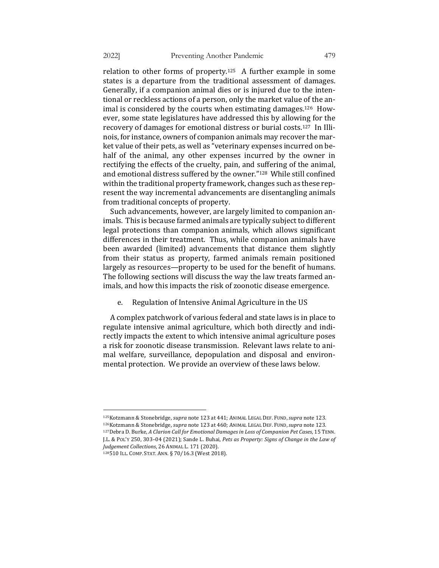relation to other forms of property.<sup>125</sup> A further example in some states is a departure from the traditional assessment of damages. Generally, if a companion animal dies or is injured due to the intentional or reckless actions of a person, only the market value of the animal is considered by the courts when estimating damages.<sup>126</sup> However, some state legislatures have addressed this by allowing for the recovery of damages for emotional distress or burial costs.<sup>127</sup> In Illinois, for instance, owners of companion animals may recover the market value of their pets, as well as "veterinary expenses incurred on behalf of the animal, any other expenses incurred by the owner in rectifying the effects of the cruelty, pain, and suffering of the animal, and emotional distress suffered by the owner."<sup>128</sup> While still confined within the traditional property framework, changes such as these represent the way incremental advancements are disentangling animals from traditional concepts of property.

Such advancements, however, are largely limited to companion animals. This is because farmed animals are typically subject to different legal protections than companion animals, which allows significant differences in their treatment. Thus, while companion animals have been awarded (limited) advancements that distance them slightly from their status as property, farmed animals remain positioned largely as resources—property to be used for the benefit of humans. The following sections will discuss the way the law treats farmed animals, and how this impacts the risk of zoonotic disease emergence.

e. Regulation of Intensive Animal Agriculture in the US

A complex patchwork of various federal and state laws is in place to regulate intensive animal agriculture, which both directly and indirectly impacts the extent to which intensive animal agriculture poses a risk for zoonotic disease transmission. Relevant laws relate to animal welfare, surveillance, depopulation and disposal and environmental protection. We provide an overview of these laws below.

<sup>125</sup>Kotzmann & Stonebridge, *supra* note 123 at 441; ANIMAL LEGAL DEF. FUND, supra note 123. 126Kotzmann & Stonebridge, *supra* note 123 at 460; ANIMAL LEGAL DEF. FUND, supra note 123. 127Debra D. Burke, *A Clarion Call for Emotional Damages in Loss of Companion Pet Cases*, 15 TENN. J.L. & PoL'Y 250, 303-04 (2021); Sande L. Buhai, *Pets as Property: Signs of Change in the Law of* Judgement Collections, 26 ANIMAL L. 171 (2020).

<sup>128510</sup> ILL. COMP. STAT. ANN. § 70/16.3 (West 2018).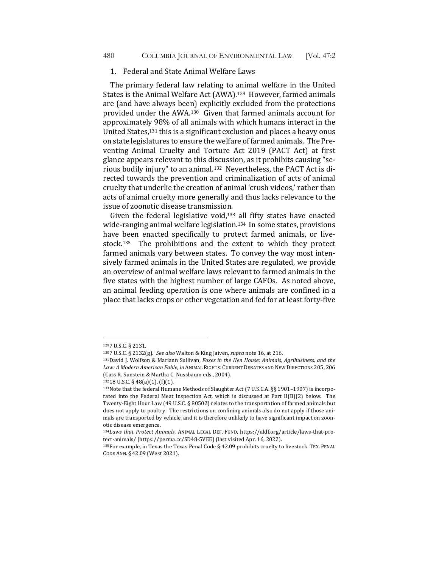### 1. Federal and State Animal Welfare Laws

The primary federal law relating to animal welfare in the United States is the Animal Welfare Act (AWA).<sup>129</sup> However, farmed animals are (and have always been) explicitly excluded from the protections provided under the AWA.<sup>130</sup> Given that farmed animals account for approximately 98% of all animals with which humans interact in the United States, $131$  this is a significant exclusion and places a heavy onus on state legislatures to ensure the welfare of farmed animals. The Preventing Animal Cruelty and Torture Act 2019 (PACT Act) at first glance appears relevant to this discussion, as it prohibits causing "serious bodily injury" to an animal.<sup>132</sup> Nevertheless, the PACT Act is directed towards the prevention and criminalization of acts of animal cruelty that underlie the creation of animal 'crush videos,' rather than acts of animal cruelty more generally and thus lacks relevance to the issue of zoonotic disease transmission.

Given the federal legislative void, $133$  all fifty states have enacted wide-ranging animal welfare legislation.<sup>134</sup> In some states, provisions have been enacted specifically to protect farmed animals, or livestock.<sup>135</sup> The prohibitions and the extent to which they protect farmed animals vary between states. To convey the way most intensively farmed animals in the United States are regulated, we provide an overview of animal welfare laws relevant to farmed animals in the five states with the highest number of large CAFOs. As noted above, an animal feeding operation is one where animals are confined in a place that lacks crops or other vegetation and fed for at least forty-five

<sup>1297</sup> U.S.C. § 2131.

<sup>1307</sup> U.S.C. § 2132(g). See also Walton & King Jaiven, supra note 16, at 216.

<sup>131</sup> David J. Wolfson & Mariann Sullivan, *Foxes in the Hen House: Animals, Agribusiness, and the* Law: A Modern American Fable, in ANIMAL RIGHTS: CURRENT DEBATES AND NEW DIRECTIONS 205, 206 (Cass R. Sunstein & Martha C. Nussbaum eds., 2004).

 $13218$  U.S.C. § 48(a)(1), (f)(1).

<sup>133</sup>Note that the federal Humane Methods of Slaughter Act (7 U.S.C.A. §§ 1901-1907) is incorporated into the Federal Meat Inspection Act, which is discussed at Part  $II(B)(2)$  below. The Twenty-Eight Hour Law (49 U.S.C. § 80502) relates to the transportation of farmed animals but does not apply to poultry. The restrictions on confining animals also do not apply if those animals are transported by vehicle, and it is therefore unlikely to have significant impact on zoonotic disease emergence.

<sup>134</sup>Laws that Protect Animals, ANIMAL LEGAL DEF. FUND, https://aldf.org/article/laws-that-protect-animals/ [https://perma.cc/SD48-5VEE] (last visited Apr. 16, 2022).

<sup>135</sup>For example, in Texas the Texas Penal Code § 42.09 prohibits cruelty to livestock. TEX. PENAL CODE ANN. § 42.09 (West 2021).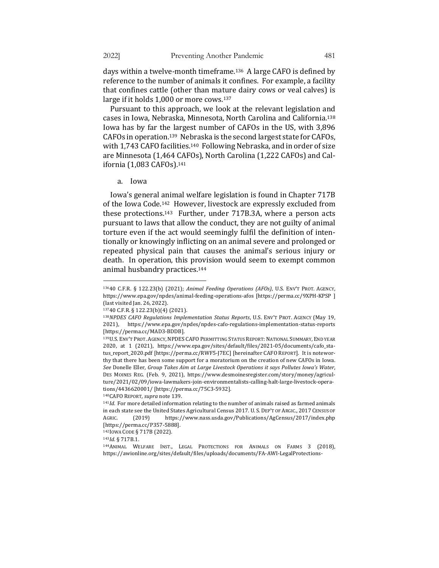days within a twelve-month timeframe.<sup>136</sup> A large CAFO is defined by reference to the number of animals it confines. For example, a facility that confines cattle (other than mature dairy cows or veal calves) is large if it holds  $1.000$  or more cows.<sup>137</sup>

Pursuant to this approach, we look at the relevant legislation and cases in Iowa, Nebraska, Minnesota, North Carolina and California.<sup>138</sup> Iowa has by far the largest number of CAFOs in the US, with 3,896 CAFOs in operation.<sup>139</sup> Nebraska is the second largest state for CAFOs, with 1,743 CAFO facilities.<sup>140</sup> Following Nebraska, and in order of size are Minnesota (1,464 CAFOs), North Carolina (1,222 CAFOs) and California (1,083 CAFOs).<sup>141</sup>

Iowa's general animal welfare legislation is found in Chapter 717B of the Iowa Code.<sup>142</sup> However, livestock are expressly excluded from these protections.<sup>143</sup> Further, under  $717B.3A$ , where a person acts pursuant to laws that allow the conduct, they are not guilty of animal torture even if the act would seemingly fulfil the definition of intentionally or knowingly inflicting on an animal severe and prolonged or repeated physical pain that causes the animal's serious injury or death. In operation, this provision would seem to exempt common animal husbandry practices.<sup>144</sup>

140CAFO REPORT, *supra* note 139.

142IOWA CODE § 717B (2022).

<sup>143</sup>*Id.* § 717B.1.

a. Iowa 

<sup>13640</sup> C.F.R. § 122.23(b) (2021); *Animal Feeding Operations (AFOs)*, U.S. ENV'T PROT. AGENCY, https://www.epa.gov/npdes/animal-feeding-operations-afos [https://perma.cc/9XPH-KPSP] (last visited Jan. 26, 2022).

<sup>13740</sup> C.F.R. § 122.23(b)(4) (2021).

<sup>138</sup>*NPDES CAFO Regulations Implementation Status Reports*, U.S. ENV'T PROT. AGENCY (May 19, 2021), https://www.epa.gov/npdes/npdes-cafo-regulations-implementation-status-reports [https://perma.cc/MAD3-BDDB].

<sup>139</sup>U.S. ENV'T PROT. AGENCY, NPDES CAFO PERMITTING STATUS REPORT: NATIONAL SUMMARY, END YEAR 2020, at 1 (2021), https://www.epa.gov/sites/default/files/2021-05/documents/cafo\_status\_report\_2020.pdf [https://perma.cc/RWF5-J7EC] [hereinafter CAFO REPORT]. It is noteworthy that there has been some support for a moratorium on the creation of new CAFOs in Iowa. See Donelle Eller, Group Takes Aim at Large Livestock Operations it says Pollutes Iowa's Water, DES MOINES REG. (Feb. 9, 2021), https://www.desmoinesregister.com/story/money/agriculture/2021/02/09/iowa-lawmakers-join-environmentalists-calling-halt-large-livestock-operations/4436620001/ [https://perma.cc/75C3-5932].

 $141$ *Id.* For more detailed information relating to the number of animals raised as farmed animals in each state see the United States Agricultural Census 2017. U. S. DEP'T OF ARGIC., 2017 CENSUS OF AGRIC. (2019) https://www.nass.usda.gov/Publications/AgCensus/2017/index.php [https://perma.cc/P357-5888]. 

<sup>144</sup>ANIMAL WELFARE INST., LEGAL PROTECTIONS FOR ANIMALS ON FARMS 3 (2018), https://awionline.org/sites/default/files/uploads/documents/FA-AWI-LegalProtections-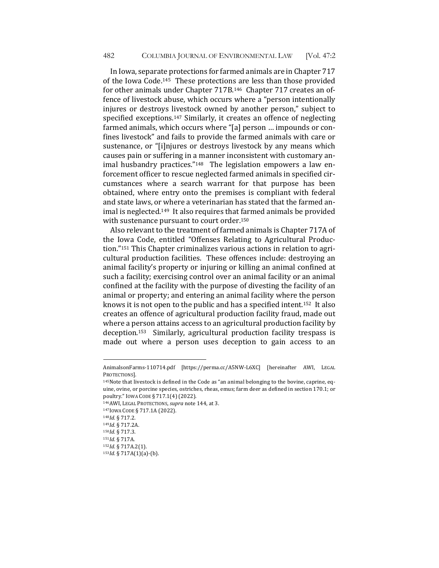In Iowa, separate protections for farmed animals are in Chapter 717 of the Iowa Code.<sup>145</sup> These protections are less than those provided for other animals under Chapter 717B.<sup>146</sup> Chapter 717 creates an offence of livestock abuse, which occurs where a "person intentionally injures or destroys livestock owned by another person," subject to specified exceptions.<sup>147</sup> Similarly, it creates an offence of neglecting farmed animals, which occurs where "[a] person ... impounds or confines livestock" and fails to provide the farmed animals with care or sustenance, or "[i]njures or destroys livestock by any means which causes pain or suffering in a manner inconsistent with customary animal husbandry practices."<sup>148</sup> The legislation empowers a law enforcement officer to rescue neglected farmed animals in specified circumstances where a search warrant for that purpose has been obtained, where entry onto the premises is compliant with federal and state laws, or where a veterinarian has stated that the farmed animal is neglected.<sup>149</sup> It also requires that farmed animals be provided with sustenance pursuant to court order.<sup>150</sup>

Also relevant to the treatment of farmed animals is Chapter 717A of the Iowa Code, entitled "Offenses Relating to Agricultural Production."<sup>151</sup> This Chapter criminalizes various actions in relation to agricultural production facilities. These offences include: destroying an animal facility's property or injuring or killing an animal confined at such a facility; exercising control over an animal facility or an animal confined at the facility with the purpose of divesting the facility of an animal or property; and entering an animal facility where the person knows it is not open to the public and has a specified intent.<sup>152</sup> It also creates an offence of agricultural production facility fraud, made out where a person attains access to an agricultural production facility by deception.<sup>153</sup> Similarly, agricultural production facility trespass is made out where a person uses deception to gain access to an

AnimalsonFarms-110714.pdf [https://perma.cc/A5NW-L6XC] [hereinafter AWI, LEGAL PROTECTIONS].

<sup>145</sup>Note that livestock is defined in the Code as "an animal belonging to the bovine, caprine, equine, ovine, or porcine species, ostriches, rheas, emus; farm deer as defined in section 170.1; or poultry." IOWA CODE § 717.1(4)(2022).

<sup>146</sup> AWI, LEGAL PROTECTIONS, *supra* note 144, at 3.

<sup>147</sup> IOWA CODE § 717.1A (2022).

<sup>148</sup>*Id.* § 717.2.

<sup>149</sup>*Id.* § 717.2A.

<sup>150</sup>*Id.* § 717.3.

<sup>151</sup>*Id.* § 717A.

<sup>152</sup>*Id.* § 717A.2(1).

<sup>153</sup>*Id.* § 717A(1)(a)-(b).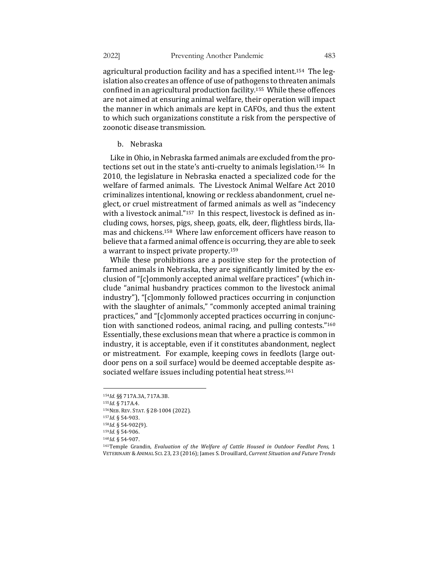agricultural production facility and has a specified intent.<sup>154</sup> The  $leg$ islation also creates an offence of use of pathogens to threaten animals confined in an agricultural production facility.<sup>155</sup> While these offences are not aimed at ensuring animal welfare, their operation will impact the manner in which animals are kept in CAFOs, and thus the extent to which such organizations constitute a risk from the perspective of zoonotic disease transmission.

#### b. Nebraska

Like in Ohio, in Nebraska farmed animals are excluded from the protections set out in the state's anti-cruelty to animals legislation.<sup>156</sup> In 2010, the legislature in Nebraska enacted a specialized code for the welfare of farmed animals. The Livestock Animal Welfare Act 2010 criminalizes intentional, knowing or reckless abandonment, cruel neglect, or cruel mistreatment of farmed animals as well as "indecency with a livestock animal."<sup>157</sup> In this respect, livestock is defined as including cows, horses, pigs, sheep, goats, elk, deer, flightless birds, llamas and chickens.<sup>158</sup> Where law enforcement officers have reason to believe that a farmed animal offence is occurring, they are able to seek a warrant to inspect private property.<sup>159</sup>

While these prohibitions are a positive step for the protection of farmed animals in Nebraska, they are significantly limited by the exclusion of "[c]ommonly accepted animal welfare practices" (which include "animal husbandry practices common to the livestock animal industry"), "[c]ommonly followed practices occurring in conjunction with the slaughter of animals," "commonly accepted animal training practices," and "[c]ommonly accepted practices occurring in conjunction with sanctioned rodeos, animal racing, and pulling contests." $160$ Essentially, these exclusions mean that where a practice is common in industry, it is acceptable, even if it constitutes abandonment, neglect or mistreatment. For example, keeping cows in feedlots (large outdoor pens on a soil surface) would be deemed acceptable despite associated welfare issues including potential heat stress.<sup>161</sup>

<sup>154</sup>*Id.* §§ 717A.3A, 717A.3B.

<sup>155</sup>*Id.* § 717A.4.

<sup>156</sup>NEB. REV. STAT. § 28-1004 (2022).

<sup>157</sup>*Id.* § 54-903.

<sup>158</sup>*Id.* § 54-902(9).

<sup>159</sup>*Id.* § 54-906.

<sup>160</sup>*Id.* § 54-907.

<sup>&</sup>lt;sup>161</sup>Temple Grandin, *Evaluation of the Welfare of Cattle Housed in Outdoor Feedlot Pens, 1* VETERINARY & ANIMAL SCI. 23, 23 (2016); James S. Drouillard, Current Situation and Future Trends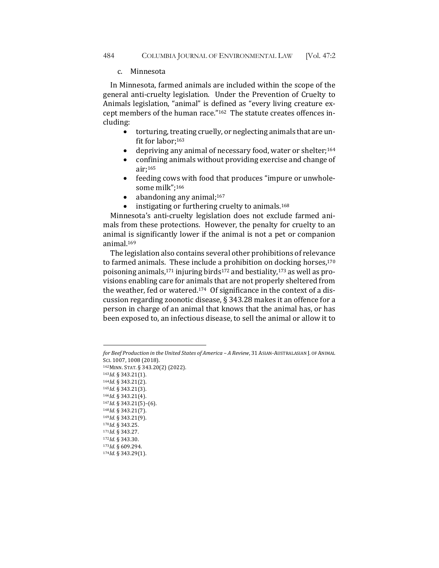### c. Minnesota

In Minnesota, farmed animals are included within the scope of the general anti-cruelty legislation. Under the Prevention of Cruelty to Animals legislation, "animal" is defined as "every living creature except members of the human race."<sup>162</sup> The statute creates offences including: 

- $\bullet$  torturing, treating cruelly, or neglecting animals that are unfit for labor;<sup>163</sup>
- depriving any animal of necessary food, water or shelter;<sup>164</sup>
- $\bullet$  confining animals without providing exercise and change of air;165
- feeding cows with food that produces "impure or unwholesome milk":166
- abandoning any animal;<sup>167</sup>
- instigating or furthering cruelty to animals.<sup>168</sup>

Minnesota's anti-cruelty legislation does not exclude farmed animals from these protections. However, the penalty for cruelty to an animal is significantly lower if the animal is not a pet or companion animal.169

The legislation also contains several other prohibitions of relevance to farmed animals. These include a prohibition on docking horses, $170$ poisoning animals,<sup>171</sup> injuring birds<sup>172</sup> and bestiality,<sup>173</sup> as well as provisions enabling care for animals that are not properly sheltered from the weather, fed or watered.<sup>174</sup> Of significance in the context of a discussion regarding zoonotic disease,  $\S$  343.28 makes it an offence for a person in charge of an animal that knows that the animal has, or has been exposed to, an infectious disease, to sell the animal or allow it to

162MINN. STAT. § 343.20(2) (2022).

- 163*Id.* § 343.21(1).
- 164*Id.* § 343.21(2).
- <sup>165</sup>*Id.* § 343.21(3). <sup>166</sup>*Id.* § 343.21(4).
- <sup>167</sup>*Id.* § 343.21(5)–(6).
- 168*Id.* § 343.21(7).
- 169*Id.* § 343.21(9).

```
170Id.	§	343.25.
```

```
171Id.	§	343.27.
```

```
172Id.	§	343.30.
```

```
173Id. § 609.294.
174Id.	§	343.29(1).
```
*for Beef Production in the United States of America – A Review,* 31 ASIAN-AUSTRALASIAN J. OF ANIMAL Sci. 1007, 1008 (2018).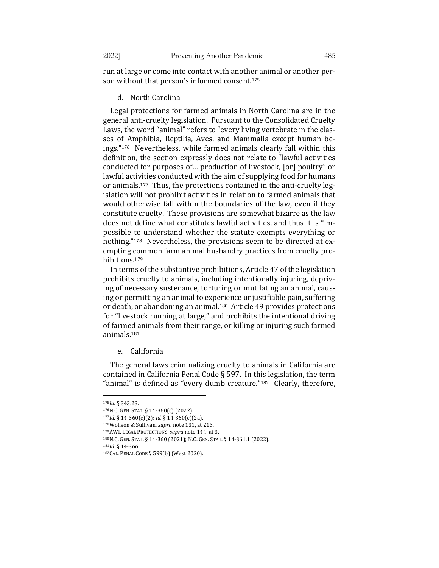run at large or come into contact with another animal or another person without that person's informed consent.<sup>175</sup>

## d. North Carolina

Legal protections for farmed animals in North Carolina are in the general anti-cruelty legislation. Pursuant to the Consolidated Cruelty Laws, the word "animal" refers to "every living vertebrate in the classes of Amphibia, Reptilia, Aves, and Mammalia except human beings."<sup>176</sup> Nevertheless, while farmed animals clearly fall within this definition, the section expressly does not relate to "lawful activities conducted for purposes of... production of livestock, [or] poultry" or lawful activities conducted with the aim of supplying food for humans or animals.<sup>177</sup> Thus, the protections contained in the anti-cruelty legislation will not prohibit activities in relation to farmed animals that would otherwise fall within the boundaries of the law, even if they constitute cruelty. These provisions are somewhat bizarre as the law does not define what constitutes lawful activities, and thus it is "impossible to understand whether the statute exempts everything or nothing."<sup>178</sup> Nevertheless, the provisions seem to be directed at exempting common farm animal husbandry practices from cruelty prohibitions.179

In terms of the substantive prohibitions, Article 47 of the legislation prohibits cruelty to animals, including intentionally injuring, depriving of necessary sustenance, torturing or mutilating an animal, causing or permitting an animal to experience unjustifiable pain, suffering or death, or abandoning an animal.<sup>180</sup> Article 49 provides protections for "livestock running at large," and prohibits the intentional driving of farmed animals from their range, or killing or injuring such farmed animals.181

# e. California

The general laws criminalizing cruelty to animals in California are contained in California Penal Code § 597. In this legislation, the term "animal" is defined as "every dumb creature."<sup>182</sup> Clearly, therefore,

<sup>175</sup>*Id.* § 343.28.

<sup>176</sup>N.C. GEN. STAT. § 14-360(c) (2022).

<sup>177</sup>*Id.* § 14-360(c)(2); *Id.* § 14-360(c)(2a).

<sup>178</sup>Wolfson & Sullivan, *supra* note 131, at 213.

<sup>179</sup> AWI, LEGAL PROTECTIONS, *supra* note 144, at 3.

<sup>180</sup>N.C. GEN. STAT. § 14-360 (2021); N.C. GEN. STAT. § 14-361.1 (2022).

<sup>181</sup>*Id.* § 14-366.

<sup>182</sup>CAL. PENAL CODE § 599(b) (West 2020).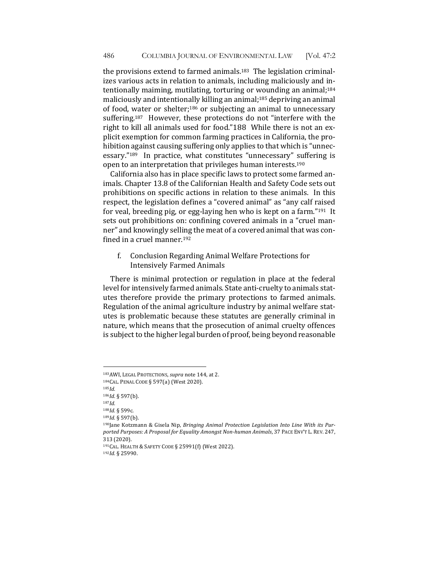the provisions extend to farmed animals.<sup>183</sup> The legislation criminalizes various acts in relation to animals, including maliciously and intentionally maiming, mutilating, torturing or wounding an animal;<sup>184</sup> maliciously and intentionally killing an animal;<sup>185</sup> depriving an animal of food, water or shelter;<sup>186</sup> or subjecting an animal to unnecessary suffering.<sup>187</sup> However, these protections do not "interfere with the right to kill all animals used for food."188 While there is not an explicit exemption for common farming practices in California, the prohibition against causing suffering only applies to that which is "unnecessary."<sup>189</sup> In practice, what constitutes "unnecessary" suffering is open to an interpretation that privileges human interests.<sup>190</sup>

California also has in place specific laws to protect some farmed animals. Chapter 13.8 of the Californian Health and Safety Code sets out prohibitions on specific actions in relation to these animals. In this respect, the legislation defines a "covered animal" as "any calf raised for veal, breeding pig, or egg-laying hen who is kept on a farm." $191$  It sets out prohibitions on: confining covered animals in a "cruel manner" and knowingly selling the meat of a covered animal that was confined in a cruel manner.<sup>192</sup>

f. Conclusion Regarding Animal Welfare Protections for Intensively Farmed Animals

There is minimal protection or regulation in place at the federal level for intensively farmed animals. State anti-cruelty to animals statutes therefore provide the primary protections to farmed animals. Regulation of the animal agriculture industry by animal welfare statutes is problematic because these statutes are generally criminal in nature, which means that the prosecution of animal cruelty offences is subject to the higher legal burden of proof, being beyond reasonable

<sup>183</sup> AWI, LEGAL PROTECTIONS, *supra* note 144, at 2.

<sup>184</sup>CAL. PENAL CODE § 597(a) (West 2020).

 $^{185} \! Id.$ 

<sup>186</sup>*Id.* § 597(b).

<sup>187</sup>*Id.*

<sup>188</sup>*Id.* § 599c. <sup>189</sup>*Id.* § 597(b).

<sup>&</sup>lt;sup>190</sup>Jane Kotzmann & Gisela Nip, Bringing Animal Protection Legislation Into Line With its Purported Purposes: A Proposal for Equality Amongst Non-human Animals, 37 PACE ENV'T L. REV. 247, 313 (2020).

<sup>191</sup> CAL. HEALTH & SAFETY CODE § 25991(f) (West 2022).

<sup>192</sup>*Id.* § 25990.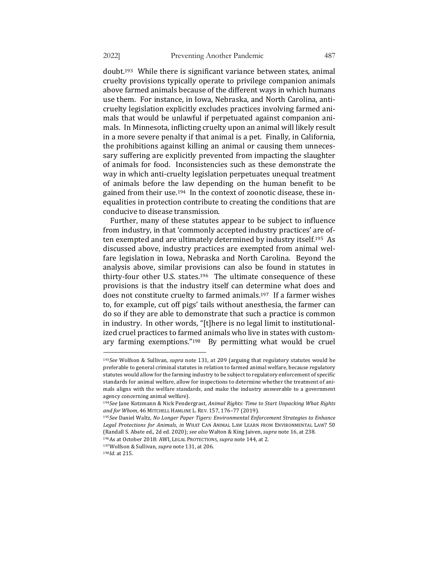doubt.<sup>193</sup> While there is significant variance between states, animal cruelty provisions typically operate to privilege companion animals above farmed animals because of the different ways in which humans use them. For instance, in Iowa, Nebraska, and North Carolina, anticruelty legislation explicitly excludes practices involving farmed animals that would be unlawful if perpetuated against companion animals. In Minnesota, inflicting cruelty upon an animal will likely result in a more severe penalty if that animal is a pet. Finally, in California, the prohibitions against killing an animal or causing them unnecessary suffering are explicitly prevented from impacting the slaughter of animals for food. Inconsistencies such as these demonstrate the way in which anti-cruelty legislation perpetuates unequal treatment of animals before the law depending on the human benefit to be gained from their use.<sup>194</sup> In the context of zoonotic disease, these inequalities in protection contribute to creating the conditions that are conducive to disease transmission.

Further, many of these statutes appear to be subject to influence from industry, in that 'commonly accepted industry practices' are often exempted and are ultimately determined by industry itself.<sup>195</sup> As discussed above, industry practices are exempted from animal welfare legislation in Iowa, Nebraska and North Carolina. Beyond the analysis above, similar provisions can also be found in statutes in thirty-four other U.S. states.<sup>196</sup> The ultimate consequence of these provisions is that the industry itself can determine what does and does not constitute cruelty to farmed animals.<sup>197</sup> If a farmer wishes to, for example, cut off pigs' tails without anesthesia, the farmer can do so if they are able to demonstrate that such a practice is common in industry. In other words, "[t]here is no legal limit to institutionalized cruel practices to farmed animals who live in states with customary farming exemptions."<sup>198</sup> By permitting what would be cruel

<sup>&</sup>lt;sup>193</sup>See Wolfson & Sullivan, *supra* note 131, at 209 (arguing that regulatory statutes would be preferable to general criminal statutes in relation to farmed animal welfare, because regulatory statutes would allow for the farming industry to be subject to regulatory enforcement of specific standards for animal welfare, allow for inspections to determine whether the treatment of animals aligns with the welfare standards, and make the industry answerable to a government agency concerning animal welfare).

<sup>&</sup>lt;sup>194</sup>See Jane Kotzmann & Nick Pendergrast, *Animal Rights: Time to Start Unpacking What Rights* and for Whom, 46 MITCHELL HAMLINE L. REV. 157, 176-77 (2019).

<sup>195</sup>See Daniel Waltz, No Longer Paper Tigers: Environmental Enforcement Strategies to Enhance Legal Protections for Animals, in WHAT CAN ANIMAL LAW LEARN FROM ENVIRONMENTAL LAW? 50 (Randall S. Abate ed., 2d ed. 2020); *see also* Walton & King Jaiven, *supra* note 16, at 238.

<sup>196</sup>As at October 2018: AWI, LEGAL PROTECTIONS, *supra* note 144, at 2.

<sup>&</sup>lt;sup>197</sup>Wolfson & Sullivan, *supra* note 131, at 206.

<sup>198</sup>*Id.* at 215.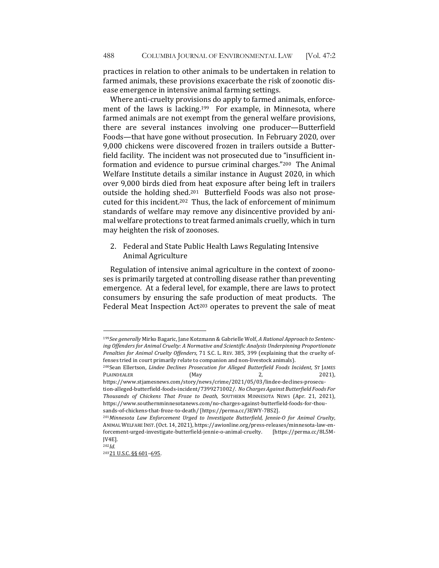practices in relation to other animals to be undertaken in relation to farmed animals, these provisions exacerbate the risk of zoonotic disease emergence in intensive animal farming settings.

Where anti-cruelty provisions do apply to farmed animals, enforcement of the laws is lacking.<sup>199</sup> For example, in Minnesota, where farmed animals are not exempt from the general welfare provisions, there are several instances involving one producer-Butterfield Foods—that have gone without prosecution. In February 2020, over 9,000 chickens were discovered frozen in trailers outside a Butterfield facility. The incident was not prosecuted due to "insufficient information and evidence to pursue criminal charges."<sup>200</sup> The Animal Welfare Institute details a similar instance in August 2020, in which over 9,000 birds died from heat exposure after being left in trailers outside the holding shed.<sup>201</sup> Butterfield Foods was also not prosecuted for this incident.<sup>202</sup> Thus, the lack of enforcement of minimum standards of welfare may remove any disincentive provided by animal welfare protections to treat farmed animals cruelly, which in turn may heighten the risk of zoonoses.

2. Federal and State Public Health Laws Regulating Intensive Animal Agriculture 

Regulation of intensive animal agriculture in the context of zoonoses is primarily targeted at controlling disease rather than preventing emergence. At a federal level, for example, there are laws to protect consumers by ensuring the safe production of meat products. The Federal Meat Inspection Act<sup>203</sup> operates to prevent the sale of meat

<sup>199</sup>*See generally* Mirko Bagaric, Jane Kotzmann & Gabrielle Wolf, *A Rational Approach to Sentenc*ing Offenders for Animal Cruelty: A Normative and Scientific Analysis Underpinning Proportionate *Penalties for Animal Cruelty Offenders*, 71 S.C. L. REV. 385, 399 (explaining that the cruelty offenses tried in court primarily relate to companion and non-livestock animals).

<sup>200</sup>Sean Ellertson, *Lindee Declines Prosecution for Alleged Butterfield Foods Incident*, ST JAMES PLAINDEALER (May 2, 2021),

https://www.stjamesnews.com/story/news/crime/2021/05/03/lindee-declines-prosecution-alleged-butterfield-foods-incident/7399271002/. No Charges Against Butterfield Foods For *Thousands of Chickens That Froze to Death*, SOUTHERN MINNESOTA NEWS (Apr. 21, 2021), https://www.southernminnesotanews.com/no-charges-against-butterfield-foods-for-thousands-of-chickens-that-froze-to-death/ [https://perma.cc/3EWY-7BS2].

<sup>&</sup>lt;sup>201</sup>Minnesota Law Enforcement Urged to Investigate Butterfield, Jennie-O for Animal Cruelty, ANIMAL WELFARE INST. (Oct. 14, 2021), https://awionline.org/press-releases/minnesota-law-enforcement-urged-investigate-butterfield-jennie-o-animal-cruelty. [https://perma.cc/8L5M-JV4E].

<sup>202</sup>*Id.*

<sup>20321</sup> U.S.C. §§ 601-695.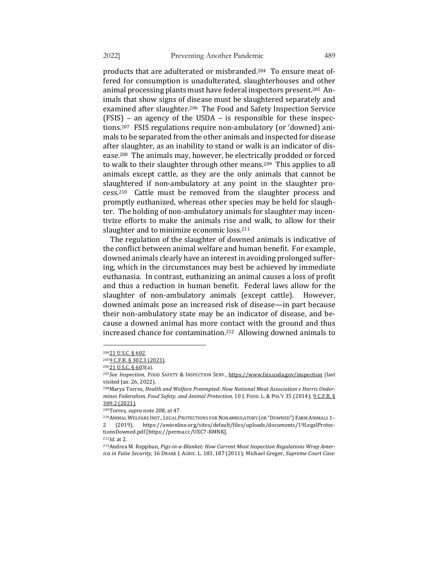products that are adulterated or misbranded.<sup>204</sup> To ensure meat offered for consumption is unadulterated, slaughterhouses and other animal processing plants must have federal inspectors present.<sup>205</sup> Animals that show signs of disease must be slaughtered separately and examined after slaughter.<sup>206</sup> The Food and Safety Inspection Service  $(FSIS)$  – an agency of the USDA – is responsible for these inspections.<sup>207</sup> FSIS regulations require non-ambulatory (or 'downed) animals to be separated from the other animals and inspected for disease after slaughter, as an inability to stand or walk is an indicator of disease.<sup>208</sup> The animals may, however, be electrically prodded or forced to walk to their slaughter through other means.<sup>209</sup> This applies to all animals except cattle, as they are the only animals that cannot be slaughtered if non-ambulatory at any point in the slaughter pro $cess.<sup>210</sup>$  Cattle must be removed from the slaughter process and promptly euthanized, whereas other species may be held for slaughter. The holding of non-ambulatory animals for slaughter may incentivize efforts to make the animals rise and walk, to allow for their slaughter and to minimize economic loss.<sup>211</sup>

The regulation of the slaughter of downed animals is indicative of the conflict between animal welfare and human benefit. For example, downed animals clearly have an interest in avoiding prolonged suffering, which in the circumstances may best be achieved by immediate euthanasia. In contrast, euthanizing an animal causes a loss of profit and thus a reduction in human benefit. Federal laws allow for the slaughter of non-ambulatory animals (except cattle). However, downed animals pose an increased risk of disease—in part because their non-ambulatory state may be an indicator of disease, and because a downed animal has more contact with the ground and thus increased chance for contamination.<sup>212</sup> Allowing downed animals to

<sup>20421</sup> U.S.C. § 602.

<sup>2059</sup> C.F.R. § 302.3 (2021).

<sup>20621</sup> U.S.C. § 603(a).

<sup>&</sup>lt;sup>207</sup>*See Inspection*, FOOD SAFETY & INSPECTION SERV., https://www.fsis.usda.gov/inspection (last visited Jan. 26, 2022).

<sup>&</sup>lt;sup>208</sup> Marya Torrez, *Health and Welfare Preempted: How National Meat Association v Harris Undermines Federalism, Food Safety, and Animal Protection,* 10 J. Food. L. & PoL'Y 35 (2014); 9 C.F.R. § 309.2 (2021).

<sup>&</sup>lt;sup>209</sup>Torrez, *supra* note 208, at 47.

<sup>&</sup>lt;sup>210</sup>ANIMAL WELFARE INST., LEGAL PROTECTIONS FOR NONAMBULATORY (OR "DOWNED") FARM ANIMALS 1-2 (2019), https://awionline.org/sites/default/files/uploads/documents/19LegalProtectionsDowned.pdf [https://perma.cc/UXC7-RMNK].

<sup>211</sup>*Id.* at 2.

<sup>&</sup>lt;sup>212</sup> Andrea M. Repphun, Pigs-in-a-Blanket: How Current Meat Inspection Regulations Wrap Amer*ica in False Security*, 16 DRAKE J. AGRIC. L. 183, 187 (2011); Michael Greger, Supreme Court Case: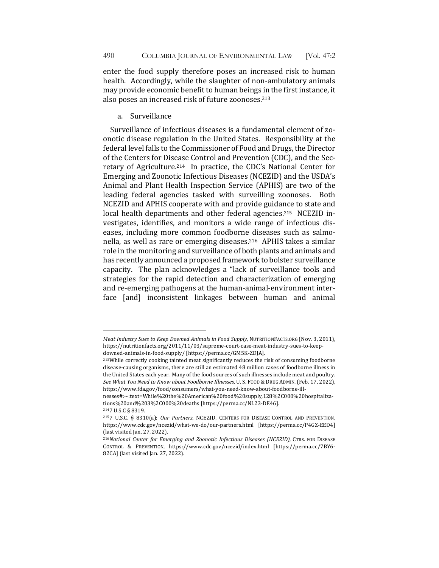enter the food supply therefore poses an increased risk to human health. Accordingly, while the slaughter of non-ambulatory animals may provide economic benefit to human beings in the first instance, it also poses an increased risk of future zoonoses.<sup>213</sup>

a. Surveillance 

Surveillance of infectious diseases is a fundamental element of zoonotic disease regulation in the United States. Responsibility at the federal level falls to the Commissioner of Food and Drugs, the Director of the Centers for Disease Control and Prevention (CDC), and the Secretary of Agriculture.<sup>214</sup> In practice, the CDC's National Center for Emerging and Zoonotic Infectious Diseases (NCEZID) and the USDA's Animal and Plant Health Inspection Service (APHIS) are two of the leading federal agencies tasked with surveilling zoonoses. Both NCEZID and APHIS cooperate with and provide guidance to state and local health departments and other federal agencies.<sup>215</sup> NCEZID investigates, identifies, and monitors a wide range of infectious diseases, including more common foodborne diseases such as salmonella, as well as rare or emerging diseases.<sup>216</sup> APHIS takes a similar role in the monitoring and surveillance of both plants and animals and has recently announced a proposed framework to bolster surveillance capacity. The plan acknowledges a "lack of surveillance tools and strategies for the rapid detection and characterization of emerging and re-emerging pathogens at the human-animal-environment interface [and] inconsistent linkages between human and animal

*Meat Industry Sues to Keep Downed Animals in Food Supply*, NUTRITIONFACTS.ORG (Nov. 3, 2011), https://nutritionfacts.org/2011/11/03/supreme-court-case-meat-industry-sues-to-keepdowned-animals-in-food-supply/ [https://perma.cc/GM5K-ZDJA]. 

<sup>213</sup>While correctly cooking tainted meat significantly reduces the risk of consuming foodborne disease-causing organisms, there are still an estimated 48 million cases of foodborne illness in the United States each year. Many of the food sources of such illnesses include meat and poultry. See What You Need to Know about Foodborne Illnesses, U. S. FOOD & DRUG ADMIN. (Feb. 17, 2022), https://www.fda.gov/food/consumers/what-you-need-know-about-foodborne-ill-

nesses#:~:text=While%20the%20American%20food%20supply,128%2C000%20hospitalizations%20and%203%2C000%20deaths [https://perma.cc/NL23-DE46].

<sup>&</sup>lt;sup>214</sup>7 U.S.C § 8319.

<sup>&</sup>lt;sup>215</sup>7 U.S.C. § 8310(a); Our Partners, NCEZID, CENTERS FOR DISEASE CONTROL AND PREVENTION, https://www.cdc.gov/ncezid/what-we-do/our-partners.html [https://perma.cc/P4GZ-EED4] (last visited Jan. 27, 2022).

<sup>&</sup>lt;sup>216</sup>National Center for Emerging and Zoonotic Infectious Diseases (NCEZID), CTRS. FOR DISEASE CONTROL & PREVENTION, https://www.cdc.gov/ncezid/index.html [https://perma.cc/7BY6- 82CA] (last visited Jan. 27, 2022).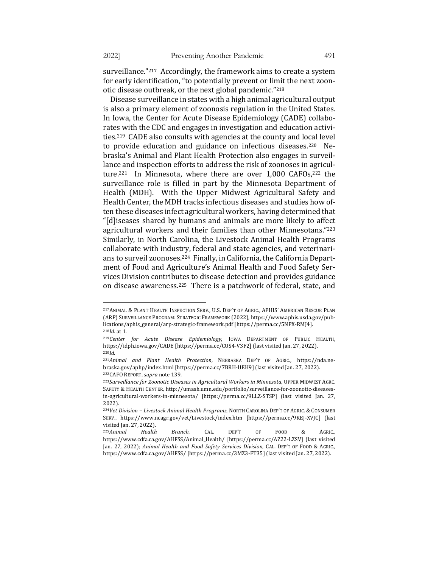surveillance."<sup>217</sup> Accordingly, the framework aims to create a system for early identification, "to potentially prevent or limit the next zoonotic disease outbreak, or the next global pandemic."<sup>218</sup>

Disease surveillance in states with a high animal agricultural output is also a primary element of zoonosis regulation in the United States. In Iowa, the Center for Acute Disease Epidemiology (CADE) collaborates with the CDC and engages in investigation and education activities.<sup>219</sup> CADE also consults with agencies at the county and local level to provide education and guidance on infectious diseases.<sup>220</sup> Nebraska's Animal and Plant Health Protection also engages in surveillance and inspection efforts to address the risk of zoonoses in agriculture.<sup>221</sup> In Minnesota, where there are over  $1,000$  CAFOs,<sup>222</sup> the surveillance role is filled in part by the Minnesota Department of Health (MDH). With the Upper Midwest Agricultural Safety and Health Center, the MDH tracks infectious diseases and studies how often these diseases infect agricultural workers, having determined that "[d]iseases shared by humans and animals are more likely to affect agricultural workers and their families than other Minnesotans."223 Similarly, in North Carolina, the Livestock Animal Health Programs collaborate with industry, federal and state agencies, and veterinarians to surveil zoonoses.<sup>224</sup> Finally, in California, the California Department of Food and Agriculture's Animal Health and Food Safety Services Division contributes to disease detection and provides guidance on disease awareness.<sup>225</sup> There is a patchwork of federal, state, and

<sup>217</sup> ANIMAL & PLANT HEALTH INSPECTION SERV., U.S. DEP'T OF AGRIC., APHIS' AMERICAN RESCUE PLAN (ARP) SURVEILLANCE PROGRAM: STRATEGIC FRAMEWORK (2022), https://www.aphis.usda.gov/publications/aphis\_general/arp-strategic-framework.pdf [https://perma.cc/5NPX-RMJ4]. 218*Id.* at 1.

<sup>&</sup>lt;sup>219</sup>Center for Acute Disease Epidemiology, IOWA DEPARTMENT OF PUBLIC HEALTH, https://idph.iowa.gov/CADE [https://perma.cc/CUS4-V3F2] (last visited Jan. 27, 2022). <sup>220</sup>*Id*.

<sup>&</sup>lt;sup>221</sup>Animal and Plant Health Protection, NEBRASKA DEP'T OF AGRIC., https://nda.nebraska.gov/aphp/index.html [https://perma.cc/7BRH-UEH9] (last visited Jan. 27, 2022). <sup>222</sup>CAFO REPORT, *supra* note 139.

<sup>223</sup>Surveillance for Zoonotic Diseases in Agricultural Workers in Minnesota, UPPER MIDWEST AGRC. SAFETY & HEALTH CENTER, http://umash.umn.edu/portfolio/surveillance-for-zoonotic-diseasesin-agricultural-workers-in-minnesota/ [https://perma.cc/9LLZ-STSP] (last visited Jan. 27, 2022).

<sup>&</sup>lt;sup>224</sup>Vet Division - Livestock Animal Health Programs, NORTH CAROLINA DEP'T OF AGRIC. & CONSUMER SERV., https://www.ncagr.gov/vet/Livestock/index.htm [https://perma.cc/9KEJ-XVJC] (last visited Jan. 27, 2022).

<sup>225</sup>*Animal Health Branch*, CAL. DEP'T OF FOOD & AGRIC., https://www.cdfa.ca.gov/AHFSS/Animal\_Health/ [https://perma.cc/AZ22-LZSV] (last visited Jan. 27, 2022); Animal Health and Food Safety Services Division, CAL. DEP'T OF FOOD & AGRIC., https://www.cdfa.ca.gov/AHFSS/ [https://perma.cc/3MZ3-FT35] (last visited Jan. 27, 2022).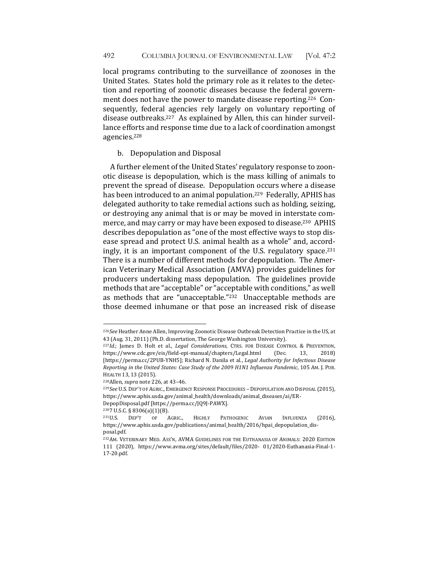local programs contributing to the surveillance of zoonoses in the United States. States hold the primary role as it relates to the detection and reporting of zoonotic diseases because the federal government does not have the power to mandate disease reporting.<sup>226</sup> Consequently, federal agencies rely largely on voluntary reporting of disease outbreaks.<sup>227</sup> As explained by Allen, this can hinder surveillance efforts and response time due to a lack of coordination amongst agencies.228

## b. Depopulation and Disposal

A further element of the United States' regulatory response to zoonotic disease is depopulation, which is the mass killing of animals to prevent the spread of disease. Depopulation occurs where a disease has been introduced to an animal population.<sup>229</sup> Federally, APHIS has delegated authority to take remedial actions such as holding, seizing, or destroying any animal that is or may be moved in interstate commerce, and may carry or may have been exposed to disease.<sup>230</sup> APHIS describes depopulation as "one of the most effective ways to stop disease spread and protect U.S. animal health as a whole" and, accordingly, it is an important component of the U.S. regulatory space.<sup>231</sup> There is a number of different methods for depopulation. The American Veterinary Medical Association (AMVA) provides guidelines for producers undertaking mass depopulation. The guidelines provide methods that are "acceptable" or "acceptable with conditions," as well as methods that are "unacceptable."<sup>232</sup> Unacceptable methods are those deemed inhumane or that pose an increased risk of disease

<sup>&</sup>lt;sup>226</sup>See Heather Anne Allen, Improving Zoonotic Disease Outbreak Detection Practice in the US, at 43 (Aug. 31, 2011) (Ph.D. dissertation, The George Washington University).

<sup>&</sup>lt;sup>227</sup>*Id.*; James D. Holt et al., *Legal Considerations*, CTRS. FOR DISEASE CONTROL & PREVENTION, https://www.cdc.gov/eis/field-epi-manual/chapters/Legal.html (Dec. 13, 2018) [https://perma.cc/2PUB-YNH5]; Richard N. Danila et al., *Legal Authority for Infectious Disease* Reporting in the United States: Case Study of the 2009 H1N1 Influenza Pandemic, 105 AM. J. PUB. HEALTH 13, 13 (2015).

<sup>&</sup>lt;sup>228</sup>Allen, *supra* note 226, at 43-46.

<sup>&</sup>lt;sup>229</sup>See U.S. DEP'T OF AGRIC., EMERGENCY RESPONSE PROCEDURES - DEPOPULATION AND DISPOSAL (2015), https://www.aphis.usda.gov/animal\_health/downloads/animal\_diseases/ai/ER-

DepopDisposal.pdf [https://perma.cc/JQ9J-PAWX].

<sup>2307</sup> U.S.C. § 8306(a)(1)(B).

<sup>&</sup>lt;sup>231</sup>U.S. DEP'T OF AGRIC., HIGHLY PATHOGENIC AVIAN INFLUENZA (2016), https://www.aphis.usda.gov/publications/animal\_health/2016/hpai\_depopulation\_disposal.pdf.

<sup>232</sup>AM. VETERINARY MED. ASS'N, AVMA GUIDELINES FOR THE EUTHANASIA OF ANIMALS: 2020 EDITION 111 (2020), https://www.avma.org/sites/default/files/2020- 01/2020-Euthanasia-Final-1- 17-20.pdf.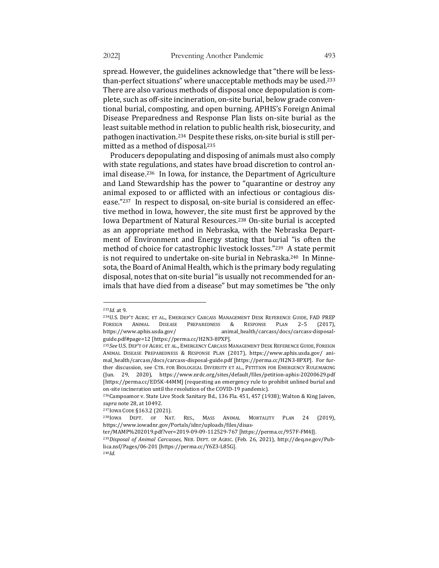spread. However, the guidelines acknowledge that "there will be lessthan-perfect situations" where unacceptable methods may be used.<sup>233</sup> There are also various methods of disposal once depopulation is complete, such as off-site incineration, on-site burial, below grade conventional burial, composting, and open burning. APHIS's Foreign Animal Disease Preparedness and Response Plan lists on-site burial as the least suitable method in relation to public health risk, biosecurity, and pathogen inactivation.<sup>234</sup> Despite these risks, on-site burial is still per-

Producers depopulating and disposing of animals must also comply with state regulations, and states have broad discretion to control animal disease.<sup>236</sup> In Iowa, for instance, the Department of Agriculture and Land Stewardship has the power to "quarantine or destroy any animal exposed to or afflicted with an infectious or contagious disease."<sup>237</sup> In respect to disposal, on-site burial is considered an effective method in Iowa, however, the site must first be approved by the Iowa Department of Natural Resources.<sup>238</sup> On-site burial is accepted as an appropriate method in Nebraska, with the Nebraska Department of Environment and Energy stating that burial "is often the method of choice for catastrophic livestock losses."239 A state permit is not required to undertake on-site burial in Nebraska.<sup>240</sup> In Minnesota, the Board of Animal Health, which is the primary body regulating disposal, notes that on-site burial "is usually not recommended for animals that have died from a disease" but may sometimes be "the only

mitted as a method of disposal.<sup>235</sup>

<sup>233</sup>*Id.* at 9.

<sup>234</sup>U.S. DEP'T AGRIC. ET AL., EMERGENCY CARCASS MANAGEMENT DESK REFERENCE GUIDE, FAD PREP FOREIGN ANIMAL DISEASE PREPAREDNESS & RESPONSE PLAN 2-5 (2017), https://www.aphis.usda.gov/ animal\_health/carcass/docs/carcass-disposalguide.pdf#page=12 [https://perma.cc/H2N3-8PXP].

<sup>235</sup>See U.S. DEP'T OF AGRIC. ET AL., EMERGENCY CARCASS MANAGEMENT DESK REFERENCE GUIDE, FOREIGN ANIMAL DISEASE PREPAREDNESS & RESPONSE PLAN (2017), https://www.aphis.usda.gov/ animal\_health/carcass/docs/carcass-disposal-guide.pdf [https://perma.cc/H2N3-8PXP]. For further discussion, see CTR. FOR BIOLOGICAL DIVERSITY ET AL., PETITION FOR EMERGENCY RULEMAKING (Jun. 29, 2020), https://www.nrdc.org/sites/default/files/petition-aphis-20200629.pdf [https://perma.cc/ED5K-44MM] (requesting an emergency rule to prohibit unlined burial and on-site incineration until the resolution of the COVID-19 pandemic).

<sup>&</sup>lt;sup>236</sup>Campoamor v. State Live Stock Sanitary Bd., 136 Fla. 451, 457 (1938); Walton & King Jaiven, *supra* note 28, at 10492.

<sup>237</sup>IOWA CODE §163.2 (2021).

<sup>&</sup>lt;sup>238</sup>IOWA DEPT. OF NAT. RES., MASS ANIMAL MORTALITY PLAN 24 (2019), https://www.iowadnr.gov/Portals/idnr/uploads/files/disas-

ter/MAMP%202019.pdf?ver=2019-09-09-112529-767 [https://perma.cc/957F-FM4J].

<sup>&</sup>lt;sup>239</sup>Disposal of Animal Carcasses, NEB. DEPT. OF AGRIC. (Feb. 26, 2021), http://deq.ne.gov/Publica.nsf/Pages/06-201 [https://perma.cc/Y6Z3-L85G]. 240*Id.*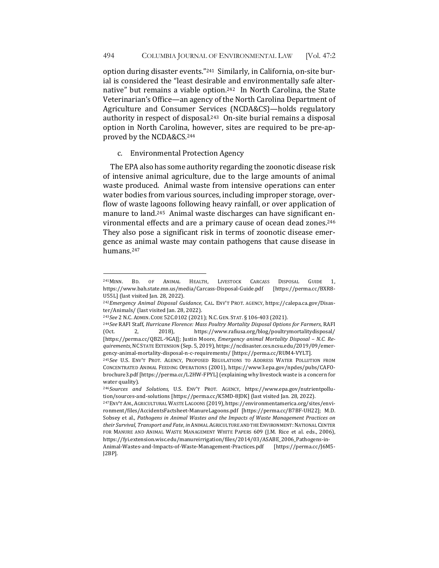option during disaster events."<sup>241</sup> Similarly, in California, on-site burial is considered the "least desirable and environmentally safe alternative" but remains a viable option.<sup>242</sup> In North Carolina, the State Veterinarian's Office—an agency of the North Carolina Department of Agriculture and Consumer Services (NCDA&CS)—holds regulatory authority in respect of disposal.<sup>243</sup> On-site burial remains a disposal option in North Carolina, however, sites are required to be pre-approved by the NCDA&CS.<sup>244</sup>

## c. Environmental Protection Agency

The EPA also has some authority regarding the zoonotic disease risk of intensive animal agriculture, due to the large amounts of animal waste produced. Animal waste from intensive operations can enter water bodies from various sources, including improper storage, overflow of waste lagoons following heavy rainfall, or over application of manure to land.<sup>245</sup> Animal waste discharges can have significant environmental effects and are a primary cause of ocean dead zones.<sup>246</sup> They also pose a significant risk in terms of zoonotic disease emergence as animal waste may contain pathogens that cause disease in humans.247

<sup>&</sup>lt;sup>241</sup>MINN. BD. OF ANIMAL HEALTH, LIVESTOCK CARCASS DISPOSAL GUIDE 1, https://www.bah.state.mn.us/media/Carcass-Disposal-Guide.pdf [https://perma.cc/BXR8- U55L] (last visited Jan. 28, 2022).

<sup>&</sup>lt;sup>242</sup>*Emergency Animal Disposal Guidance, CAL. ENV'T PROT. AGENCY, https://calepa.ca.gov/Disas*ter/Animals/ (last visited Jan. 28, 2022).

<sup>&</sup>lt;sup>243</sup>See 2 N.C. ADMIN. CODE 52C.0102 (2021); N.C. GEN. STAT. § 106-403 (2021).

<sup>&</sup>lt;sup>244</sup>See RAFI Staff, *Hurricane Florence: Mass Poultry Mortality Disposal Options for Farmers*, RAFI (Oct. 2, 2018), https://www.rafiusa.org/blog/poultrymortalitydisposal/ [https://perma.cc/QB2L-9GAJ]; Justin Moore, *Emergency animal Mortality Disposal - N.C. Requirements*, NC STATE EXTENSION (Sep. 5, 2019), https://ncdisaster.ces.ncsu.edu/2019/09/emergency-animal-mortality-disposal-n-c-requirements/ [https://perma.cc/RUM4-VYLT].

<sup>&</sup>lt;sup>245</sup>See U.S. ENV'T PROT. AGENCY, PROPOSED REGULATIONS TO ADDRESS WATER POLLUTION FROM CONCENTRATED ANIMAL FEEDING OPERATIONS (2001), https://www3.epa.gov/npdes/pubs/CAFObrochure3.pdf [https://perma.cc/L2HW-FPYL] (explaining why livestock waste is a concern for water quality).

<sup>&</sup>lt;sup>246</sup>Sources and Solutions, U.S. ENV'T PROT. AGENCY, https://www.epa.gov/nutrientpollution/sources-and-solutions [https://perma.cc/K5MD-8]DK] (last visited Jan. 28, 2022).

<sup>247</sup>ENV'T AM., AGRICULTURAL WASTE LAGOONS (2019), https://environmentamerica.org/sites/environment/files/AccidentsFactsheet-ManureLagoons.pdf [https://perma.cc/B7BF-UH22]; M.D. Sobsey et al., Pathogens in Animal Wastes and the Impacts of Waste Management Practices on *their Survival, Transport and Fate, in ANIMAL AGRICULTURE AND THE ENVIRONMENT: NATIONAL CENTER* FOR MANURE AND ANIMAL WASTE MANAGEMENT WHITE PAPERS 609 (J.M. Rice et al. eds., 2006), https://fyi.extension.wisc.edu/manureirrigation/files/2014/03/ASABE\_2006\_Pathogens-in-Animal-Wastes-and-Impacts-of-Waste-Management-Practices.pdf [https://perma.cc/J6M5-

J2BP].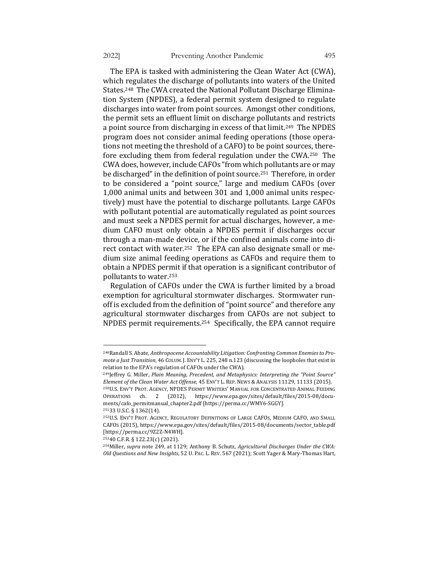The EPA is tasked with administering the Clean Water Act (CWA), which regulates the discharge of pollutants into waters of the United States.<sup>248</sup> The CWA created the National Pollutant Discharge Elimination System (NPDES), a federal permit system designed to regulate discharges into water from point sources. Amongst other conditions, the permit sets an effluent limit on discharge pollutants and restricts a point source from discharging in excess of that limit.<sup>249</sup> The NPDES program does not consider animal feeding operations (those operations not meeting the threshold of a CAFO) to be point sources, therefore excluding them from federal regulation under the CWA.<sup>250</sup> The CWA does, however, include CAFOs "from which pollutants are or may be discharged" in the definition of point source.<sup>251</sup> Therefore, in order to be considered a "point source," large and medium CAFOs (over 1,000 animal units and between 301 and 1,000 animal units respectively) must have the potential to discharge pollutants. Large CAFOs with pollutant potential are automatically regulated as point sources and must seek a NPDES permit for actual discharges, however, a medium CAFO must only obtain a NPDES permit if discharges occur through a man-made device, or if the confined animals come into direct contact with water.<sup>252</sup> The EPA can also designate small or medium size animal feeding operations as CAFOs and require them to obtain a NPDES permit if that operation is a significant contributor of pollutants to water.<sup>253</sup>

Regulation of CAFOs under the CWA is further limited by a broad exemption for agricultural stormwater discharges. Stormwater runoff is excluded from the definition of "point source" and therefore any agricultural stormwater discharges from CAFOs are not subject to NPDES permit requirements.<sup>254</sup> Specifically, the EPA cannot require

25340 C.F.R. § 122.23(c) (2021).

<sup>&</sup>lt;sup>248</sup>Randall S. Abate, *Anthropocene Accountability Litigation: Confronting Common Enemies to Promote a Just Transition*, 46 COLUM. J. ENV'T L. 225, 248 n.123 (discussing the loopholes that exist in relation to the EPA's regulation of CAFOs under the CWA).

<sup>&</sup>lt;sup>249</sup>Jeffrey G. Miller, *Plain Meaning, Precedent, and Metaphysics: Interpreting the "Point Source" Element of the Clean Water Act Offense*, 45 ENV'T L. REP. NEWS & ANALYSIS 11129, 11133 (2015). 250U.S. ENV'T PROT. AGENCY, NPDES PERMIT WRITERS' MANUAL FOR CONCENTRATED ANIMAL FEEDING

OPERATIONS ch. 2 (2012), https://www.epa.gov/sites/default/files/2015-08/documents/cafo\_permitmanual\_chapter2.pdf [https://perma.cc/WMY6-SGGY].

<sup>25133</sup> U.S.C. § 1362(14).

<sup>&</sup>lt;sup>252</sup>U.S. ENV'T PROT. AGENCY, REGULATORY DEFINITIONS OF LARGE CAFOS, MEDIUM CAFO, AND SMALL CAFOS (2015), https://www.epa.gov/sites/default/files/2015-08/documents/sector\_table.pdf [https://perma.cc/9Z2Z-N4WH].

<sup>&</sup>lt;sup>254</sup>Miller, *supra* note 249, at 1129; Anthony B. Schutz, *Agricultural Discharges Under the CWA: Old Questions and New Insights*, 52 U. PAC. L. REV. 567 (2021); Scott Yager & Mary-Thomas Hart,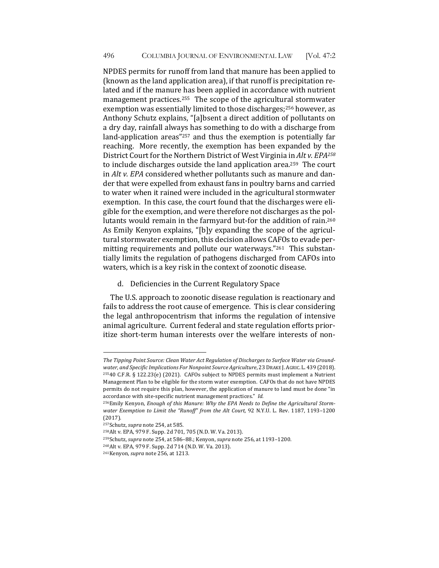NPDES permits for runoff from land that manure has been applied to (known as the land application area), if that runoff is precipitation related and if the manure has been applied in accordance with nutrient management practices.<sup>255</sup> The scope of the agricultural stormwater exemption was essentially limited to those discharges;<sup>256</sup> however, as Anthony Schutz explains, "[a]bsent a direct addition of pollutants on a dry day, rainfall always has something to do with a discharge from land-application areas" $257$  and thus the exemption is potentially far reaching. More recently, the exemption has been expanded by the District Court for the Northern District of West Virginia in Alt v. EPA<sup>258</sup> to include discharges outside the land application area.<sup>259</sup> The court in *Alt v. EPA* considered whether pollutants such as manure and dander that were expelled from exhaust fans in poultry barns and carried to water when it rained were included in the agricultural stormwater exemption. In this case, the court found that the discharges were eligible for the exemption, and were therefore not discharges as the pollutants would remain in the farmyard but-for the addition of rain.<sup>260</sup> As Emily Kenyon explains, "[b]y expanding the scope of the agricultural stormwater exemption, this decision allows CAFOs to evade permitting requirements and pollute our waterways."<sup>261</sup> This substantially limits the regulation of pathogens discharged from CAFOs into waters, which is a key risk in the context of zoonotic disease.

d. Deficiencies in the Current Regulatory Space

The U.S. approach to zoonotic disease regulation is reactionary and fails to address the root cause of emergence. This is clear considering the legal anthropocentrism that informs the regulation of intensive animal agriculture. Current federal and state regulation efforts prioritize short-term human interests over the welfare interests of non-

<sup>259</sup>Schutz, *supra* note 254, at 586-88.; Kenyon, *supra* note 256, at 1193-1200.

The Tipping Point Source: Clean Water Act Regulation of Discharges to Surface Water via Groundwater, and Specific Implications For Nonpoint Source Agriculture, 23 DRAKE J. AGRIC. L. 439 (2018).  $25540$  C.F.R. § 122.23(e) (2021). CAFOs subject to NPDES permits must implement a Nutrient Management Plan to be eligible for the storm water exemption. CAFOs that do not have NPDES permits do not require this plan, however, the application of manure to land must be done "in accordance with site-specific nutrient management practices." *Id.* 

<sup>&</sup>lt;sup>256</sup>Emily Kenyon, *Enough of this Manure: Why the EPA Needs to Define the Agricultural Storm*water Exemption to Limit the "Runoff" from the Alt Court, 92 N.Y.U. L. Rev. 1187, 1193-1200 (2017).

<sup>&</sup>lt;sup>257</sup>Schutz, *supra* note 254, at 585.

<sup>258</sup>Alt v. EPA, 979 F. Supp. 2d 701, 705 (N.D. W. Va. 2013).

<sup>260</sup>Alt v. EPA, 979 F. Supp. 2d 714 (N.D. W. Va. 2013).

<sup>&</sup>lt;sup>261</sup>Kenyon, *supra* note 256, at 1213.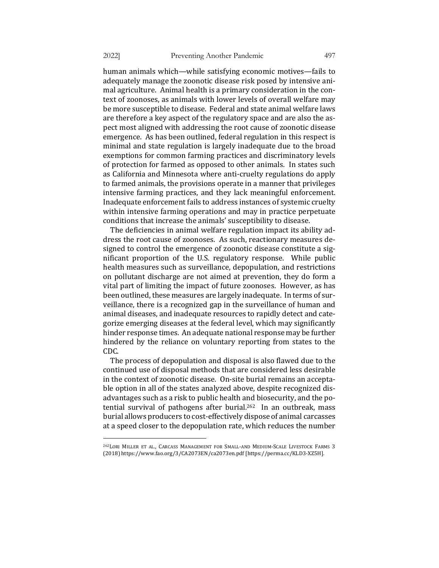human animals which—while satisfying economic motives—fails to adequately manage the zoonotic disease risk posed by intensive animal agriculture. Animal health is a primary consideration in the context of zoonoses, as animals with lower levels of overall welfare may be more susceptible to disease. Federal and state animal welfare laws are therefore a key aspect of the regulatory space and are also the aspect most aligned with addressing the root cause of zoonotic disease emergence. As has been outlined, federal regulation in this respect is minimal and state regulation is largely inadequate due to the broad exemptions for common farming practices and discriminatory levels of protection for farmed as opposed to other animals. In states such as California and Minnesota where anti-cruelty regulations do apply to farmed animals, the provisions operate in a manner that privileges intensive farming practices, and they lack meaningful enforcement. Inadequate enforcement fails to address instances of systemic cruelty within intensive farming operations and may in practice perpetuate conditions that increase the animals' susceptibility to disease.

The deficiencies in animal welfare regulation impact its ability address the root cause of zoonoses. As such, reactionary measures designed to control the emergence of zoonotic disease constitute a significant proportion of the U.S. regulatory response. While public health measures such as surveillance, depopulation, and restrictions on pollutant discharge are not aimed at prevention, they do form a vital part of limiting the impact of future zoonoses. However, as has been outlined, these measures are largely inadequate. In terms of surveillance, there is a recognized gap in the surveillance of human and animal diseases, and inadequate resources to rapidly detect and categorize emerging diseases at the federal level, which may significantly hinder response times. An adequate national response may be further hindered by the reliance on voluntary reporting from states to the CDC. 

The process of depopulation and disposal is also flawed due to the continued use of disposal methods that are considered less desirable in the context of zoonotic disease. On-site burial remains an acceptable option in all of the states analyzed above, despite recognized disadvantages such as a risk to public health and biosecurity, and the potential survival of pathogens after burial.<sup>262</sup> In an outbreak, mass burial allows producers to cost-effectively dispose of animal carcasses at a speed closer to the depopulation rate, which reduces the number

<sup>&</sup>lt;sup>262</sup>LORI MILLER ET AL., CARCASS MANAGEMENT FOR SMALL-AND MEDIUM-SCALE LIVESTOCK FARMS 3 (2018) https://www.fao.org/3/CA2073EN/ca2073en.pdf [https://perma.cc/KLD3-XZ5H].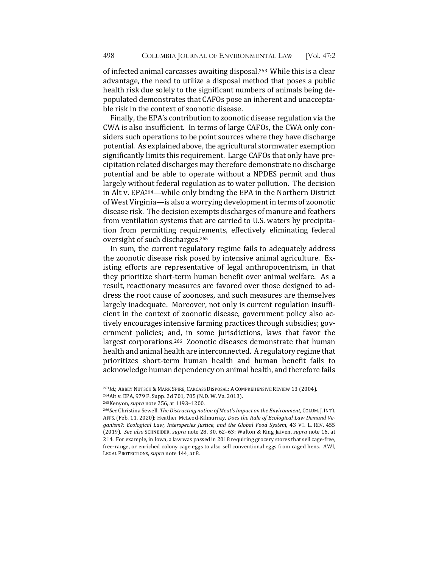of infected animal carcasses awaiting disposal.<sup>263</sup> While this is a clear advantage, the need to utilize a disposal method that poses a public health risk due solely to the significant numbers of animals being depopulated demonstrates that CAFOs pose an inherent and unacceptable risk in the context of zoonotic disease.

Finally, the EPA's contribution to zoonotic disease regulation via the CWA is also insufficient. In terms of large CAFOs, the CWA only considers such operations to be point sources where they have discharge potential. As explained above, the agricultural stormwater exemption significantly limits this requirement. Large CAFOs that only have precipitation related discharges may therefore demonstrate no discharge potential and be able to operate without a NPDES permit and thus largely without federal regulation as to water pollution. The decision in Alt v. EPA<sup>264</sup>—while only binding the EPA in the Northern District of West Virginia—is also a worrying development in terms of zoonotic disease risk. The decision exempts discharges of manure and feathers from ventilation systems that are carried to U.S. waters by precipitation from permitting requirements, effectively eliminating federal oversight of such discharges.<sup>265</sup>

In sum, the current regulatory regime fails to adequately address the zoonotic disease risk posed by intensive animal agriculture. Existing efforts are representative of legal anthropocentrism, in that they prioritize short-term human benefit over animal welfare. As a result, reactionary measures are favored over those designed to address the root cause of zoonoses, and such measures are themselves largely inadequate. Moreover, not only is current regulation insufficient in the context of zoonotic disease, government policy also actively encourages intensive farming practices through subsidies; government policies; and, in some jurisdictions, laws that favor the largest corporations.<sup>266</sup> Zoonotic diseases demonstrate that human health and animal health are interconnected. A regulatory regime that prioritizes short-term human health and human benefit fails to acknowledge human dependency on animal health, and therefore fails

<sup>&</sup>lt;sup>263</sup>Id.; ABBEY NUTSCH & MARK SPIRE, CARCASS DISPOSAL: A COMPREHENSIVE REVIEW 13 (2004). 264Alt v. EPA, 979 F. Supp. 2d 701, 705 (N.D. W. Va. 2013).

<sup>&</sup>lt;sup>265</sup>Kenyon, *supra* note 256, at 1193-1200.

<sup>266</sup>*See* Christina Sewell, *The Distracting notion of Meat's Impact on the Environment*, COLUM. J. INT'L AFFS. (Feb. 11, 2020); Heather McLeod-Kilmurray, *Does the Rule of Ecological Law Demand Veganism?: Ecological Law, Interspecies Justice, and the Global Food System*, 43 VT. L. REV. 455 (2019). *See also* SCHNEIDER, *supra* note 28, 30, 62–63; Walton & King Jaiven, *supra* note 16, at 214. For example, in Iowa, a law was passed in 2018 requiring grocery stores that sell cage-free, free-range, or enriched colony cage eggs to also sell conventional eggs from caged hens. AWI, LEGAL PROTECTIONS, *supra* note 144, at 8.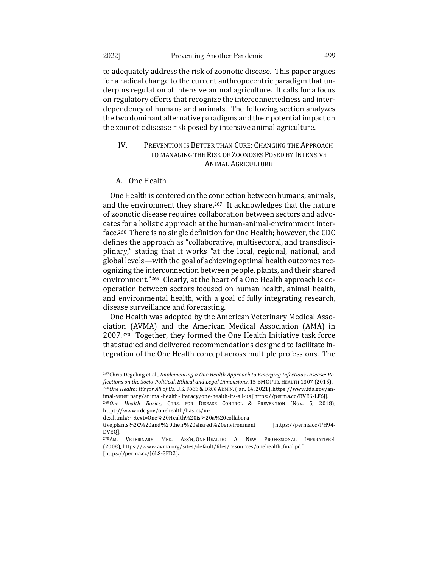to adequately address the risk of zoonotic disease. This paper argues for a radical change to the current anthropocentric paradigm that underpins regulation of intensive animal agriculture. It calls for a focus on regulatory efforts that recognize the interconnectedness and interdependency of humans and animals. The following section analyzes the two dominant alternative paradigms and their potential impact on the zoonotic disease risk posed by intensive animal agriculture.

# IV. PREVENTION IS BETTER THAN CURE: CHANGING THE APPROACH TO MANAGING THE RISK OF ZOONOSES POSED BY INTENSIVE ANIMAL AGRICULTURE

#### A. One Health

One Health is centered on the connection between humans, animals, and the environment they share.<sup>267</sup> It acknowledges that the nature of zoonotic disease requires collaboration between sectors and advocates for a holistic approach at the human-animal-environment interface.<sup>268</sup> There is no single definition for One Health; however, the CDC defines the approach as "collaborative, multisectoral, and transdisciplinary," stating that it works "at the local, regional, national, and global levels—with the goal of achieving optimal health outcomes recognizing the interconnection between people, plants, and their shared environment."<sup>269</sup> Clearly, at the heart of a One Health approach is cooperation between sectors focused on human health, animal health, and environmental health, with a goal of fully integrating research, disease surveillance and forecasting.

One Health was adopted by the American Veterinary Medical Association (AVMA) and the American Medical Association (AMA) in  $2007<sup>270</sup>$  Together, they formed the One Health Initiative task force that studied and delivered recommendations designed to facilitate integration of the One Health concept across multiple professions. The

imal-veterinary/animal-health-literacy/one-health-its-all-us [https://perma.cc/BVE6-LF6]].

<sup>&</sup>lt;sup>267</sup>Chris Degeling et al., *Implementing a One Health Approach to Emerging Infectious Disease: Re*flections on the Socio-Political, Ethical and Legal Dimensions, 15 BMC PUB. HEALTH 1307 (2015). <sup>268</sup>One Health: It's for All of Us, U.S. Food & DRUG ADMIN. (Jan. 14, 2021), https://www.fda.gov/an-

<sup>&</sup>lt;sup>269</sup>One Health Basics, CTRS. FOR DISEASE CONTROL & PREVENTION (Nov. 5, 2018), https://www.cdc.gov/onehealth/basics/in-

dex.html#:~:text=One%20Health%20is%20a%20collabora-

tive,plants%2C%20and%20their%20shared%20environment [https://perma.cc/PH94- DVEQ].

<sup>&</sup>lt;sup>270</sup>AM. VETERINARY MED. ASS'N, ONE HEALTH: A NEW PROFESSIONAL IMPERATIVE 4 (2008), https://www.avma.org/sites/default/files/resources/onehealth\_final.pdf [https://perma.cc/J6LS-3FD2].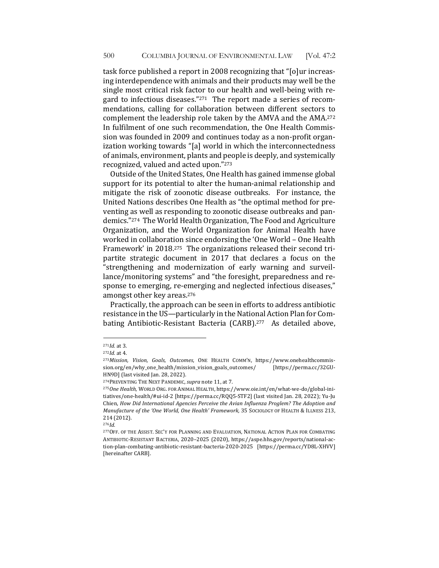task force published a report in 2008 recognizing that "[o]ur increasing interdependence with animals and their products may well be the single most critical risk factor to our health and well-being with regard to infectious diseases." $271$  The report made a series of recommendations, calling for collaboration between different sectors to complement the leadership role taken by the AMVA and the AMA.<sup>272</sup> In fulfilment of one such recommendation, the One Health Commission was founded in 2009 and continues today as a non-profit organization working towards "[a] world in which the interconnectedness of animals, environment, plants and people is deeply, and systemically recognized, valued and acted upon."273

Outside of the United States, One Health has gained immense global support for its potential to alter the human-animal relationship and mitigate the risk of zoonotic disease outbreaks. For instance, the United Nations describes One Health as "the optimal method for preventing as well as responding to zoonotic disease outbreaks and pandemics."274 The World Health Organization, The Food and Agriculture Organization, and the World Organization for Animal Health have worked in collaboration since endorsing the 'One World - One Health Framework' in 2018.<sup>275</sup> The organizations released their second tripartite strategic document in 2017 that declares a focus on the "strengthening and modernization of early warning and surveillance/monitoring systems" and "the foresight, preparedness and response to emerging, re-emerging and neglected infectious diseases," amongst other key areas.<sup>276</sup>

Practically, the approach can be seen in efforts to address antibiotic resistance in the US—particularly in the National Action Plan for Combating Antibiotic-Resistant Bacteria (CARB).<sup>277</sup> As detailed above,

<sup>271</sup>*Id.* at 3.

 $272$ *Id.* at 4.

<sup>&</sup>lt;sup>273</sup>Mission, Vision, Goals, Outcomes, ONE HEALTH COMM'N, https://www.onehealthcommission.org/en/why\_one\_health/mission\_vision\_goals\_outcomes/ [https://perma.cc/32GU-HN9D] (last visited Jan. 28, 2022).

<sup>&</sup>lt;sup>274</sup>PREVENTING THE NEXT PANDEMIC, supra note 11, at 7.

<sup>&</sup>lt;sup>275</sup>One Health, WORLD ORG. FOR ANIMAL HEALTH, https://www.oie.int/en/what-we-do/global-initiatives/one-health/#ui-id-2 [https://perma.cc/RQQ5-STF2] (last visited Jan. 28, 2022); Yu-Ju Chien, *How Did International Agencies Perceive the Avian Influenza Proglem? The Adoption and Manufacture of the 'One World, One Health' Framework,* 35 SOCIOLOGY OF HEALTH & ILLNESS 213, 214 (2012).

 $276$ *Id.* 

<sup>277</sup> OFF. OF THE ASSIST. SEC'Y FOR PLANNING AND EVALUATION, NATIONAL ACTION PLAN FOR COMBATING ANTIBIOTIC-RESISTANT BACTERIA, 2020–2025 (2020), https://aspe.hhs.gov/reports/national-action-plan-combating-antibiotic-resistant-bacteria-2020-2025 [https://perma.cc/YD8L-XHVV] [hereinafter CARB].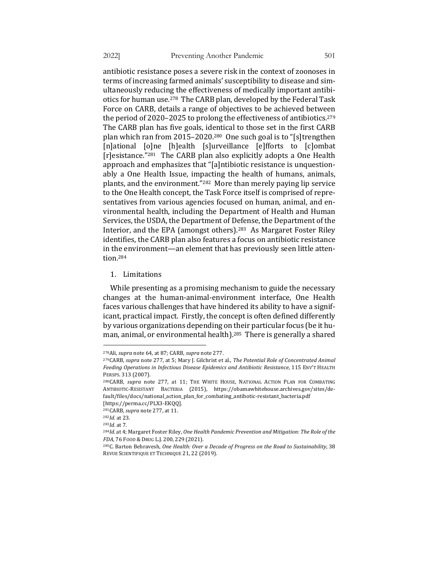antibiotic resistance poses a severe risk in the context of zoonoses in terms of increasing farmed animals' susceptibility to disease and simultaneously reducing the effectiveness of medically important antibiotics for human use.<sup>278</sup> The CARB plan, developed by the Federal Task Force on CARB, details a range of objectives to be achieved between the period of 2020–2025 to prolong the effectiveness of antibiotics.<sup>279</sup> The CARB plan has five goals, identical to those set in the first CARB plan which ran from  $2015-2020^{280}$  One such goal is to "[s]trengthen [n]ational [o]ne [h]ealth [s]urveillance [e]fforts to [c]ombat  $[r]$ esistance."<sup>281</sup> The CARB plan also explicitly adopts a One Health approach and emphasizes that "[a]ntibiotic resistance is unquestionably a One Health Issue, impacting the health of humans, animals, plants, and the environment."<sup>282</sup> More than merely paying lip service to the One Health concept, the Task Force itself is comprised of representatives from various agencies focused on human, animal, and environmental health, including the Department of Health and Human Services, the USDA, the Department of Defense, the Department of the Interior, and the EPA (amongst others).<sup>283</sup> As Margaret Foster Riley identifies, the CARB plan also features a focus on antibiotic resistance in the environment—an element that has previously seen little attention.284

1. Limitations 

While presenting as a promising mechanism to guide the necessary changes at the human-animal-environment interface, One Health faces various challenges that have hindered its ability to have a significant, practical impact. Firstly, the concept is often defined differently by various organizations depending on their particular focus (be it human, animal, or environmental health).<sup>285</sup> There is generally a shared

<sup>&</sup>lt;sup>278</sup>Ali, *supra* note 64, at 87; CARB, *supra* note 277.

<sup>&</sup>lt;sup>279</sup>CARB, *supra* note 277, at 5; Mary J. Gilchrist et al., *The Potential Role of Concentrated Animal Feeding Operations in Infectious Disease Epidemics and Antibiotic Resistance*, 115 ENV'T HEALTH PERSPS. 313 (2007).

<sup>&</sup>lt;sup>280</sup>CARB, *supra* note 277, at 11; THE WHITE HOUSE, NATIONAL ACTION PLAN FOR COMBATING ANTIBIOTIC-RESISTANT BACTERIA (2015), https://obamawhitehouse.archives.gov/sites/default/files/docs/national\_action\_plan\_for\_combating\_antibotic-resistant\_bacteria.pdf 

<sup>[</sup>https://perma.cc/PLX3-EKQQ]. <sup>281</sup>CARB, *supra* note 277, at 11.

<sup>282</sup>*Id.* at 23.

<sup>283</sup>*Id.* at 7.

<sup>&</sup>lt;sup>284</sup>Id. at 4; Margaret Foster Riley, One Health Pandemic Prevention and Mitigation: The Role of the *FDA*, 76 FOOD & DRUG L.J. 200, 229 (2021).

<sup>&</sup>lt;sup>285</sup>C. Barton Behravesh, One Health: Over a Decade of Progress on the Road to Sustainability, 38 REVUE SCIENTIFIQUE ET TECHNIQUE 21, 22 (2019).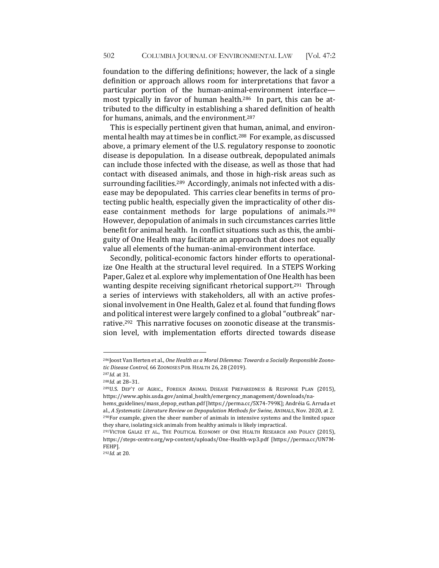foundation to the differing definitions; however, the lack of a single definition or approach allows room for interpretations that favor a particular portion of the human-animal-environment interface most typically in favor of human health.<sup>286</sup> In part, this can be attributed to the difficulty in establishing a shared definition of health for humans, animals, and the environment.<sup>287</sup>

This is especially pertinent given that human, animal, and environmental health may at times be in conflict.<sup>288</sup> For example, as discussed above, a primary element of the U.S. regulatory response to zoonotic disease is depopulation. In a disease outbreak, depopulated animals can include those infected with the disease, as well as those that had contact with diseased animals, and those in high-risk areas such as surrounding facilities.<sup>289</sup> Accordingly, animals not infected with a disease may be depopulated. This carries clear benefits in terms of protecting public health, especially given the impracticality of other disease containment methods for large populations of animals.<sup>290</sup> However, depopulation of animals in such circumstances carries little benefit for animal health. In conflict situations such as this, the ambiguity of One Health may facilitate an approach that does not equally value all elements of the human-animal-environment interface.

Secondly, political-economic factors hinder efforts to operationalize One Health at the structural level required. In a STEPS Working Paper, Galez et al. explore why implementation of One Health has been wanting despite receiving significant rhetorical support.<sup>291</sup> Through a series of interviews with stakeholders, all with an active professional involvement in One Health, Galez et al. found that funding flows and political interest were largely confined to a global "outbreak" narrative.<sup>292</sup> This narrative focuses on zoonotic disease at the transmission level, with implementation efforts directed towards disease

<sup>&</sup>lt;sup>286</sup>Joost Van Herten et al., One Health as a Moral Dilemma: Towards a Socially Responsible Zoono*tic Disease Control*, 66 ZOONOSES PUB. HEALTH 26, 28 (2019).

<sup>287</sup>*Id.* at 31.

<sup>&</sup>lt;sup>288</sup>*Id.* at 28-31.

<sup>&</sup>lt;sup>289</sup>U.S. DEP'T OF AGRIC., FOREIGN ANIMAL DISEASE PREPAREDNESS & RESPONSE PLAN (2015), https://www.aphis.usda.gov/animal\_health/emergency\_management/downloads/na-

hems\_guidelines/mass\_depop\_euthan.pdf [https://perma.cc/5X74-799K]; Andréia G. Arruda et al., A Systematic Literature Review on Depopulation Methods for Swine, ANIMALS, Nov. 2020, at 2.  $290$  For example, given the sheer number of animals in intensive systems and the limited space they share, isolating sick animals from healthy animals is likely impractical.

<sup>&</sup>lt;sup>291</sup>VICTOR GALAZ ET AL., THE POLITICAL ECONOMY OF ONE HEALTH RESEARCH AND POLICY (2015), https://steps-centre.org/wp-content/uploads/One-Health-wp3.pdf [https://perma.cc/UN7M-FEHP].

<sup>292</sup>*Id.* at 20.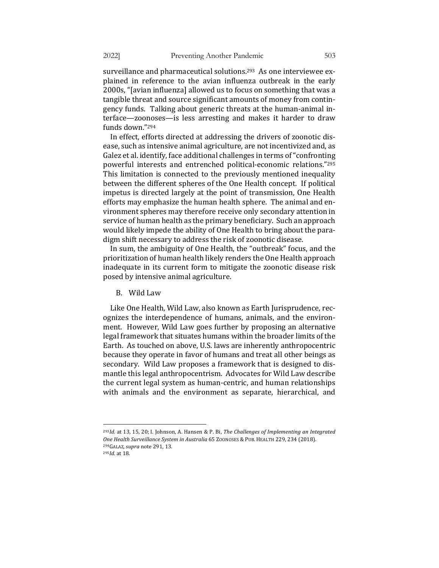surveillance and pharmaceutical solutions.<sup>293</sup> As one interviewee explained in reference to the avian influenza outbreak in the early 2000s, "[avian influenza] allowed us to focus on something that was a tangible threat and source significant amounts of money from contingency funds. Talking about generic threats at the human-animal interface—zoonoses—is less arresting and makes it harder to draw funds down."<sup>294</sup>

In effect, efforts directed at addressing the drivers of zoonotic disease, such as intensive animal agriculture, are not incentivized and, as Galez et al. identify, face additional challenges in terms of "confronting" powerful interests and entrenched political-economic relations."295 This limitation is connected to the previously mentioned inequality between the different spheres of the One Health concept. If political impetus is directed largely at the point of transmission, One Health efforts may emphasize the human health sphere. The animal and environment spheres may therefore receive only secondary attention in service of human health as the primary beneficiary. Such an approach would likely impede the ability of One Health to bring about the paradigm shift necessary to address the risk of zoonotic disease.

In sum, the ambiguity of One Health, the "outbreak" focus, and the prioritization of human health likely renders the One Health approach inadequate in its current form to mitigate the zoonotic disease risk posed by intensive animal agriculture.

B. Wild Law

Like One Health, Wild Law, also known as Earth Jurisprudence, recognizes the interdependence of humans, animals, and the environment. However, Wild Law goes further by proposing an alternative legal framework that situates humans within the broader limits of the Earth. As touched on above, U.S. laws are inherently anthropocentric because they operate in favor of humans and treat all other beings as secondary. Wild Law proposes a framework that is designed to dismantle this legal anthropocentrism. Advocates for Wild Law describe the current legal system as human-centric, and human relationships with animals and the environment as separate, hierarchical, and

<sup>&</sup>lt;sup>293</sup>*Id.* at 13, 15, 20; I. Johnson, A. Hansen & P. Bi, The Challenges of Implementing an Integrated One Health Surveillance System in Australia 65 ZOONOSES & PUB. HEALTH 229, 234 (2018). <sup>294</sup>GALAZ, supra note 291, 13.

<sup>295</sup>*Id.* at 18.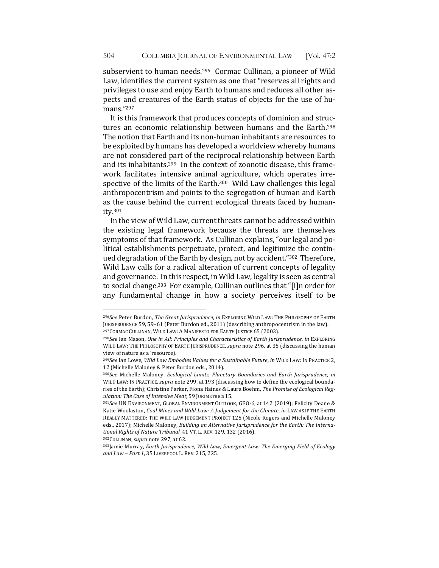subservient to human needs.<sup>296</sup> Cormac Cullinan, a pioneer of Wild Law, identifies the current system as one that "reserves all rights and privileges to use and enjoy Earth to humans and reduces all other aspects and creatures of the Earth status of objects for the use of humans."297

It is this framework that produces concepts of dominion and structures an economic relationship between humans and the Earth.<sup>298</sup> The notion that Earth and its non-human inhabitants are resources to be exploited by humans has developed a worldview whereby humans are not considered part of the reciprocal relationship between Earth and its inhabitants.<sup>299</sup> In the context of zoonotic disease, this framework facilitates intensive animal agriculture, which operates irrespective of the limits of the Earth.<sup>300</sup> Wild Law challenges this legal anthropocentrism and points to the segregation of human and Earth as the cause behind the current ecological threats faced by humanity.301

In the view of Wild Law, current threats cannot be addressed within the existing legal framework because the threats are themselves symptoms of that framework. As Cullinan explains, "our legal and political establishments perpetuate, protect, and legitimize the continued degradation of the Earth by design, not by accident."<sup>302</sup> Therefore, Wild Law calls for a radical alteration of current concepts of legality and governance. In this respect, in Wild Law, legality is seen as central to social change.<sup>303</sup> For example, Cullinan outlines that "[i]n order for any fundamental change in how a society perceives itself to be

302CULLINAN, *supra* note 297, at 62.

<sup>296</sup>See Peter Burdon, The Great Jurisprudence, in EXPLORING WILD LAW: THE PHILOSOPHY OF EARTH JURISPRUDENCE 59, 59-61 (Peter Burdon ed., 2011) (describing anthropocentrism in the law). <sup>297</sup>CORMAC CULLINAN, WILD LAW: A MANIFESTO FOR EARTH JUSTICE 65 (2003).

<sup>298</sup>*See* Ian Mason, One in All: Principles and Characteristics of Earth Jurisprudence, in EXPLORING WILD LAW: THE PHILOSOPHY OF EARTH JURISPRUDENCE, supra note 296, at 35 (discussing the human view of nature as a 'resource).

<sup>&</sup>lt;sup>299</sup>See Ian Lowe, Wild Law Embodies Values for a Sustainable Future, in WILD LAW: IN PRACTICE 2, 12 (Michelle Maloney & Peter Burdon eds., 2014).

<sup>&</sup>lt;sup>300</sup>See Michelle Maloney, *Ecological Limits*, *Planetary Boundaries and Earth Jurisprudence, in* WILD LAW: IN PRACTICE, *supra* note 299, at 193 (discussing how to define the ecological boundaries of the Earth); Christine Parker, Fiona Haines & Laura Boehm, The Promise of Ecological Reg*ulation: The Case of Intensive Meat*, 59 JURIMETRICS 15.

<sup>301</sup>See UN ENVIRONMENT, GLOBAL ENVIRONMENT OUTLOOK, GEO-6, at 142 (2019); Felicity Deane & Katie Woolaston, *Coal Mines and Wild Law: A Judgement for the Climate, in LAW AS IF THE EARTH* REALLY MATTERED: THE WILD LAW JUDGEMENT PROJECT 125 (Nicole Rogers and Michelle Maloney eds., 2017); Michelle Maloney, *Building an Alternative Jurisprudence for the Earth: The Interna*tional Rights of Nature Tribunal, 41 VT. L. REV. 129, 132 (2016).

<sup>303</sup>Jamie Murray, *Earth Jurisprudence, Wild Law, Emergent Law: The Emerging Field of Ecology* and Law - Part 1, 35 LIVERPOOL L. REV. 215, 225.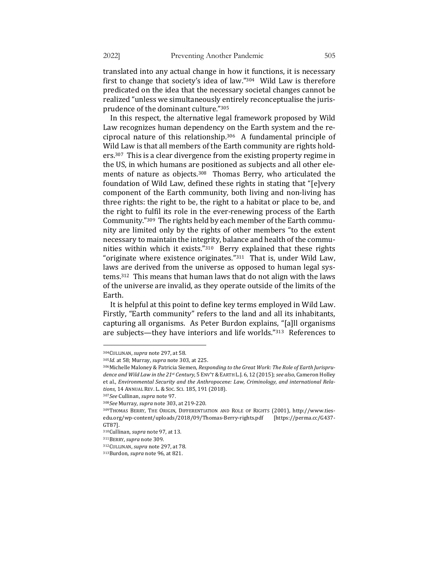translated into any actual change in how it functions, it is necessary first to change that society's idea of law." $304$  Wild Law is therefore predicated on the idea that the necessary societal changes cannot be realized "unless we simultaneously entirely reconceptualise the jurisprudence of the dominant culture."305

In this respect, the alternative legal framework proposed by Wild Law recognizes human dependency on the Earth system and the reciprocal nature of this relationship. $306$  A fundamental principle of Wild Law is that all members of the Earth community are rights hold $ers<sup>307</sup>$  This is a clear divergence from the existing property regime in the US, in which humans are positioned as subjects and all other elements of nature as objects.<sup>308</sup> Thomas Berry, who articulated the foundation of Wild Law, defined these rights in stating that "[e]very component of the Earth community, both living and non-living has three rights: the right to be, the right to a habitat or place to be, and the right to fulfil its role in the ever-renewing process of the Earth Community."309 The rights held by each member of the Earth community are limited only by the rights of other members "to the extent necessary to maintain the integrity, balance and health of the communities within which it exists."<sup>310</sup> Berry explained that these rights "originate where existence originates." $311$  That is, under Wild Law, laws are derived from the universe as opposed to human legal systems.<sup>312</sup> This means that human laws that do not align with the laws of the universe are invalid, as they operate outside of the limits of the Earth. 

It is helpful at this point to define key terms employed in Wild Law. Firstly, "Earth community" refers to the land and all its inhabitants, capturing all organisms. As Peter Burdon explains, "[a]ll organisms are subjects—they have interiors and life worlds."<sup>313</sup> References to

<sup>&</sup>lt;sup>304</sup>CULLINAN, *supra* note 297, at 58.

<sup>&</sup>lt;sup>305</sup>Id. at 58; Murray, *supra* note 303, at 225.

<sup>306</sup>Michelle Maloney & Patricia Siemen, *Responding to the Great Work: The Role of Earth Jurisprudence and Wild Law in the 21st Century*, 5 ENV'T & EARTH L.J. 6, 12 (2015); see also, Cameron Holley et al., *Environmental Security and the Anthropocene: Law, Criminology, and international Rela*tions, 14 ANNUAL REV. L. & Soc. Sci. 185, 191 (2018).

<sup>307</sup>*See* Cullinan, *supra* note 97.

<sup>308</sup>*See* Murray, *supra* note 303, at 219-220. 

<sup>309</sup>THOMAS BERRY, THE ORIGIN, DIFFERENTIATION AND ROLE OF RIGHTS (2001), http://www.tiesedu.org/wp-content/uploads/2018/09/Thomas-Berry-rights.pdf [https://perma.cc/G437- GT87]. 

<sup>&</sup>lt;sup>310</sup>Cullinan, *supra* note 97, at 13.

<sup>311</sup>BERRY,*supra* note 309.

<sup>&</sup>lt;sup>312</sup>CULLINAN, *supra* note 297, at 78.

<sup>&</sup>lt;sup>313</sup>Burdon, *supra* note 96, at 821.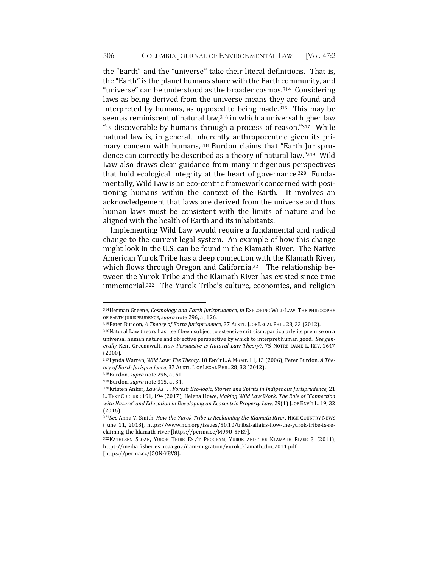the "Earth" and the "universe" take their literal definitions. That is, the "Earth" is the planet humans share with the Earth community, and "universe" can be understood as the broader cosmos.<sup>314</sup> Considering laws as being derived from the universe means they are found and interpreted by humans, as opposed to being made.<sup>315</sup> This may be seen as reminiscent of natural law, $316$  in which a universal higher law "is discoverable by humans through a process of reason." $317$  While natural law is, in general, inherently anthropocentric given its primary concern with humans,<sup>318</sup> Burdon claims that "Earth Jurisprudence can correctly be described as a theory of natural law."<sup>319</sup> Wild Law also draws clear guidance from many indigenous perspectives that hold ecological integrity at the heart of governance.<sup>320</sup> Fundamentally, Wild Law is an eco-centric framework concerned with positioning humans within the context of the Earth. It involves an acknowledgement that laws are derived from the universe and thus human laws must be consistent with the limits of nature and be aligned with the health of Earth and its inhabitants.

Implementing Wild Law would require a fundamental and radical change to the current legal system. An example of how this change might look in the U.S. can be found in the Klamath River. The Native American Yurok Tribe has a deep connection with the Klamath River, which flows through Oregon and California.<sup>321</sup> The relationship between the Yurok Tribe and the Klamath River has existed since time immemorial.<sup>322</sup> The Yurok Tribe's culture, economies, and religion

<sup>314</sup>Herman Greene, *Cosmology and Earth Jurisprudence*, *in* EXPLORING WILD LAW: THE PHILOSOPHY OF EARTH JURISPRUDENCE, supra note 296, at 126.

<sup>315</sup>Peter Burdon, A Theory of Earth Jurisprudence, 37 AUSTL. J. OF LEGAL PHIL. 28, 33 (2012).

<sup>316</sup>Natural Law theory has itself been subject to extensive criticism, particularly its premise on a universal human nature and objective perspective by which to interpret human good. See generally Kent Greenawalt, *How Persuasive Is Natural Law Theory?*, 75 NOTRE DAME L. REV. 1647 (2000).

<sup>317</sup> Lynda Warren, *Wild Law: The Theory*, 18 ENV'T L. & MGMT. 11, 13 (2006); Peter Burdon, A Theory of Earth Jurisprudence, 37 AUSTL. J. OF LEGAL PHIL. 28, 33 (2012).

<sup>&</sup>lt;sup>318</sup>Burdon, *supra* note 296, at 61.

<sup>&</sup>lt;sup>319</sup>Burdon, *supra* note 315, at 34.

<sup>320</sup>Kristen Anker, *Law As ... Forest: Eco-logic, Stories and Spirits in Indigenous Jurisprudence*, 21 L. TEXT CULTURE 191, 194 (2017); Helena Howe, *Making Wild Law Work: The Role of "Connection* with Nature" and Education in Developing an Ecocentric Property Law, 29(1) J. OF ENV'T L. 19, 32 (2016).

<sup>321</sup>See Anna V. Smith, *How the Yurok Tribe Is Reclaiming the Klamath River*, HIGH COUNTRY NEWS (June 11, 2018), https://www.hcn.org/issues/50.10/tribal-affairs-how-the-yurok-tribe-is-reclaiming-the-klamath-river [https://perma.cc/M99U-5FE9].

<sup>322</sup>KATHLEEN SLOAN, YUROK TRIBE ENV'T PROGRAM, YUROK AND THE KLAMATH RIVER 3 (2011), https://media.fisheries.noaa.gov/dam-migration/yurok\_klamath\_doi\_2011.pdf [https://perma.cc/J5QN-Y8V8].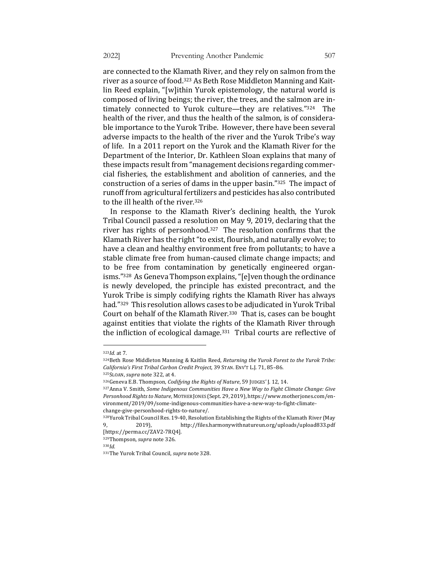are connected to the Klamath River, and they rely on salmon from the river as a source of food.<sup>323</sup> As Beth Rose Middleton Manning and Kaitlin Reed explain, "[w]ithin Yurok epistemology, the natural world is composed of living beings; the river, the trees, and the salmon are intimately connected to Yurok culture—they are relatives."324 The health of the river, and thus the health of the salmon, is of considerable importance to the Yurok Tribe. However, there have been several adverse impacts to the health of the river and the Yurok Tribe's way of life. In a 2011 report on the Yurok and the Klamath River for the Department of the Interior, Dr. Kathleen Sloan explains that many of these impacts result from "management decisions regarding commercial fisheries, the establishment and abolition of canneries, and the construction of a series of dams in the upper basin." $325$  The impact of runoff from agricultural fertilizers and pesticides has also contributed to the ill health of the river.<sup>326</sup>

In response to the Klamath River's declining health, the Yurok Tribal Council passed a resolution on May 9, 2019, declaring that the river has rights of personhood.<sup>327</sup> The resolution confirms that the Klamath River has the right "to exist, flourish, and naturally evolve; to have a clean and healthy environment free from pollutants; to have a stable climate free from human-caused climate change impacts; and to be free from contamination by genetically engineered organisms."<sup>328</sup> As Geneva Thompson explains, "[e]ven though the ordinance is newly developed, the principle has existed precontract, and the Yurok Tribe is simply codifying rights the Klamath River has always had."<sup>329</sup> This resolution allows cases to be adjudicated in Yurok Tribal Court on behalf of the Klamath River.<sup>330</sup> That is, cases can be bought against entities that violate the rights of the Klamath River through the infliction of ecological damage. $331$  Tribal courts are reflective of

<sup>323</sup>*Id.* at 7.

<sup>&</sup>lt;sup>324</sup>Beth Rose Middleton Manning & Kaitlin Reed, *Returning the Yurok Forest to the Yurok Tribe:* California's First Tribal Carbon Credit Project, 39 STAN. ENV'T L.J. 71, 85-86.

<sup>325</sup>SLOAN, *supra* note 322, at 4.

<sup>326</sup> Geneva E.B. Thompson, *Codifying the Rights of Nature*, 59 JUDGES' J. 12, 14.

<sup>&</sup>lt;sup>327</sup> Anna V. Smith, *Some Indigenous Communities Have a New Way to Fight Climate Change: Give* Personhood Rights to Nature, MOTHER JONES (Sept. 29, 2019), https://www.motherjones.com/environment/2019/09/some-indigenous-communities-have-a-new-way-to-fight-climatechange-give-personhood-rights-to-nature/.

<sup>328</sup>Yurok Tribal Council Res. 19-40, Resolution Establishing the Rights of the Klamath River (May 2019), http://files.harmonywithnatureun.org/uploads/upload833.pdf [https://perma.cc/ZAV2-7RQ4].

<sup>329</sup>Thompson, *supra* note 326.

<sup>330</sup>*Id.* 

<sup>&</sup>lt;sup>331</sup>The Yurok Tribal Council, *supra* note 328.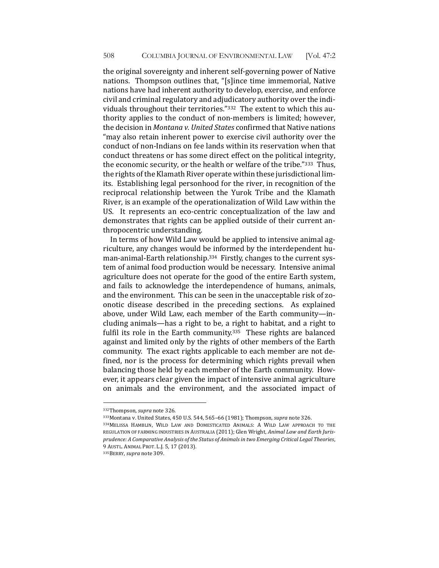the original sovereignty and inherent self-governing power of Native nations. Thompson outlines that, "[s]ince time immemorial, Native nations have had inherent authority to develop, exercise, and enforce civil and criminal regulatory and adjudicatory authority over the individuals throughout their territories."332 The extent to which this authority applies to the conduct of non-members is limited; however, the decision in *Montana v. United States* confirmed that Native nations "may also retain inherent power to exercise civil authority over the conduct of non-Indians on fee lands within its reservation when that conduct threatens or has some direct effect on the political integrity, the economic security, or the health or welfare of the tribe."333 Thus, the rights of the Klamath River operate within these jurisdictional limits. Establishing legal personhood for the river, in recognition of the reciprocal relationship between the Yurok Tribe and the Klamath River, is an example of the operationalization of Wild Law within the US. It represents an eco-centric conceptualization of the law and demonstrates that rights can be applied outside of their current anthropocentric understanding.

In terms of how Wild Law would be applied to intensive animal agriculture, any changes would be informed by the interdependent human-animal-Earth relationship.<sup>334</sup> Firstly, changes to the current system of animal food production would be necessary. Intensive animal agriculture does not operate for the good of the entire Earth system, and fails to acknowledge the interdependence of humans, animals, and the environment. This can be seen in the unacceptable risk of zoonotic disease described in the preceding sections. As explained above, under Wild Law, each member of the Earth community—including animals—has a right to be, a right to habitat, and a right to fulfil its role in the Earth community.<sup>335</sup> These rights are balanced against and limited only by the rights of other members of the Earth community. The exact rights applicable to each member are not defined, nor is the process for determining which rights prevail when balancing those held by each member of the Earth community. However, it appears clear given the impact of intensive animal agriculture on animals and the environment, and the associated impact of

<sup>&</sup>lt;sup>332</sup>Thompson, *supra* note 326.

<sup>333</sup>Montana v. United States, 450 U.S. 544, 565-66 (1981); Thompson, *supra* note 326.

<sup>334</sup>MELISSA HAMBLIN, WILD LAW AND DOMESTICATED ANIMALS: A WILD LAW APPROACH TO THE REGULATION OF FARMING INDUSTRIES IN AUSTRALIA (2011); Glen Wright, *Animal Law and Earth Jurisprudence:* A Comparative Analysis of the Status of Animals in two Emerging Critical Legal Theories, 9 AUSTL. ANIMAL PROT. L.J. 5, 17 (2013).

<sup>335</sup> BERRY, *supra* note 309.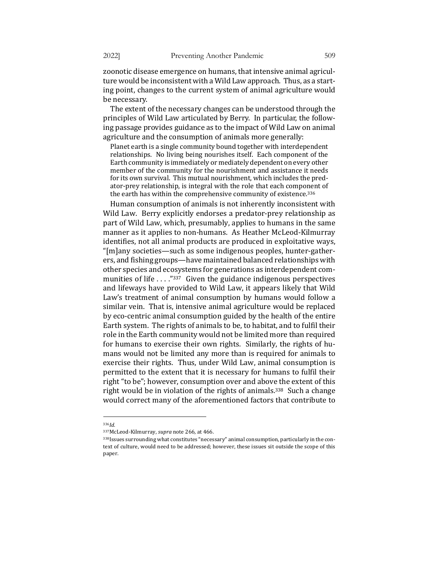zoonotic disease emergence on humans, that intensive animal agriculture would be inconsistent with a Wild Law approach. Thus, as a starting point, changes to the current system of animal agriculture would be necessary.

The extent of the necessary changes can be understood through the principles of Wild Law articulated by Berry. In particular, the following passage provides guidance as to the impact of Wild Law on animal agriculture and the consumption of animals more generally:

Planet earth is a single community bound together with interdependent relationships. No living being nourishes itself. Each component of the Earth community is immediately or mediately dependent on every other member of the community for the nourishment and assistance it needs for its own survival. This mutual nourishment, which includes the predator-prey relationship, is integral with the role that each component of the earth has within the comprehensive community of existence.<sup>336</sup>

Human consumption of animals is not inherently inconsistent with Wild Law. Berry explicitly endorses a predator-prey relationship as part of Wild Law, which, presumably, applies to humans in the same manner as it applies to non-humans. As Heather McLeod-Kilmurray identifies, not all animal products are produced in exploitative ways, "[m]any societies—such as some indigenous peoples, hunter-gatherers, and fishing groups—have maintained balanced relationships with other species and ecosystems for generations as interdependent communities of life  $\ldots$ ."<sup>337</sup> Given the guidance indigenous perspectives and lifeways have provided to Wild Law, it appears likely that Wild Law's treatment of animal consumption by humans would follow a similar vein. That is, intensive animal agriculture would be replaced by eco-centric animal consumption guided by the health of the entire Earth system. The rights of animals to be, to habitat, and to fulfil their role in the Earth community would not be limited more than required for humans to exercise their own rights. Similarly, the rights of humans would not be limited any more than is required for animals to exercise their rights. Thus, under Wild Law, animal consumption is permitted to the extent that it is necessary for humans to fulfil their right "to be"; however, consumption over and above the extent of this right would be in violation of the rights of animals.<sup>338</sup> Such a change would correct many of the aforementioned factors that contribute to

<sup>336</sup>*Id.* 

<sup>337</sup>McLeod-Kilmurray, *supra* note 266, at 466.

 $338$  Issues surrounding what constitutes "necessary" animal consumption, particularly in the context of culture, would need to be addressed; however, these issues sit outside the scope of this paper.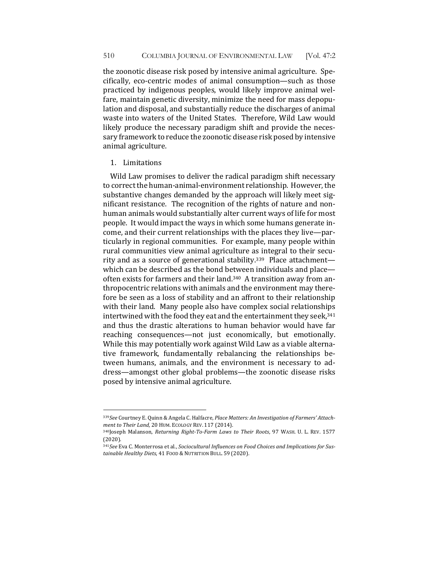the zoonotic disease risk posed by intensive animal agriculture. Specifically, eco-centric modes of animal consumption—such as those practiced by indigenous peoples, would likely improve animal welfare, maintain genetic diversity, minimize the need for mass depopulation and disposal, and substantially reduce the discharges of animal waste into waters of the United States. Therefore, Wild Law would likely produce the necessary paradigm shift and provide the necessary framework to reduce the zoonotic disease risk posed by intensive animal agriculture.

## 1. Limitations

Wild Law promises to deliver the radical paradigm shift necessary to correct the human-animal-environment relationship. However, the substantive changes demanded by the approach will likely meet significant resistance. The recognition of the rights of nature and nonhuman animals would substantially alter current ways of life for most people. It would impact the ways in which some humans generate income, and their current relationships with the places they live—particularly in regional communities. For example, many people within rural communities view animal agriculture as integral to their security and as a source of generational stability.<sup>339</sup> Place attachment which can be described as the bond between individuals and place often exists for farmers and their land.<sup>340</sup> A transition away from anthropocentric relations with animals and the environment may therefore be seen as a loss of stability and an affront to their relationship with their land. Many people also have complex social relationships intertwined with the food they eat and the entertainment they seek,<sup>341</sup> and thus the drastic alterations to human behavior would have far reaching consequences—not just economically, but emotionally. While this may potentially work against Wild Law as a viable alternative framework, fundamentally rebalancing the relationships between humans, animals, and the environment is necessary to address—amongst other global problems—the zoonotic disease risks posed by intensive animal agriculture.

<sup>339</sup> See Courtney E. Quinn & Angela C. Halfacre, *Place Matters: An Investigation of Farmers' Attachment to Their Land,* 20 HUM. ECOLOGY REV. 117 (2014).

<sup>340</sup>Joseph Malanson, Returning Right-To-Farm Laws to Their Roots, 97 WASH. U. L. REV. 1577 (2020). 

<sup>341</sup>See Eva C. Monterrosa et al., Sociocultural Influences on Food Choices and Implications for Sustainable Healthy Diets, 41 FOOD & NUTRITION BULL. 59 (2020).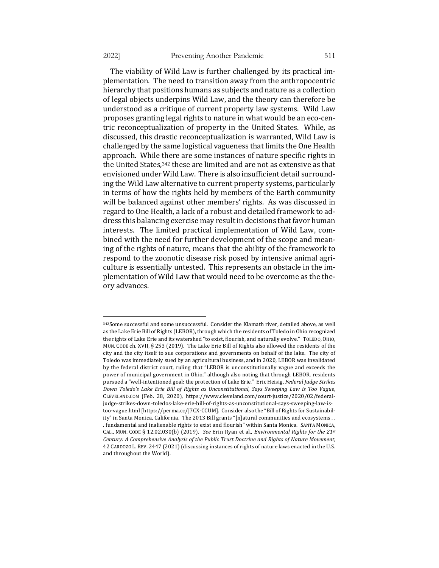The viability of Wild Law is further challenged by its practical implementation. The need to transition away from the anthropocentric hierarchy that positions humans as subjects and nature as a collection of legal objects underpins Wild Law, and the theory can therefore be understood as a critique of current property law systems. Wild Law proposes granting legal rights to nature in what would be an eco-centric reconceptualization of property in the United States. While, as discussed, this drastic reconceptualization is warranted, Wild Law is challenged by the same logistical vagueness that limits the One Health approach. While there are some instances of nature specific rights in the United States,  $342$  these are limited and are not as extensive as that envisioned under Wild Law. There is also insufficient detail surrounding the Wild Law alternative to current property systems, particularly in terms of how the rights held by members of the Earth community will be balanced against other members' rights. As was discussed in regard to One Health, a lack of a robust and detailed framework to address this balancing exercise may result in decisions that favor human interests. The limited practical implementation of Wild Law, combined with the need for further development of the scope and meaning of the rights of nature, means that the ability of the framework to respond to the zoonotic disease risk posed by intensive animal agriculture is essentially untested. This represents an obstacle in the implementation of Wild Law that would need to be overcome as the theory advances.

<sup>342</sup>Some successful and some unsuccessful. Consider the Klamath river, detailed above, as well as the Lake Erie Bill of Rights (LEBOR), through which the residents of Toledo in Ohio recognized the rights of Lake Erie and its watershed "to exist, flourish, and naturally evolve." TOLEDO, OHIO, MUN. CODE ch. XVII, § 253 (2019). The Lake Erie Bill of Rights also allowed the residents of the city and the city itself to sue corporations and governments on behalf of the lake. The city of Toledo was immediately sued by an agricultural business, and in 2020, LEBOR was invalidated by the federal district court, ruling that "LEBOR is unconstitutionally vague and exceeds the power of municipal government in Ohio," although also noting that through LEBOR, residents pursued a "well-intentioned goal: the protection of Lake Erie." Eric Heisig, *Federal Judge Strikes Down Toledo's Lake Erie Bill of Rights as Unconstitutional, Says Sweeping Law is Too Vague,* CLEVELAND.COM (Feb. 28, 2020), https://www.cleveland.com/court-justice/2020/02/federaljudge-strikes-down-toledos-lake-erie-bill-of-rights-as-unconstitutional-says-sweeping-law-istoo-vague.html [https://perma.cc/J7CX-CCUM]. Consider also the "Bill of Rights for Sustainability" in Santa Monica, California. The 2013 Bill grants "[n]atural communities and ecosystems . . . fundamental and inalienable rights to exist and flourish" within Santa Monica. SANTA MONICA, CAL., MUN. CODE § 12.02.030(b) (2019). See Erin Ryan et al., *Environmental Rights for the 21st* Century: A Comprehensive Analysis of the Public Trust Doctrine and Rights of Nature Movement, 42 CARDOZO L. REV. 2447 (2021) (discussing instances of rights of nature laws enacted in the U.S. and throughout the World).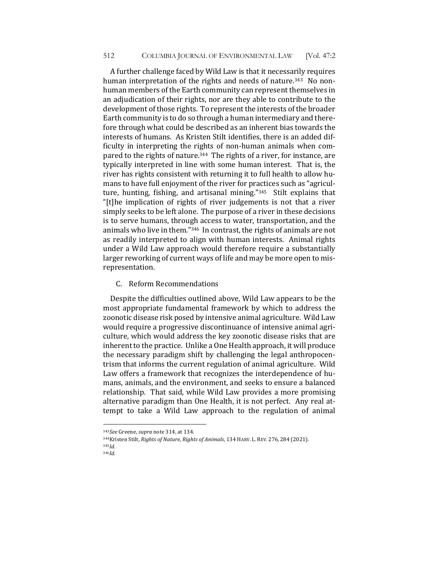A further challenge faced by Wild Law is that it necessarily requires human interpretation of the rights and needs of nature.<sup>343</sup> No nonhuman members of the Earth community can represent themselves in an adjudication of their rights, nor are they able to contribute to the development of those rights. To represent the interests of the broader Earth community is to do so through a human intermediary and therefore through what could be described as an inherent bias towards the interests of humans. As Kristen Stilt identifies, there is an added difficulty in interpreting the rights of non-human animals when compared to the rights of nature.<sup>344</sup> The rights of a river, for instance, are typically interpreted in line with some human interest. That is, the river has rights consistent with returning it to full health to allow humans to have full enjoyment of the river for practices such as "agriculture, hunting, fishing, and artisanal mining."345 Stilt explains that "[t]he implication of rights of river judgements is not that a river simply seeks to be left alone. The purpose of a river in these decisions is to serve humans, through access to water, transportation, and the animals who live in them."<sup>346</sup> In contrast, the rights of animals are not as readily interpreted to align with human interests. Animal rights under a Wild Law approach would therefore require a substantially larger reworking of current ways of life and may be more open to misrepresentation.

C. Reform Recommendations

Despite the difficulties outlined above, Wild Law appears to be the most appropriate fundamental framework by which to address the zoonotic disease risk posed by intensive animal agriculture. Wild Law would require a progressive discontinuance of intensive animal agriculture, which would address the key zoonotic disease risks that are inherent to the practice. Unlike a One Health approach, it will produce the necessary paradigm shift by challenging the legal anthropocentrism that informs the current regulation of animal agriculture. Wild Law offers a framework that recognizes the interdependence of humans, animals, and the environment, and seeks to ensure a balanced relationship. That said, while Wild Law provides a more promising alternative paradigm than One Health, it is not perfect. Any real attempt to take a Wild Law approach to the regulation of animal

<sup>343</sup>*See* Greene, *supra* note 314, at 134.

<sup>&</sup>lt;sup>344</sup>Kristen Stilt, *Rights of Nature, Rights of Animals*, 134 HARV. L. REV. 276, 284 (2021). 345*Id.* 

<sup>346</sup>*Id.*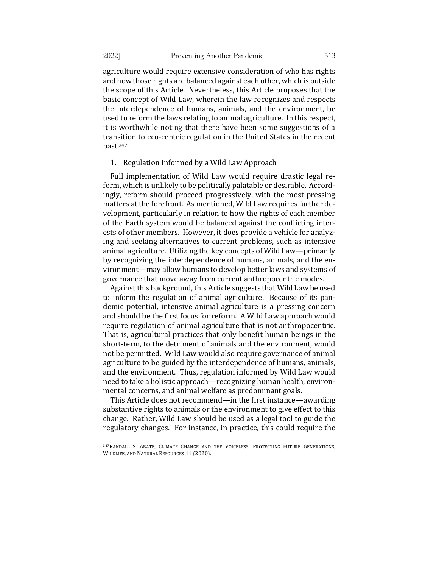agriculture would require extensive consideration of who has rights and how those rights are balanced against each other, which is outside the scope of this Article. Nevertheless, this Article proposes that the basic concept of Wild Law, wherein the law recognizes and respects the interdependence of humans, animals, and the environment, be used to reform the laws relating to animal agriculture. In this respect, it is worthwhile noting that there have been some suggestions of a transition to eco-centric regulation in the United States in the recent past.347

## 1. Regulation Informed by a Wild Law Approach

Full implementation of Wild Law would require drastic legal reform, which is unlikely to be politically palatable or desirable. Accordingly, reform should proceed progressively, with the most pressing matters at the forefront. As mentioned, Wild Law requires further development, particularly in relation to how the rights of each member of the Earth system would be balanced against the conflicting interests of other members. However, it does provide a vehicle for analyzing and seeking alternatives to current problems, such as intensive animal agriculture. Utilizing the key concepts of Wild Law—primarily by recognizing the interdependence of humans, animals, and the environment—may allow humans to develop better laws and systems of governance that move away from current anthropocentric modes.

Against this background, this Article suggests that Wild Law be used to inform the regulation of animal agriculture. Because of its pandemic potential, intensive animal agriculture is a pressing concern and should be the first focus for reform. A Wild Law approach would require regulation of animal agriculture that is not anthropocentric. That is, agricultural practices that only benefit human beings in the short-term, to the detriment of animals and the environment, would not be permitted. Wild Law would also require governance of animal agriculture to be guided by the interdependence of humans, animals, and the environment. Thus, regulation informed by Wild Law would need to take a holistic approach—recognizing human health, environmental concerns, and animal welfare as predominant goals.

This Article does not recommend—in the first instance—awarding substantive rights to animals or the environment to give effect to this change. Rather, Wild Law should be used as a legal tool to guide the regulatory changes. For instance, in practice, this could require the

<sup>347</sup>RANDALL S. ABATE, CLIMATE CHANGE AND THE VOICELESS: PROTECTING FUTURE GENERATIONS, WILDLIFE, AND NATURAL RESOURCES 11 (2020).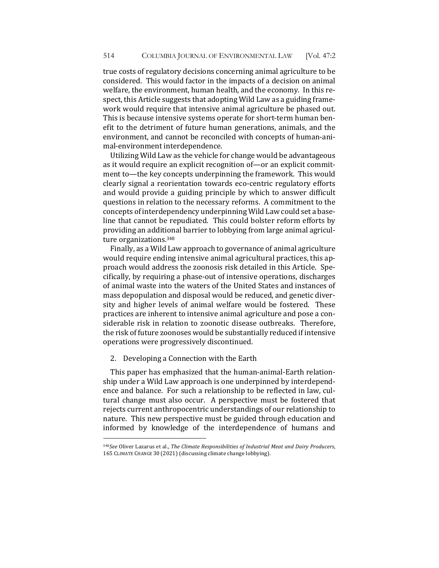true costs of regulatory decisions concerning animal agriculture to be considered. This would factor in the impacts of a decision on animal welfare, the environment, human health, and the economy. In this respect, this Article suggests that adopting Wild Law as a guiding framework would require that intensive animal agriculture be phased out. This is because intensive systems operate for short-term human benefit to the detriment of future human generations, animals, and the environment, and cannot be reconciled with concepts of human-animal-environment interdependence.

Utilizing Wild Law as the vehicle for change would be advantageous as it would require an explicit recognition of—or an explicit commitment to—the key concepts underpinning the framework. This would clearly signal a reorientation towards eco-centric regulatory efforts and would provide a guiding principle by which to answer difficult questions in relation to the necessary reforms. A commitment to the concepts of interdependency underpinning Wild Law could set a baseline that cannot be repudiated. This could bolster reform efforts by providing an additional barrier to lobbying from large animal agriculture organizations.<sup>348</sup>

Finally, as a Wild Law approach to governance of animal agriculture would require ending intensive animal agricultural practices, this approach would address the zoonosis risk detailed in this Article. Specifically, by requiring a phase-out of intensive operations, discharges of animal waste into the waters of the United States and instances of mass depopulation and disposal would be reduced, and genetic diversity and higher levels of animal welfare would be fostered. These practices are inherent to intensive animal agriculture and pose a considerable risk in relation to zoonotic disease outbreaks. Therefore, the risk of future zoonoses would be substantially reduced if intensive operations were progressively discontinued.

## 2. Developing a Connection with the Earth

This paper has emphasized that the human-animal-Earth relationship under a Wild Law approach is one underpinned by interdependence and balance. For such a relationship to be reflected in law, cultural change must also occur. A perspective must be fostered that rejects current anthropocentric understandings of our relationship to nature. This new perspective must be guided through education and informed by knowledge of the interdependence of humans and

<sup>348</sup>*See* Oliver Lazarus et al., The Climate Responsibilities of Industrial Meat and Dairy Producers, 165 CLIMATE CHANGE 30 (2021) (discussing climate change lobbying).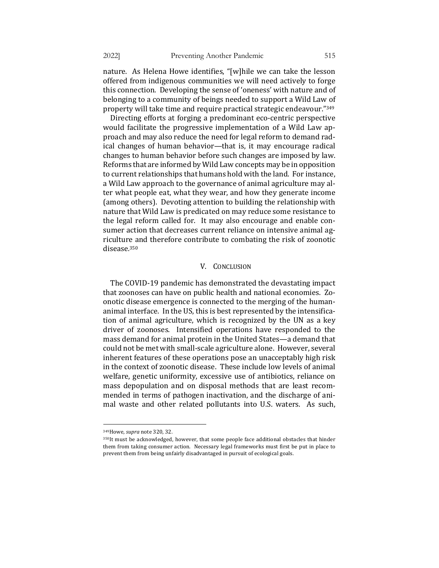nature. As Helena Howe identifies, "[w]hile we can take the lesson offered from indigenous communities we will need actively to forge this connection. Developing the sense of 'oneness' with nature and of belonging to a community of beings needed to support a Wild Law of property will take time and require practical strategic endeavour."349

Directing efforts at forging a predominant eco-centric perspective would facilitate the progressive implementation of a Wild Law approach and may also reduce the need for legal reform to demand radical changes of human behavior—that is, it may encourage radical changes to human behavior before such changes are imposed by law. Reforms that are informed by Wild Law concepts may be in opposition to current relationships that humans hold with the land. For instance, a Wild Law approach to the governance of animal agriculture may alter what people eat, what they wear, and how they generate income (among others). Devoting attention to building the relationship with nature that Wild Law is predicated on may reduce some resistance to the legal reform called for. It may also encourage and enable consumer action that decreases current reliance on intensive animal agriculture and therefore contribute to combating the risk of zoonotic disease.350

#### V. CONCLUSION

The COVID-19 pandemic has demonstrated the devastating impact that zoonoses can have on public health and national economies. Zoonotic disease emergence is connected to the merging of the humananimal interface. In the US, this is best represented by the intensification of animal agriculture, which is recognized by the UN as a key driver of zoonoses. Intensified operations have responded to the mass demand for animal protein in the United States—a demand that could not be met with small-scale agriculture alone. However, several inherent features of these operations pose an unacceptably high risk in the context of zoonotic disease. These include low levels of animal welfare, genetic uniformity, excessive use of antibiotics, reliance on mass depopulation and on disposal methods that are least recommended in terms of pathogen inactivation, and the discharge of animal waste and other related pollutants into U.S. waters. As such,

<sup>349</sup>Howe, *supra* note 320, 32.

 $350$ It must be acknowledged, however, that some people face additional obstacles that hinder them from taking consumer action. Necessary legal frameworks must first be put in place to prevent them from being unfairly disadvantaged in pursuit of ecological goals.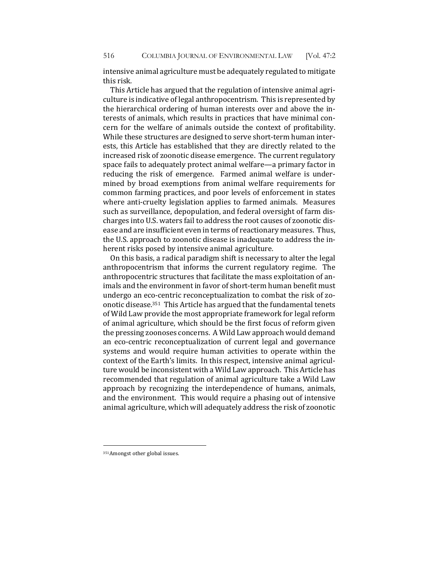intensive animal agriculture must be adequately regulated to mitigate this risk.

This Article has argued that the regulation of intensive animal agriculture is indicative of legal anthropocentrism. This is represented by the hierarchical ordering of human interests over and above the interests of animals, which results in practices that have minimal concern for the welfare of animals outside the context of profitability. While these structures are designed to serve short-term human interests, this Article has established that they are directly related to the increased risk of zoonotic disease emergence. The current regulatory space fails to adequately protect animal welfare—a primary factor in reducing the risk of emergence. Farmed animal welfare is undermined by broad exemptions from animal welfare requirements for common farming practices, and poor levels of enforcement in states where anti-cruelty legislation applies to farmed animals. Measures such as surveillance, depopulation, and federal oversight of farm discharges into U.S. waters fail to address the root causes of zoonotic disease and are insufficient even in terms of reactionary measures. Thus, the U.S. approach to zoonotic disease is inadequate to address the inherent risks posed by intensive animal agriculture.

On this basis, a radical paradigm shift is necessary to alter the legal anthropocentrism that informs the current regulatory regime. The anthropocentric structures that facilitate the mass exploitation of animals and the environment in favor of short-term human benefit must undergo an eco-centric reconceptualization to combat the risk of zoonotic disease.<sup>351</sup> This Article has argued that the fundamental tenets of Wild Law provide the most appropriate framework for legal reform of animal agriculture, which should be the first focus of reform given the pressing zoonoses concerns. A Wild Law approach would demand an eco-centric reconceptualization of current legal and governance systems and would require human activities to operate within the context of the Earth's limits. In this respect, intensive animal agriculture would be inconsistent with a Wild Law approach. This Article has recommended that regulation of animal agriculture take a Wild Law approach by recognizing the interdependence of humans, animals, and the environment. This would require a phasing out of intensive animal agriculture, which will adequately address the risk of zoonotic

<sup>351</sup> Amongst other global issues.